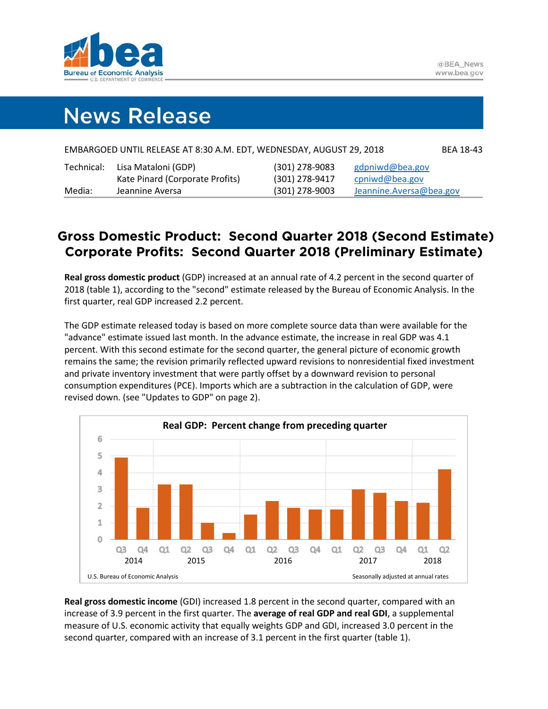

# **News Release**

|            | EMBARGOED UNTIL RELEASE AT 8:30 A.M. EDT, WEDNESDAY, AUGUST 29, 2018 |                  |                          | BEA 18-43 |
|------------|----------------------------------------------------------------------|------------------|--------------------------|-----------|
| Technical: | Lisa Mataloni (GDP)                                                  | $(301)$ 278-9083 | gdpniwd@bea.gov          |           |
|            | Kate Pinard (Corporate Profits)                                      | (301) 278-9417   | cpniwd@bea.gov           |           |
| Media:     | Jeannine Aversa                                                      | $(301)$ 278-9003 | Jeannine. Aversa@bea.gov |           |

# **Gross Domestic Product: Second Quarter 2018 (Second Estimate) Corporate Profits: Second Quarter 2018 (Preliminary Estimate)**

**Real gross domestic product** (GDP) increased at an annual rate of 4.2 percent in the second quarter of 2018 (table 1), according to the "second" estimate released by the Bureau of Economic Analysis. In the first quarter, real GDP increased 2.2 percent.

The GDP estimate released today is based on more complete source data than were available for the "advance" estimate issued last month. In the advance estimate, the increase in real GDP was 4.1 percent. With this second estimate for the second quarter, the general picture of economic growth remains the same; the revision primarily reflected upward revisions to nonresidential fixed investment and private inventory investment that were partly offset by a downward revision to personal consumption expenditures (PCE). Imports which are a subtraction in the calculation of GDP, were revised down. (see "Updates to GDP" on page 2).



**Real gross domestic income** (GDI) increased 1.8 percent in the second quarter, compared with an increase of 3.9 percent in the first quarter. The **average of real GDP and real GDI**, a supplemental measure of U.S. economic activity that equally weights GDP and GDI, increased 3.0 percent in the second quarter, compared with an increase of 3.1 percent in the first quarter (table 1).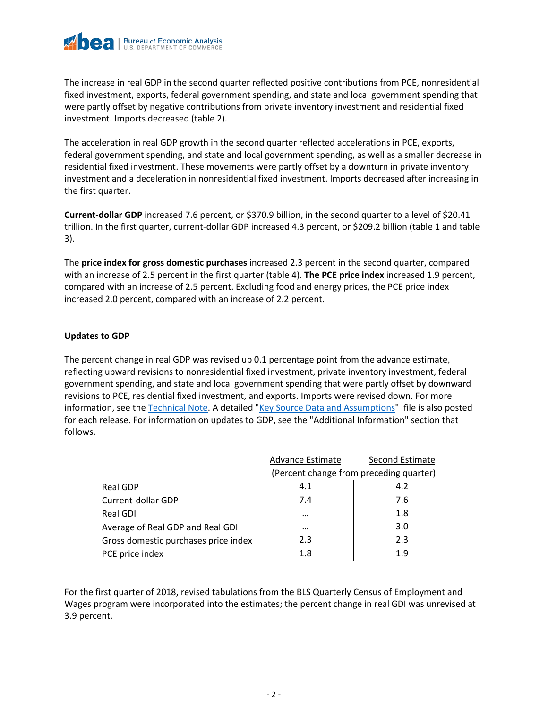

The increase in real GDP in the second quarter reflected positive contributions from PCE, nonresidential fixed investment, exports, federal government spending, and state and local government spending that were partly offset by negative contributions from private inventory investment and residential fixed investment. Imports decreased (table 2).

The acceleration in real GDP growth in the second quarter reflected accelerations in PCE, exports, federal government spending, and state and local government spending, as well as a smaller decrease in residential fixed investment. These movements were partly offset by a downturn in private inventory investment and a deceleration in nonresidential fixed investment. Imports decreased after increasing in the first quarter.

**Current-dollar GDP** increased 7.6 percent, or \$370.9 billion, in the second quarter to a level of \$20.41 trillion. In the first quarter, current-dollar GDP increased 4.3 percent, or \$209.2 billion (table 1 and table 3).

The **price index for gross domestic purchases** increased 2.3 percent in the second quarter, compared with an increase of 2.5 percent in the first quarter (table 4). **The PCE price index** increased 1.9 percent, compared with an increase of 2.5 percent. Excluding food and energy prices, the PCE price index increased 2.0 percent, compared with an increase of 2.2 percent.

#### **Updates to GDP**

The percent change in real GDP was revised up 0.1 percentage point from the advance estimate, reflecting upward revisions to nonresidential fixed investment, private inventory investment, federal government spending, and state and local government spending that were partly offset by downward revisions to PCE, residential fixed investment, and exports. Imports were revised down. For more information, see th[e Technical Note.](https://www.bea.gov/system/files/2018-10/tech2q18_2nd_0.pdf) A detailed ["Key Source Data and Assumptions"](https://www.bea.gov/system/files/2018-10/gdpkeysource_2q18_08-30-18.xlsx) file is also posted for each release. For information on updates to GDP, see the "Additional Information" section that follows.

|                                      | Advance Estimate                        | Second Estimate |
|--------------------------------------|-----------------------------------------|-----------------|
|                                      | (Percent change from preceding quarter) |                 |
| Real GDP                             | 4.1                                     | 4.2             |
| Current-dollar GDP                   | 7.4                                     | 7.6             |
| Real GDI                             | $\cdots$                                | 1.8             |
| Average of Real GDP and Real GDI     |                                         | 3.0             |
| Gross domestic purchases price index | 2.3                                     | 2.3             |
| PCE price index                      | 1.8                                     | 1.9             |

For the first quarter of 2018, revised tabulations from the BLS Quarterly Census of Employment and Wages program were incorporated into the estimates; the percent change in real GDI was unrevised at 3.9 percent.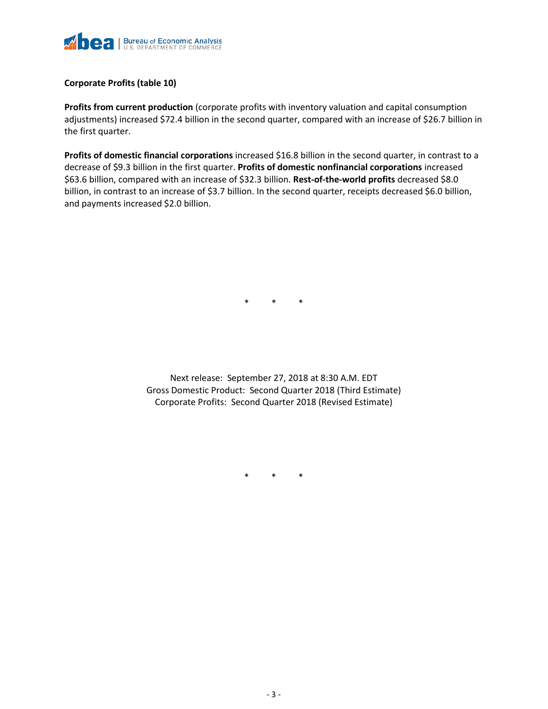

# **Corporate Profits (table 10)**

**Profits from current production** (corporate profits with inventory valuation and capital consumption adjustments) increased \$72.4 billion in the second quarter, compared with an increase of \$26.7 billion in the first quarter.

**Profits of domestic financial corporations** increased \$16.8 billion in the second quarter, in contrast to a decrease of \$9.3 billion in the first quarter. **Profits of domestic nonfinancial corporations** increased \$63.6 billion, compared with an increase of \$32.3 billion. **Rest-of-the-world profits** decreased \$8.0 billion, in contrast to an increase of \$3.7 billion. In the second quarter, receipts decreased \$6.0 billion, and payments increased \$2.0 billion.

\* \* \*

Next release: September 27, 2018 at 8:30 A.M. EDT Gross Domestic Product: Second Quarter 2018 (Third Estimate) Corporate Profits: Second Quarter 2018 (Revised Estimate)

\* \* \*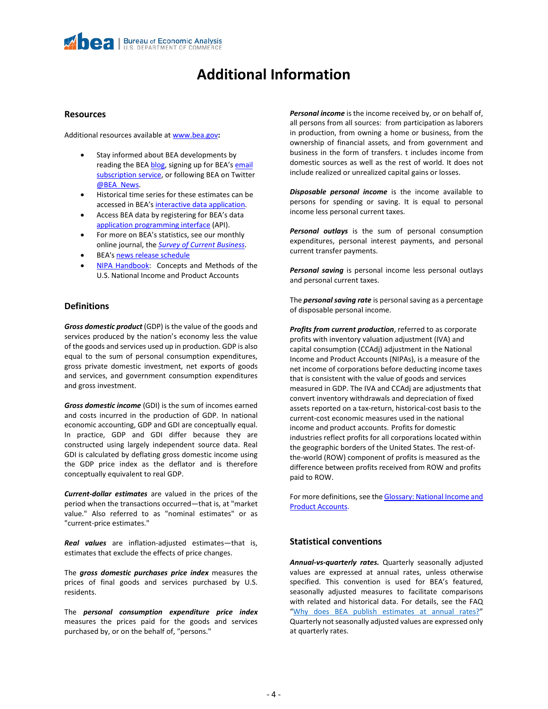# **Additional Information**

#### **Resources**

Additional resources available at [www.bea.gov](https://www.bea.gov/)**:** 

- Stay informed about BEA developments by reading the BE[A blog,](https://www.bea.gov/news/blog) signing up for BEA's email [subscription service,](https://www.bea.gov/_subscribe/) or following BEA on Twitter [@BEA\\_News.](https://www.twitter.com/BEA_News)
- Historical time series for these estimates can be accessed in BEA's [interactive data application.](https://apps.bea.gov/itable/index.cfm)
- Access BEA data by registering for BEA's data [application programming interface](https://apps.bea.gov/API/signup/index.cfm) (API).
- For more on BEA's statistics, see our monthly online journal, the *[Survey of Current Business](https://apps.bea.gov/scb/index.htm)*.
- BEA'[s news release schedule](https://www.bea.gov/news/schedule)
- **[NIPA Handbook:](https://www.bea.gov/resources/methodologies/nipa-handbook)** Concepts and Methods of the U.S. National Income and Product Accounts

#### **Definitions**

*Gross domestic product* (GDP) is the value of the goods and services produced by the nation's economy less the value of the goods and services used up in production. GDP is also equal to the sum of personal consumption expenditures, gross private domestic investment, net exports of goods and services, and government consumption expenditures and gross investment.

*Gross domestic income* (GDI) is the sum of incomes earned and costs incurred in the production of GDP. In national economic accounting, GDP and GDI are conceptually equal. In practice, GDP and GDI differ because they are constructed using largely independent source data. Real GDI is calculated by deflating gross domestic income using the GDP price index as the deflator and is therefore conceptually equivalent to real GDP.

*Current-dollar estimates* are valued in the prices of the period when the transactions occurred—that is, at "market value." Also referred to as "nominal estimates" or as "current-price estimates."

*Real values* are inflation-adjusted estimates—that is, estimates that exclude the effects of price changes.

The *gross domestic purchases price index* measures the prices of final goods and services purchased by U.S. residents.

The *personal consumption expenditure price index* measures the prices paid for the goods and services purchased by, or on the behalf of, "persons."

*Personal income* is the income received by, or on behalf of, all persons from all sources: from participation as laborers in production, from owning a home or business, from the ownership of financial assets, and from government and business in the form of transfers. t includes income from domestic sources as well as the rest of world. It does not include realized or unrealized capital gains or losses.

*Disposable personal income* is the income available to persons for spending or saving. It is equal to personal income less personal current taxes.

*Personal outlays* is the sum of personal consumption expenditures, personal interest payments, and personal current transfer payments.

*Personal saving* is personal income less personal outlays and personal current taxes.

The *personal saving rate* is personal saving as a percentage of disposable personal income.

*Profits from current production*, referred to as corporate profits with inventory valuation adjustment (IVA) and capital consumption (CCAdj) adjustment in the National Income and Product Accounts (NIPAs), is a measure of the net income of corporations before deducting income taxes that is consistent with the value of goods and services measured in GDP. The IVA and CCAdj are adjustments that convert inventory withdrawals and depreciation of fixed assets reported on a tax-return, historical-cost basis to the current-cost economic measures used in the national income and product accounts. Profits for domestic industries reflect profits for all corporations located within the geographic borders of the United States. The rest-ofthe-world (ROW) component of profits is measured as the difference between profits received from ROW and profits paid to ROW.

For more definitions, see the **Glossary: National Income and** [Product Accounts.](https://www.bea.gov/sites/default/files/methodologies/nipa-handbook-all-chapters.pdf#page=415)

#### **Statistical conventions**

*Annual-vs-quarterly rates.* Quarterly seasonally adjusted values are expressed at annual rates, unless otherwise specified. This convention is used for BEA's featured, seasonally adjusted measures to facilitate comparisons with related and historical data. For details, see the FAQ ["Why does BEA publish estimates at annual rates?"](https://www.bea.gov/help/faq/121) Quarterly not seasonally adjusted values are expressed only at quarterly rates.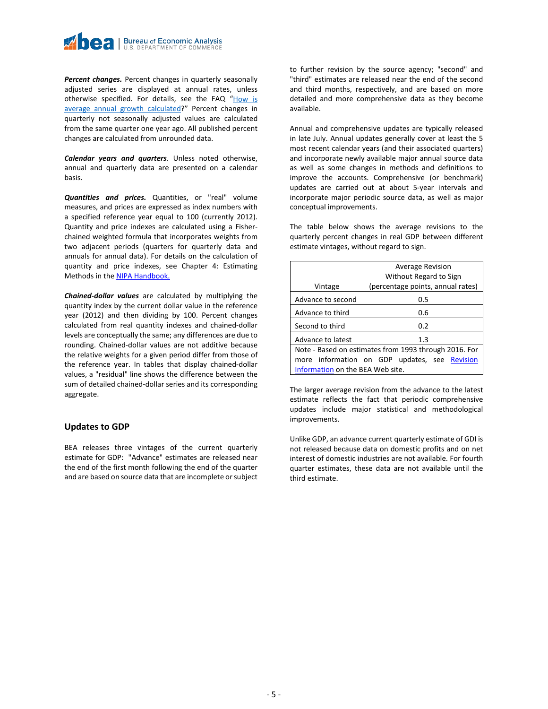

*Percent changes.* Percent changes in quarterly seasonally adjusted series are displayed at annual rates, unless otherwise specified. For details, see the FAQ "How is [average annual growth calculated?](https://www.bea.gov/help/faq/463)" Percent changes in quarterly not seasonally adjusted values are calculated from the same quarter one year ago. All published percent changes are calculated from unrounded data.

*Calendar years and quarters*. Unless noted otherwise, annual and quarterly data are presented on a calendar basis.

*Quantities and prices.* Quantities, or "real" volume measures, and prices are expressed as index numbers with a specified reference year equal to 100 (currently 2012). Quantity and price indexes are calculated using a Fisherchained weighted formula that incorporates weights from two adjacent periods (quarters for quarterly data and annuals for annual data). For details on the calculation of quantity and price indexes, see Chapter 4: Estimating Methods in the **NIPA Handbook**.

*Chained-dollar values* are calculated by multiplying the quantity index by the current dollar value in the reference year (2012) and then dividing by 100. Percent changes calculated from real quantity indexes and chained-dollar levels are conceptually the same; any differences are due to rounding. Chained-dollar values are not additive because the relative weights for a given period differ from those of the reference year. In tables that display chained-dollar values, a "residual" line shows the difference between the sum of detailed chained-dollar series and its corresponding aggregate.

#### **Updates to GDP**

BEA releases three vintages of the current quarterly estimate for GDP: "Advance" estimates are released near the end of the first month following the end of the quarter and are based on source data that are incomplete or subject

to further revision by the source agency; "second" and "third" estimates are released near the end of the second and third months, respectively, and are based on more detailed and more comprehensive data as they become available.

Annual and comprehensive updates are typically released in late July. Annual updates generally cover at least the 5 most recent calendar years (and their associated quarters) and incorporate newly available major annual source data as well as some changes in methods and definitions to improve the accounts. Comprehensive (or benchmark) updates are carried out at about 5-year intervals and incorporate major periodic source data, as well as major conceptual improvements.

The table below shows the average revisions to the quarterly percent changes in real GDP between different estimate vintages, without regard to sign.

|                                  | <b>Average Revision</b><br>Without Regard to Sign     |
|----------------------------------|-------------------------------------------------------|
| Vintage                          | (percentage points, annual rates)                     |
| Advance to second                | 0.5                                                   |
| Advance to third                 | 0.6                                                   |
| Second to third                  | 0.2                                                   |
| Advance to latest                | 1.3                                                   |
|                                  | Note - Based on estimates from 1993 through 2016. For |
|                                  | more information on GDP updates, see Revision         |
| Information on the BEA Web site. |                                                       |

The larger average revision from the advance to the latest estimate reflects the fact that periodic comprehensive updates include major statistical and methodological improvements.

Unlike GDP, an advance current quarterly estimate of GDI is not released because data on domestic profits and on net interest of domestic industries are not available. For fourth quarter estimates, these data are not available until the third estimate.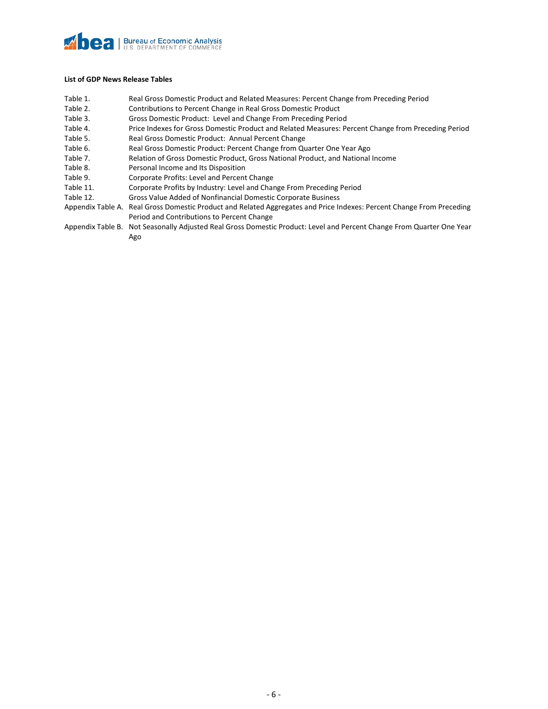

#### **List of GDP News Release Tables**

- Table 1. Real Gross Domestic Product and Related Measures: Percent Change from Preceding Period
- Table 2. Contributions to Percent Change in Real Gross Domestic Product
- Table 3. Gross Domestic Product: Level and Change From Preceding Period
- Table 4. Price Indexes for Gross Domestic Product and Related Measures: Percent Change from Preceding Period
- Table 5. Real Gross Domestic Product: Annual Percent Change
- Table 6. Real Gross Domestic Product: Percent Change from Quarter One Year Ago
- Table 7. Relation of Gross Domestic Product, Gross National Product, and National Income
- Table 8. Personal Income and Its Disposition
- Table 9. Corporate Profits: Level and Percent Change
- Table 11. Corporate Profits by Industry: Level and Change From Preceding Period
- Table 12. Gross Value Added of Nonfinancial Domestic Corporate Business
- Appendix Table A. Real Gross Domestic Product and Related Aggregates and Price Indexes: Percent Change From Preceding Period and Contributions to Percent Change
- Appendix Table B. Not Seasonally Adjusted Real Gross Domestic Product: Level and Percent Change From Quarter One Year Ago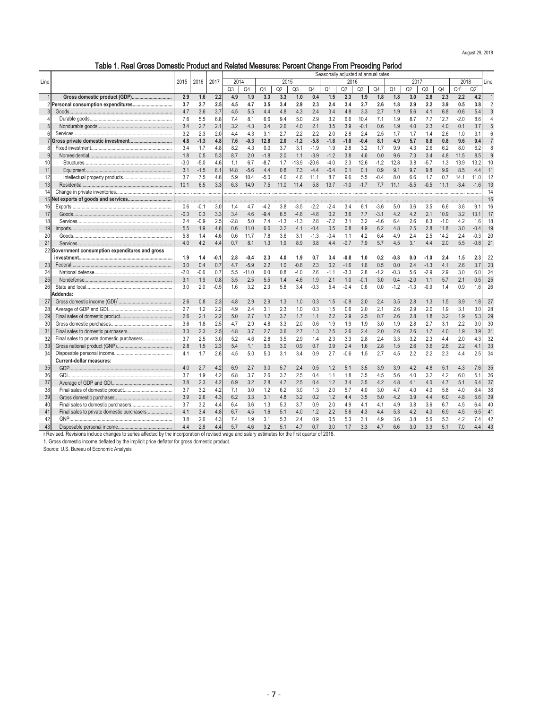# Table 1. Real Gross Domestic Product and Related Measures: Percent Change From Preceding Period

|      |                                                  | Seasonally adjusted at annual rates |        |        |        |         |        |                |         |         |                |                |        |        |        |        |        |        |        |        |                |
|------|--------------------------------------------------|-------------------------------------|--------|--------|--------|---------|--------|----------------|---------|---------|----------------|----------------|--------|--------|--------|--------|--------|--------|--------|--------|----------------|
| Line |                                                  | 2015                                | 2016   | 2017   | 2014   |         |        | 2015           |         |         |                | 2016           |        |        |        | 2017   |        |        | 2018   |        | Line           |
|      |                                                  |                                     |        |        | Q3     | Q4      | Q1     | Q <sub>2</sub> | Q3      | Q4      | Q <sub>1</sub> | Q <sub>2</sub> | Q3     | Q4     | Q1     | Q2     | Q3     | Q4     | $Q1^r$ | $Q2^r$ |                |
|      | Gross domestic product (GDP)                     | 2.9                                 | 1.6    | 2.2    | 4.9    | 1.9     | 3.3    | 3.3            | 1.0     | 0.4     | 1.5            | 2.3            | 1.9    | 1.8    | 1.8    | 3.0    | 2.8    | 2.3    | 2.2    | 4.2    | $\mathbf{1}$   |
|      | 2 Personal consumption expenditures              | 3.7                                 | 2.7    | 2.5    | 4.5    | 4.7     | 3.5    | 3.4            | 2.9     | 2.3     | 2.4            | 3.4            | 2.7    | 2.6    | 1.8    | 2.9    | 2.2    | 3.9    | 0.5    | 3.8    | $\overline{2}$ |
|      |                                                  | 4.7                                 | 3.6    | 3.7    | 4.5    | 5.5     | 4.4    | 4.8            | 4.3     | 2.4     | 3.4            | 4.8            | 3.3    | 2.7    | 1.9    | 5.6    | 4.1    | 6.8    | $-0.6$ | 5.4    | 3              |
|      |                                                  | 7.6                                 | 5.5    | 6.8    | 7.4    | 8.1     | 6.6    | 9.4            | 5.0     | 2.9     | 3.2            | 6.6            | 10.4   | 7.1    | 1.9    | 8.7    | 7.7    | 12.7   | $-2.0$ | 8.6    | 4              |
|      |                                                  | 3.4                                 | 2.7    | 2.1    | 3.2    | 4.3     | 3.4    | 2.6            | 4.0     | 2.1     | 3.5            | 3.9            | $-0.1$ | 0.6    | 1.9    | 4.0    | 2.3    | 4.0    | 0.1    | 3.7    | 5              |
| 6    |                                                  | 3.2                                 | 2.3    | 2.0    | 4.4    | 4.3     | 3.1    | 2.7            | 2.2     | 2.2     | 2.0            | 2.8            | 2.4    | 2.5    | 1.7    | 1.7    | 1.4    | 2.6    | 1.0    | 3.1    | 6              |
|      |                                                  | 4.8                                 | $-1.3$ | 4.8    | 7.6    | $-0.3$  | 12.8   | 2.0            | $-1.2$  | $-5.8$  | $-1.8$         | $-1.0$         | $-0.4$ | 8.1    | 4.9    | 5.7    | 8.8    | 0.8    | 9.6    | 0.4    | $\overline{7}$ |
| 8    |                                                  | 3.4                                 | 1.7    | 4.8    | 8.2    | 4.3     | 0.0    | 3.7            | 3.1     | $-1.9$  | 1.9            | 2.8            | 3.2    | 1.7    | 9.9    | 4.3    | 2.6    | 6.2    | 8.0    | 6.2    | 8              |
| 9    |                                                  | 1.8                                 | 0.5    | 5.3    | 8.7    | 2.0     | $-1.8$ | 2.0            | 1.1     | $-3.9$  | $-1.2$         | 3.8            | 4.6    | 0.0    | 9.6    | 7.3    | 3.4    | 4.8    | 11.5   | 8.5    | $\mathbf{Q}$   |
| 10   |                                                  | $-3.0$                              | $-5.0$ | 4.6    | 1.1    | 6.7     | $-8.7$ | 1.7            | $-13.9$ | $-20.6$ | $-4.0$         | 3.3            | 12.6   | $-1.2$ | 12.8   | 3.8    | $-5.7$ | 1.3    | 13.9   | 13.2   | 10             |
| 11   |                                                  | 3.1                                 | $-1.5$ | 6.1    | 14.8   | $-5.6$  | 4.4    | 0.8            | 7.3     | $-4.4$  | $-6.4$         | 0.1            | 0.1    | 0.9    | 9.1    | 9.7    | 9.8    | 9.9    | 8.5    | 4.4    | 11             |
| 12   |                                                  | 3.7                                 | 7.5    | 4.6    | 5.9    | 10.4    | $-5.0$ | 4.0            | 4.6     | 11.1    | 8.7            | 9.6            | 5.5    | $-0.4$ | 8.0    | 6.6    | 1.7    | 0.7    | 14.1   | 11.0   | 12             |
| 13   |                                                  | 10.1                                | 6.5    | 3.3    | 6.3    | 14.9    | 7.5    | 11.0           | 11.4    | 5.8     | 13.7           | $-1.0$         | $-1.7$ | 7.7    | 11.1   | $-5.5$ | $-0.5$ | 11.1   | $-3.4$ | $-1.6$ | 13             |
| 14   |                                                  |                                     |        |        |        |         |        |                |         |         |                |                |        |        |        |        |        |        |        |        | 14             |
|      |                                                  | .                                   |        |        |        |         |        |                |         |         |                |                |        |        |        |        |        |        |        |        | 15             |
| 16   |                                                  | 0.6                                 | $-0.1$ | 3.0    | 1.4    | 4.7     | $-4.2$ | 3.8            | $-3.5$  | $-2.2$  | $-2.4$         | 3.4            | 6.1    | $-3.6$ | 5.0    | 3.6    | 3.5    | 6.6    | 3.6    | 9.1    | 16             |
| 17   |                                                  | $-0.3$                              | 0.3    | 3.3    | 3.4    | 4.6     | $-9.4$ | 6.5            | $-4.6$  | $-4.8$  | 0.2            | 3.6            | 7.7    | $-3.1$ | 4.2    | 4.2    | 2.1    | 10.9   | 3.2    | 13.1   | 17             |
| 18   |                                                  | 2.4                                 | $-0.9$ | 2.5    | $-2.8$ | 5.0     | 7.4    | $-1.3$         | $-1.3$  | 2.8     | $-7.2$         | 3.1            | 3.2    | -4.6   | 6.4    | 2.6    | 6.3    | $-1.0$ | 4.2    | 1.6    | 18             |
| 19   |                                                  | 5.5                                 | 1.9    | 4.6    | 0.6    | 11.0    | 6.6    | 3.2            | 4.1     | $-0.4$  | 0.5            | 0.8            | 4.9    | 6.2    | 4.8    | 2.5    | 2.8    | 11.8   | 3.0    | $-0.4$ | 19             |
| 20   |                                                  | 5.8                                 | 1.4    | 4.6    | 0.6    | 11.7    | 7.8    | 3.6            | 3.1     | $-1.3$  | $-0.4$         | 1.1            | 4.2    | 6.4    | 4.9    | 2.4    | 2.5    | 14.2   | 2.4    | $-0.3$ | 20             |
| 21   |                                                  | 4.0                                 | 4.2    | 4.4    | 0.7    | 8.1     | 1.3    | 1.9            | 8.9     | 3.8     | 4.4            | $-0.7$         | 7.9    | 5.7    | 4.5    | 3.1    | 4.4    | 2.0    | 5.5    | $-0.8$ | 21             |
|      | 22 Government consumption expenditures and gross |                                     |        |        |        |         |        |                |         |         |                |                |        |        |        |        |        |        |        |        |                |
|      |                                                  | 1.9                                 | 1.4    | $-0.1$ | 2.8    | $-0.4$  | 2.3    | 4.0            | 1.9     | 0.7     | 3.4            | $-0.8$         | 1.0    | 0.2    | $-0.8$ | 0.0    | $-1.0$ | 2.4    | 1.5    | 2.3    | 22             |
| 23   |                                                  | 0.0                                 | 0.4    | 0.7    | 4.7    | $-5.9$  | 2.2    | 1.0            | $-0.6$  | 2.3     | 0.2            | $-1.6$         | 1.6    | 0.5    | 0.0    | 2.4    | $-1.3$ | 4.1    | 2.6    | 3.7    | 23             |
| 24   |                                                  | $-2.0$                              | $-0.6$ | 0.7    | 5.5    | $-11.0$ | 0.0    | 0.8            | $-4.0$  | 2.6     | $-1.1$         | $-3.3$         | 2.8    | $-1.2$ | $-0.3$ | 5.6    | $-2.9$ | 2.9    | 3.0    | 6.0    | 24             |
| 25   |                                                  | 3.1                                 | 1.9    | 0.8    | 3.5    | 2.5     | 5.5    | 1.4            | 4.6     | 1.9     | 2.1            | 1.0            | $-0.1$ | 3.0    | 0.4    | $-2.0$ | 1.1    | 5.7    | 2.1    | 0.5    | 25             |
| 26   |                                                  | 3.0                                 | 2.0    | $-0.5$ | 1.6    | 3.2     | 2.3    | 5.8            | 3.4     | $-0.3$  | 5.4            | $-0.4$         | 0.6    | 0.0    | $-1.2$ | $-1.3$ | $-0.9$ | 1.4    | 0.9    | 1.6    | 26             |
|      | Addenda:                                         |                                     |        |        |        |         |        |                |         |         |                |                |        |        |        |        |        |        |        |        |                |
| 27   |                                                  | 2.6                                 | 0.8    | 2.3    | 4.8    | 2.9     | 2.9    | 1.3            | 1.0     | 0.3     | 1.5            | $-0.9$         | 2.0    | 2.4    | 3.5    | 2.8    | 1.3    | 1.5    | 3.9    | 1.8    | 27             |
| 28   |                                                  | 2.7                                 | 1.2    | 2.2    | 4.9    | 2.4     | 3.1    | 2.3            | 1.0     | 0.3     | 1.5            | 0.6            | 2.0    | 2.1    | 2.6    | 2.9    | 2.0    | 1.9    | 3.1    | 3.0    | 28             |
| 29   |                                                  | 2.6                                 | 2.1    | 2.2    | 5.0    | 2.7     | 1.2    | 3.7            | 1.7     | 1.1     | 2.2            | 2.9            | 2.5    | 0.7    | 2.6    | 2.8    | 1.8    | 3.2    | 1.9    | 5.3    | 29             |
| 30   |                                                  | 3.6                                 | 1.8    | 2.5    | 4.7    | 2.9     | 4.8    | 3.3            | 2.0     | 0.6     | 1.9            | 1.9            | 1.9    | 3.0    | 1.9    | 2.8    | 2.7    | 3.1    | 2.2    | 3.0    | 30             |
| 31   |                                                  | 3.3                                 | 2.3    | 2.5    | 4.8    | 3.7     | 2.7    | 3.6            | 2.7     | 1.3     | 2.5            | 2.6            | 2.4    | 2.0    | 2.6    | 2.6    | 1.7    | 4.0    | 1.9    | 3.9    | 31             |
| 32   | Final sales to private domestic purchasers       | 3.7                                 | 2.5    | 3.0    | 5.2    | 4.6     | 2.8    | 3.5            | 2.9     | 1.4     | 2.3            | 3.3            | 2.8    | 2.4    | 3.3    | 3.2    | 2.3    | 4.4    | 2.0    | 4.3    | 32             |
| 33   |                                                  | 2.8                                 | 1.5    | 2.3    | 5.4    | 1.1     | 3.5    | 3.0            | 0.9     | 0.7     | 0.9            | 2.4            | 1.6    | 2.8    | 1.5    | 2.6    | 3.6    | 2.6    | 2.2    | 4.1    | 33             |
| 34   |                                                  | 4.1                                 | 1.7    | 2.6    | 4.5    | 5.0     | 5.0    | 3.1            | 3.4     | 0.9     | 2.7            | $-0.6$         | 1.5    | 2.7    | 4.5    | 2.2    | 2.2    | 2.3    | 4.4    | 2.5    | 34             |
|      | <b>Current-dollar measures:</b>                  |                                     |        |        |        |         |        |                |         |         |                |                |        |        |        |        |        |        |        |        |                |
| 35   |                                                  | 4.0                                 | 2.7    | 4.2    | 6.9    | 2.7     | 3.0    | 5.7            | 2.4     | 0.5     | 1.2            | 5.1            | 3.5    | 3.9    | 3.9    | 4.2    | 4.8    | 5.1    | 4.3    | 7.6    | 35             |
| 36   |                                                  | 3.7                                 | 1.9    | 4.2    | 6.8    | 3.7     | 2.6    | 3.7            | 2.5     | 0.4     | 1.1            | 1.8            | 3.5    | 4.5    | 5.6    | 4.0    | 3.2    | 4.2    | 6.0    | 5.1    | 36             |
| 37   |                                                  | 3.8                                 | 2.3    | 4.2    | 6.9    | 3.2     | 2.8    | 4.7            | 2.5     | 0.4     | 1.2            | 3.4            | 3.5    | 4.2    | 4.8    | 4.1    | 4.0    | 4.7    | 5.1    | 6.4    | 37             |
| 38   |                                                  | 3.7                                 | 3.2    | 4.2    | 7.1    | 3.0     | 1.2    | 6.2            | 3.0     | 1.3     | 2.0            | 5.7            | 4.0    | 3.0    | 4.7    | 4.0    | 4.0    | 5.8    | 4.0    | 8.4    | 38             |
| 39   |                                                  | 3.9                                 | 2.6    | 4.3    | 6.2    | 3.3     | 3.1    | 4.8            | 3.2     | 0.2     | 1.2            | 4.4            | 3.5    | 5.0    | 4.2    | 3.9    | 4.4    | 6.0    | 4.8    | 5.6    | 39             |
| 40   |                                                  | 3.7                                 | 3.2    | 4.4    | 6.4    | 3.6     | 1.3    | 5.3            | 3.7     | 0.9     | 2.0            | 4.9            | 4.1    | 4.1    | 4.9    | 3.8    | 3.6    | 6.7    | 4.5    | 6.4    | 40             |
| 41   | Final sales to private domestic purchasers       | 4.1                                 | 3.4    | 4.8    | 6.7    | 4.5     | 1.6    | 5.1            | 4.0     | 1.2     | 2.2            | 5.6            | 4.3    | 4.4    | 5.3    | 4.2    | 4.0    | 6.9    | 4.5    | 6.5    | 41             |
| 42   |                                                  | 3.8                                 | 2.6    | 4.3    | 7.4    | 1.9     | 3.1    | 5.3            | 2.4     | 0.9     | 0.5            | 5.3            | 3.1    | 4.9    | 3.6    | 3.8    | 5.6    | 5.3    | 4.2    | 7.4    | 42             |
| 43   |                                                  | 4.4                                 | 2.8    | 4.4    | 5.7    | 4.6     | 3.2    | 5.1            | 4.7     | 0.7     | 3.0            | 1.7            | 3.3    | 4.7    | 6.6    | 3.0    | 3.9    | 5.1    | 7.0    | 4.4    | 43             |

r Revised. Revisions include changes to series affected by the incorporation of revised wage and salary estimates for the first quarter of 2018.

1. Gross domestic income deflated by the implicit price deflator for gross domestic product.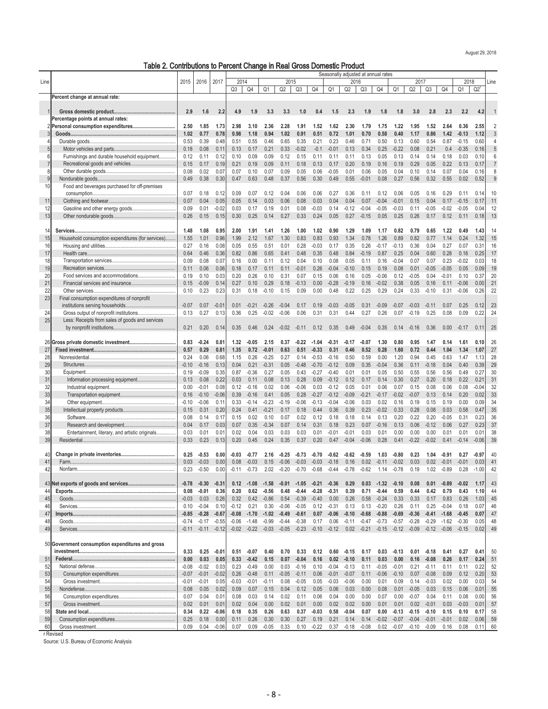#### Table 2. Contributions to Percent Change in Real Gross Domestic Product

|                  |                                                   |                 |                 |              |                 |                 |                    |                        |                    |                    |                 | Seasonally adjusted at annual rates |              |                    |                     |                 |                 |                    |                 |              |                |
|------------------|---------------------------------------------------|-----------------|-----------------|--------------|-----------------|-----------------|--------------------|------------------------|--------------------|--------------------|-----------------|-------------------------------------|--------------|--------------------|---------------------|-----------------|-----------------|--------------------|-----------------|--------------|----------------|
| Line             |                                                   | 2015            | 2016            | 2017         | 2014<br>Q3      | Q4              | Q1                 | 2015<br>Q <sub>2</sub> | Q3                 | Q <sub>4</sub>     | Q1              | 2016<br>Q <sub>2</sub>              | Q3           | Q4                 | Q1                  | 2017<br>Q2      | Q3              | Q4                 | 2018<br>Q1      | $Q2^r$       | Line           |
|                  | Percent change at annual rate:                    |                 |                 |              |                 |                 |                    |                        |                    |                    |                 |                                     |              |                    |                     |                 |                 |                    |                 |              |                |
|                  |                                                   | 2.9             | 1.6             | 2.2          | 4.9             | 1.9             | 3.3                | 3.3                    | 1.0                | 0.4                | 1.5             | 2.3                                 | 1.9          | 1.8                | 1.8                 | 3.0             | 2.8             | 2.3                | 2.2             | 4.2          | $\overline{1}$ |
|                  | Percentage points at annual rates:                |                 |                 |              |                 |                 |                    |                        |                    |                    |                 |                                     |              |                    |                     |                 |                 |                    |                 |              | $\overline{2}$ |
|                  | 2 Personal consumption expenditures               | 2.50<br>1.02    | 1.85<br>0.77    | 1.73<br>0.78 | 2.98<br>0.98    | 3.10<br>1.18    | 2.36<br>0.94       | 2.28<br>1.02           | 1.91<br>0.91       | 1.52<br>0.51       | 1.62<br>0.72    | 2.30<br>1.01                        | 1.79<br>0.70 | 1.75<br>0.58       | 1.22<br>0.40        | 1.95<br>1.17    | 1.52<br>0.86    | 2.64<br>1.42       | 0.36<br>$-0.13$ | 2.55<br>1.12 | 3              |
|                  |                                                   | 0.53            | 0.39            | 0.48         | 0.51            | 0.55            | 0.46               | 0.65                   | 0.35               | 0.21               | 0.23            | 0.46                                | 0.71         | 0.50               | 0.13                | 0.60            | 0.54            | 0.87               | $-0.15$         | 0.60         | $\overline{4}$ |
| 5 <sup>1</sup>   |                                                   | 0.18            | 0.08            | 0.11         | 0.13            | 0.17            | 0.21               | 0.33                   | $-0.02$            | $-0.1$             | $-0.01$         | 0.13                                | 0.34         | 0.25               | $-0.22$             | 0.08            | 0.21            | 0.4                | $-0.35$         | 0.16         | 5              |
| 6                | Furnishings and durable household equipment       | 0.12            | 0.11            | 0.12         | 0.10            | 0.09            | 0.09               | 0.12                   | 0.15               | 0.11               | 0.11            | 0.11                                | 0.13         | 0.05               | 0.13                | 0.14            | 0.14            | 0.18               | 0.03            | 0.10         | 6              |
| $\overline{7}$   |                                                   | 0.15            | 0.17            | 0.19         | 0.21            | 0.19            | 0.09               | 0.11                   | 0.18               | 0.13               | 0.17            | 0.20                                | 0.19         | 0.16               | 0.19                | 0.29            | 0.05            | 0.22               | 0.13            | 0.17         | $\overline{7}$ |
| $\boldsymbol{8}$ |                                                   | 0.08            | 0.02            | 0.07         | 0.07            | 0.10            | 0.07               | 0.09                   | 0.05               | 0.06               | $-0.05$         | 0.01                                | 0.06         | 0.05               | 0.04                | 0.10            | 0.14            | 0.07               | 0.04            | 0.16         | 8              |
| $\overline{9}$   |                                                   | 0.49            | 0.38            | 0.30         | 0.47            | 0.63            | 0.48               | 0.37                   | 0.56               | 0.30               | 0.49            | 0.55                                | $-0.01$      | 0.08               | 0.27                | 0.56            | 0.32            | 0.55               | 0.02            | 0.52         | 9              |
| 10               | Food and beverages purchased for off-premises     |                 |                 |              |                 |                 |                    |                        |                    |                    |                 |                                     |              |                    |                     |                 |                 |                    |                 |              |                |
| 11               |                                                   | 0.07<br>0.07    | 0.18<br>0.04    | 0.12<br>0.05 | 0.09<br>0.05    | 0.07<br>0.14    | 0.12<br>0.03       | 0.04<br>0.06           | 0.06<br>0.08       | 0.06<br>0.03       | 0.27<br>0.04    | 0.36<br>0.04                        | 0.11<br>0.07 | 0.12<br>$-0.04$    | 0.06<br>$-0.01$     | 0.05<br>0.15    | 0.16<br>0.04    | 0.29<br>0.17       | 0.11<br>$-0.15$ | 0.14<br>0.17 | 10<br>11       |
| 12               |                                                   | 0.09            | 0.01            | $-0.02$      | 0.03            | 0.17            | 0.19               | 0.01                   | 0.08               | $-0.03$            | 0.14            | $-0.12$                             | $-0.04$      | $-0.05$            | $-0.03$             | 0.11            | $-0.05$         | $-0.02$            | $-0.05$         | 0.04         | 12             |
| 13               |                                                   | 0.26            | 0.15            | 0.15         | 0.30            | 0.25            | 0.14               | 0.27                   | 0.33               | 0.24               | 0.05            | 0.27                                | $-0.15$      | 0.05               | 0.25                | 0.26            | 0.17            | 0.12               | 0.11            | 0.18         | 13             |
|                  |                                                   |                 |                 |              |                 |                 |                    |                        |                    |                    |                 |                                     |              |                    |                     |                 |                 |                    |                 |              |                |
| 14               |                                                   | 1.48            | 1.08            | 0.95         | 2.00            | 1.91            | 1.41               | 1.26                   | 1.00               | 1.02               | 0.90            | 1.29                                | 1.09         | 1.17               | 0.82                | 0.79            | 0.65            | 1.22               | 0.49            | 1.43         | 14             |
| 15               | Household consumption expenditures (for services) | 1.55            | 1.01            | 0.96         | 1.99            | 2.12            | 1.67               | 1.30                   | 0.83               | 0.83               | 0.93            | 1.34                                | 0.78         | 1.26               | 0.89                | 0.82            | 0.77            | 1.14               | 0.24            | 1.32         | 15             |
| 16               |                                                   | 0.27            | 0.16            | 0.08         | 0.05            | 0.55            | 0.51               | 0.01                   | 0.28               | $-0.03$            | 0.17            | 0.35                                | 0.26         | $-0.17$            | $-0.13$             | 0.36            | 0.04            | 0.27               | 0.07            | 0.31         | 16             |
| 17               |                                                   | 0.64            | 0.46            | 0.36         | 0.82            | 0.86            | 0.65               | 0.41                   | 0.48               | 0.35               | 0.48            | 0.84                                | $-0.19$      | 0.87               | 0.25                | 0.04            | 0.60            | 0.28               | 0.16            | 0.25         | 17             |
| 18               |                                                   | 0.09            | 0.08            | 0.07         | 0.16            | 0.00            | 0.11               | 0.12                   | 0.04               | 0.10               | 0.08            | 0.05                                | 0.11         | 0.16               | $-0.04$             | 0.07            | 0.07            | 0.23               | $-0.02$         | 0.03         | 18             |
| 19<br>20         |                                                   | 0.11<br>0.19    | 0.06<br>0.10    | 0.06<br>0.03 | 0.18<br>0.20    | 0.17<br>0.26    | 0.11<br>0.10       | 0.11<br>0.31           | $-0.01$<br>0.07    | 0.26<br>0.15       | $-0.04$<br>0.06 | $-0.10$<br>0.16                     | 0.15<br>0.05 | 0.19<br>$-0.06$    | 0.08<br>0.12        | 0.01<br>$-0.05$ | $-0.05$<br>0.04 | $-0.05$<br>$-0.01$ | 0.05<br>0.10    | 0.09<br>0.37 | 19<br>20       |
| 21               |                                                   | 0.15            | $-0.09$         | 0.14         | 0.27            | 0.10            | 0.29               | 0.18                   | $-0.13$            | 0.00               | $-0.28$         | $-0.19$                             | 0.16         | $-0.02$            | 0.38                | 0.05            | 0.16            | 0.11               | $-0.06$         | 0.00         | 21             |
| 22               |                                                   | 0.10            | 0.23            | 0.23         | 0.31            | 0.18            | $-0.10$            | 0.15                   | 0.09               | 0.00               | 0.48            | 0.22                                | 0.25         | 0.29               | 0.24                | 0.33            | $-0.10$         | 0.31               | $-0.06$         | 0.26         | 22             |
| 23               | Final consumption expenditures of nonprofit       |                 |                 |              |                 |                 |                    |                        |                    |                    |                 |                                     |              |                    |                     |                 |                 |                    |                 |              |                |
|                  |                                                   | $-0.07$         | 0.07            | $-0.02$      | 0.01            | -0.21           | $-0.26$            | $-0.04$                | 0.17               | 0.19               | $-0.03$         | $-0.05$                             | 0.31         | $-0.09$            | $-0.07$             | $-0.03$         | $-0.11$         | 0.07               | 0.25            | 0.12         | 23             |
| 24               |                                                   | 0.13            | 0.27            | 0.13         | 0.36            | 0.25            | $-0.02$            | $-0.06$                | 0.06               | 0.31               | 0.31            | 0.44                                | 0.27         | 0.26               | 0.07                | $-0.19$         | 0.25            | 0.08               | 0.09            | 0.22         | 24             |
| 25               | Less: Receipts from sales of goods and services   |                 |                 |              |                 |                 |                    |                        |                    |                    |                 |                                     |              |                    |                     |                 |                 |                    |                 |              |                |
|                  |                                                   | 0.21            | 0.20            | 0.14         | 0.35            | 0.46            | 0.24               | $-0.02$                | $-0.11$            | 0.12               | 0.35            | 0.49                                | $-0.04$      | 0.35               | 0.14                | $-0.16$         | 0.36            | 0.00               | $-0.17$         | 0.11         | 25             |
|                  |                                                   |                 |                 |              |                 | $-0.05$         |                    |                        | $-0.22$            | $-1.04$            |                 |                                     | $-0.07$      |                    | 0.80                |                 |                 | 0.14               |                 | 0.10         |                |
| 27               |                                                   | 0.83<br>0.57    | $-0.24$<br>0.29 | 0.81<br>0.81 | 1.32<br>1.35    | 0.72            | 2.15<br>$-0.01$    | 0.37<br>0.63           | 0.51               | $-0.33$            | $-0.31$<br>0.31 | -0.17<br>0.46                       | 0.52         | 1.30<br>0.28       | 1.60                | 0.95<br>0.72    | 1.47<br>0.44    | 1.04               | 1.61<br>1.34    | 1.07         | 26<br>27       |
| 28               |                                                   | 0.24            | 0.06            | 0.68         | 1.15            | 0.26            | $-0.25$            | 0.27                   | 0.14               | $-0.53$            | $-0.16$         | 0.50                                | 0.59         | 0.00               | 1.20                | 0.94            | 0.45            | 0.63               | 1.47            | 1.13         | 28             |
| 29               |                                                   | $-0.10$         | $-0.16$         | 0.13         | 0.04            | 0.21            | $-0.31$            | 0.05                   | $-0.48$            | $-0.70$            | $-0.12$         | 0.09                                | 0.35         | $-0.04$            | 0.36                | 0.11            | $-0.18$         | 0.04               | 0.40            | 0.39         | 29             |
| 30               |                                                   | 0.19            | $-0.09$         | 0.35         | 0.87            | $-0.36$         | 0.27               | 0.05                   | 0.43               | $-0.27$            | $-0.40$         | 0.01                                | 0.01         | 0.05               | 0.50                | 0.55            | 0.56            | 0.56               | 0.49            | 0.27         | 30             |
| 31               |                                                   | 0.13            | 0.08            | 0.22         | 0.03            | 0.11            | 0.08               | 0.13                   | 0.28               | 0.09               | $-0.12$         | 0.12                                | 0.17         | 0.14               | 0.30                | 0.27            | 0.20            | 0.18               | 0.22            | 0.21         | 31             |
| 32               |                                                   | 0.00            | $-0.01$         | 0.08         | 0.12            | $-0.16$         | 0.02               | 0.06                   | $-0.06$            | 0.03               | $-0.12$         | 0.05                                | 0.01         | 0.06               | 0.07                | 0.15            | 0.08            | 0.06               | 0.08            | $-0.04$      | 32             |
| 33               |                                                   | 0.16            | $-0.10$         | $-0.06$      | 0.39            | $-0.16$         | 0.41               | 0.05                   | 0.28               | $-0.27$            | $-0.12$         | $-0.09$                             | $-0.21$      | $-0.17$            | $-0.02$             | $-0.07$         | 0.13            | 0.14               | 0.20            | 0.02         | 33             |
| 34               |                                                   | $-0.10$         | $-0.06$         | 0.11         | 0.33            | $-0.14$         | $-0.23$            | $-0.19$                | $-0.06$            | $-0.13$            | $-0.04$         | $-0.06$                             | 0.03         | 0.02               | 0.16                | 0.19            | 0.15            | 0.19               | 0.00            | 0.09         | 34             |
| 35               |                                                   | 0.15            | 0.31            | 0.20         | 0.24            | 0.41            | $-0.21$            | 0.17                   | 0.18               | 0.44               | 0.36            | 0.39                                | 0.23         | $-0.02$            | 0.33                | 0.28            | 0.08            | 0.03               | 0.58            | 0.47         | 35             |
| 36<br>37         |                                                   | 0.08<br>0.04    | 0.14<br>0.17    | 0.17<br>0.03 | 0.15<br>0.07    | 0.02<br>0.35    | 0.10<br>$-0.34$    | 0.07<br>0.07           | 0.02<br>0.14       | 0.12<br>0.31       | 0.18<br>0.18    | 0.18<br>0.23                        | 0.14<br>0.07 | 0.13<br>$-0.16$    | 0.20<br>0.13        | 0.22<br>0.06    | 0.20            | $-0.05$<br>0.06    | 0.31<br>0.27    | 0.23<br>0.23 | 36<br>37       |
| 38               | Entertainment, literary, and artistic originals   | 0.03            | 0.01            | 0.01         | 0.02            | 0.04            | 0.03               | 0.03                   | 0.03               | 0.01               | $-0.01$         | $-0.01$                             | 0.03         | 0.01               | 0.00                | 0.00            | $-0.12$<br>0.00 | 0.01               | 0.01            | 0.01         | 38             |
| 39               |                                                   | 0.33            | 0.23            | 0.13         | 0.20            | 0.45            | 0.24               | 0.35                   | 0.37               | 0.20               | 0.47            | $-0.04$                             | $-0.06$      | 0.28               | 0.41                | $-0.22$         | $-0.02$         | 0.41               | $-0.14$         | $-0.06$      | 39             |
|                  |                                                   |                 |                 |              |                 |                 |                    |                        |                    |                    |                 |                                     |              |                    |                     |                 |                 |                    |                 |              |                |
| 40               |                                                   | 0.25            | $-0.53$         | 0.00         | $-0.03$         | $-0.77$         | 2.16               | $-0.25$                | $-0.73$            | -0.70              | -0.62           | $-0.62$                             | $-0.59$      | 1.03               | -0.80               | 0.23            | 1.04            | $-0.91$            | 0.27            | $-0.97$      | 40             |
| 41               |                                                   | 0.03            | $-0.03$         | 0.00         | 0.08            | $-0.03$         | 0.15               | $-0.06$                | $-0.03$            | $-0.03$            | $-0.18$         | 0.16                                | 0.02         | $-0.11$            | $-0.02$             | 0.03            | 0.02            | $-0.01$            | $-0.01$         | 0.03         | 41             |
| 42               |                                                   | 0.23            | $-0.50$         | 0.00         | $-0.11$         | $-0.73$         | 2.02               | $-0.20$                | $-0.70$            | $-0.68$            | $-0.44$         | $-0.78$                             | $-0.62$      | 1.14               | $-0.78$             | 0.19            | 1.02            | $-0.89$            | 0.28            | $-1.00$      | 42             |
|                  |                                                   |                 |                 |              |                 |                 |                    |                        |                    |                    |                 |                                     |              |                    |                     |                 |                 |                    |                 |              |                |
|                  |                                                   | $-0.78$         | $-0.30$         | $-0.31$      | 0.12            | $-1.08$         | $-1.58$            | $-0.01$                | $-1.05$            | $-0.21$            | $-0.36$         | 0.29                                | 0.03         | $-1.32$            | $-0.10$             | 0.08            | 0.01            | $-0.89$            | $-0.02$         | 1.17         | 43             |
| 44<br>45         |                                                   | 0.08<br>$-0.03$ | $-0.01$<br>0.03 | 0.36<br>0.26 | 0.20<br>0.32    | 0.62<br>0.42    | $-0.56$<br>$-0.86$ | 0.48<br>0.54           | $-0.44$<br>$-0.39$ | $-0.28$<br>$-0.40$ | $-0.31$<br>0.00 | 0.39<br>0.26                        | 0.71<br>0.58 | $-0.44$<br>$-0.24$ | 0.59<br>0.33        | 0.44<br>0.33    | 0.42<br>0.17    | 0.79<br>0.83       | 0.43<br>0.26    | 1.10<br>1.03 | 44<br>45       |
| 46               |                                                   | 0.10            | $-0.04$         | 0.10         | $-0.12$         | 0.21            | 0.30               | $-0.06$                | $-0.05$            | 0.12               | $-0.31$         | 0.13                                | 0.13         | $-0.20$            | 0.26                | 0.11            | 0.25            | $-0.04$            | 0.18            | 0.07         | 46             |
| 47               |                                                   | $-0.85$         | $-0.28$         | $-0.67$      | $-0.08$         | $-1.70$         | $-1.02$            | $-0.49$                | $-0.61$            | 0.07               | $-0.06$         | $-0.10$                             | $-0.68$      | $-0.88$            | $-0.69$             | $-0.36$         | $-0.41$         | $-1.68$            | $-0.45$         | 0.07         | 47             |
| 48               |                                                   | $-0.74$         | $-0.17$         | $-0.55$      | $-0.06$         | $-1.48$         | $-0.99$            | $-0.44$                | $-0.38$            | 0.17               | 0.06            | $-0.11$                             | $-0.47$      | $-0.73$            | $-0.57$             | $-0.28$         | $-0.29$         | $-1.62$            | $-0.30$         | 0.05         | 48             |
| 49               |                                                   | $-0.11$         | $-0.11$         | $-0.12$      | $-0.02$         | $-0.22$         | $-0.03$            | $-0.05$                | $-0.23$            | $-0.10$            | $-0.12$         |                                     | $0.02 -0.21$ |                    | $-0.15 -0.12 -0.09$ |                 | $-0.12 -0.06$   |                    | $-0.15$         | 0.02         | 49             |
|                  |                                                   |                 |                 |              |                 |                 |                    |                        |                    |                    |                 |                                     |              |                    |                     |                 |                 |                    |                 |              |                |
|                  | 50 Government consumption expenditures and gross  |                 |                 |              |                 |                 |                    |                        |                    |                    |                 |                                     |              |                    |                     |                 |                 |                    |                 |              |                |
|                  |                                                   | 0.33            | 0.25            | $-0.01$      | 0.51            | $-0.07$         | 0.40               | 0.70                   | 0.33               | 0.12               | 0.60            | $-0.15$                             | 0.17         | 0.03               | $-0.13$             | 0.01            | $-0.18$         | 0.41               | 0.27            | 0.41         | 50             |
| 51               |                                                   | 0.00            | 0.03            | 0.05         | 0.33            | $-0.42$         | 0.15               | 0.07                   | $-0.04$            | 0.16               | 0.02            | $-0.10$                             | 0.11         | 0.03               | 0.00                | 0.16            | $-0.08$         | 0.26               | 0.17            | 0.24         | 51             |
| 52               |                                                   | $-0.08$         | $-0.02$         | 0.03         | 0.23            | $-0.49$         | 0.00               | 0.03                   | $-0.16$            | 0.10               | $-0.04$         | $-0.13$                             | 0.11         | $-0.05$            | $-0.01$             | 0.21            | $-0.11$         | 0.11               | 0.11            | 0.22         | 52             |
| 53               |                                                   | $-0.07$         | $-0.01$         | $-0.02$      | 0.26            | $-0.48$         | 0.11               | $-0.05$                | $-0.11$            | 0.06               | $-0.01$         | $-0.07$                             | 0.11         | $-0.06$            | $-0.10$             | 0.07            | $-0.08$         | 0.09               | 0.12            | 0.20         | 53             |
| 54<br>55         |                                                   | $-0.01$<br>0.08 | $-0.01$<br>0.05 | 0.05<br>0.02 | $-0.03$<br>0.09 | $-0.01$<br>0.07 | $-0.11$<br>0.15    | 0.08<br>0.04           | $-0.05$<br>0.12    | 0.05<br>0.05       | $-0.03$<br>0.06 | $-0.06$<br>0.03                     | 0.00<br>0.00 | 0.01<br>0.08       | 0.09<br>0.01        | 0.14<br>$-0.05$ | $-0.03$<br>0.03 | 0.02<br>0.15       | 0.00<br>0.06    | 0.03<br>0.01 | 54<br>55       |
| 56               |                                                   | 0.07            | 0.04            | 0.01         | 0.08            | 0.03            | 0.14               | 0.02                   | 0.11               | 0.06               | 0.04            | 0.00                                | 0.00         | 0.07               | 0.00                | $-0.07$         | 0.04            | 0.11               | 0.08            | 0.00         | 56             |
| 57               |                                                   | 0.02            | 0.01            | 0.01         | 0.02            | 0.04            | 0.00               | 0.02                   | 0.01               | 0.00               | 0.02            | 0.02                                | 0.00         | 0.01               | 0.01                | 0.02            | $-0.01$         | 0.03               | $-0.03$         | 0.01         | 57             |
| 58               |                                                   | 0.34            | 0.22            | $-0.06$      | 0.18            | 0.35            | 0.26               | 0.63                   | 0.37               | $-0.03$            | 0.58            | $-0.04$                             | 0.07         | 0.00               | $-0.13$             | $-0.15$         | $-0.10$         | 0.15               | 0.10            | 0.17         | 58             |
| 59               |                                                   | 0.25            | 0.18            | 0.00         | 0.11            | 0.26            | 0.30               | 0.30                   | 0.27               | 0.19               | 0.21            | 0.14                                | 0.14         | $-0.02$            | $-0.07$             | $-0.04$         | $-0.01$         | $-0.01$            | 0.02            | 0.06         | 59             |
| 60               |                                                   | 0.09            | 0.04            | $-0.06$      | 0.07            | 0.09            | $-0.05$            | 0.33                   | 0.10               | $-0.22$            | 0.37            | $-0.18$                             | $-0.08$      | 0.02               | $-0.07$             | $-0.10$         | $-0.09$         | 0.16               | 0.08            | 0.11         | 60             |

r Revised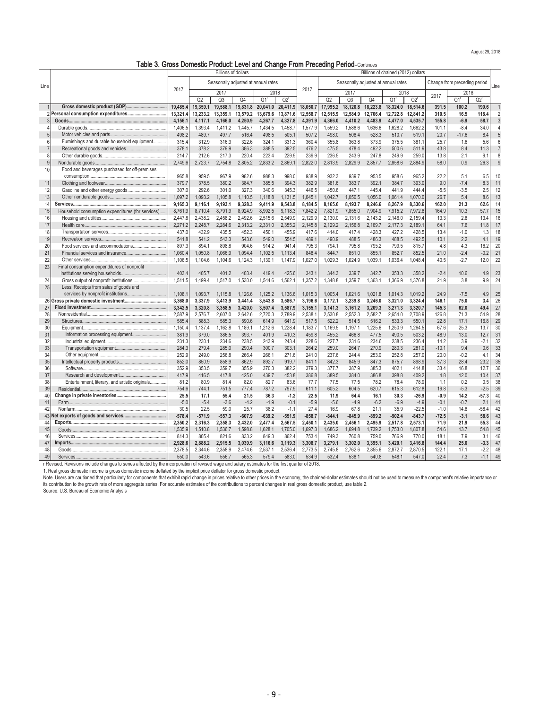#### Table 3. Gross Domestic Product: Level and Change From Preceding Period-Continues

| Seasonally adjusted at annual rates<br>Seasonally adjusted at annual rates<br>Line<br>2017<br>2017<br>2017<br>2017<br>2018<br>$Q1$ <sup>r</sup><br>Q <sub>3</sub><br>$Q1$ <sup>r</sup><br>O <sub>2</sub><br>Q3<br>Q4<br>$Q2^r$<br>Q2<br>Q4<br>19,588.1<br>19.831.8 20.041.0<br>18.223.8<br>19.485.4<br>19.359.1<br>20.411.9<br>18.050.7<br>17.995.2<br>18.120.8<br>13.321.4<br>12,584.9<br>12.722.8<br>13.233.2<br>13.359.1<br>13,579.2<br>13.679.6<br>13.871.6<br>12,558.7<br>12.515.9<br>12,706.4<br>4,156.1<br>4,391.9<br>4,366.0<br>3<br>4.117.1<br>4,166.0<br>4,250.9<br>4,267.7<br>4,327.8<br>4,410.2<br>4,483.9<br>1,406.5<br>1,393.4<br>1,636.6<br>1,411.2<br>1,445.7<br>1,434.5<br>1,458.7<br>1,577.9<br>1,559.2<br>1,588.6<br>5 <sup>1</sup><br>498.2<br>489.7<br>497.7<br>498.5<br>507.2<br>498.0<br>508.4<br>528.3<br>516.4<br>505.1<br>315.4<br>6<br>Furnishings and durable household equipment<br>312.9<br>316.3<br>322.6<br>324.1<br>331.3<br>360.4<br>355.8<br>363.8<br>373.9<br>$\overline{7}$<br>378.1<br>378.2<br>379.9<br>386.3<br>388.5<br>392.5<br>476.2<br>475.5<br>478.4<br>492.2<br>8<br>229.9<br>214.7<br>212.6<br>217.3<br>220.4<br>223.4<br>239.9<br>236.5<br>243.9<br>247.8<br>9<br>2,749.6<br>2,723.7<br>2,805.2<br>2,833.2<br>2,869.1<br>2,822.0<br>2,813.9<br>2,829.9<br>2,754.8<br>2,857.7<br>10<br>Food and beverages purchased for off-premises<br>965.8<br>959.5<br>967.9<br>982.6<br>988.3<br>998.0<br>938.9<br>932.3<br>939.7<br>953.5<br>379.7<br>378.5<br>380.2<br>384.7<br>385.5<br>394.3<br>382.9<br>381.6<br>392.1<br>11<br>383.7<br>292.6<br>345.3<br>450.6<br>12<br>307.0<br>301.0<br>327.3<br>340.6<br>446.5<br>447.1<br>445.4<br>13<br>1,097.2<br>1,093.2<br>1,105.8<br>1.045.1<br>1,042.7<br>1,050.5<br>1,056.0<br>1,110.5<br>1,118.8<br>1,131.5<br>9,165.3<br>14<br>9.116.1<br>9,193.1<br>9,328.3<br>9,411.9<br>9,543.8<br>8,184.5<br>8,165.6<br>8,246.6<br>8,193.7<br>15<br>8,761.9<br>8.710.4<br>8.791.9<br>8,924.9<br>8,992.5<br>7.842.2<br>7,821.9<br>7,855.0<br>7,904.9<br>Household consumption expenditures (for services)<br>9,118.3<br>16<br>2,447.8<br>2,438.2<br>2,458.2<br>2,492.6<br>2,549.9<br>2,129.9<br>2,130.0<br>2,131.6<br>2,143.2<br>2,515.6<br>17<br>2.271.2<br>2.284.6<br>2.145.8<br>2.248.7<br>2.313.2<br>2.331.0<br>2.355.2<br>2.129.2<br>2.156.8<br>2.169.7<br>18<br>437.0<br>432.9<br>435.5<br>452.3<br>450.1<br>455.9<br>417.6<br>414.0<br>417.4<br>428.3<br>19<br>541.8<br>541.2<br>543.3<br>543.6<br>549.0<br>489.1<br>490.9<br>488.5<br>486.3<br>554.5<br>20<br>897.3<br>894.1<br>795.3<br>898.8<br>904.6<br>914.2<br>941.4<br>794.1<br>795.8<br>795.2<br>21<br>1.060.4<br>1,050.8<br>1,066.9<br>1,094.4<br>848.4<br>844.7<br>855.1<br>1,102.5<br>1,113.4<br>851.0<br>22<br>1,104.6<br>1,104.6<br>1,124.3<br>1,147.9<br>1,027.0<br>1,029.3<br>1,024.9<br>1,039.1<br>1.106.5<br>1,130.1<br>23<br>Final consumption expenditures of nonprofit<br>403.4<br>405.7<br>401.2<br>403.4<br>425.6<br>343.1<br>344.3<br>342.7<br>419.4<br>339.7<br>24<br>1,499.4<br>1,511.5<br>1,517.0<br>1,530.0<br>1,544.6<br>1,562.1<br>1,357.2<br>1,348.8<br>1,359.7<br>1,363.1<br>25<br>Less: Receipts from sales of goods and<br>1,108.1<br>1,093.7<br>1,125.2<br>1,015.3<br>1,005.4<br>1,021.6<br>1,021.8<br>1,115.8<br>1,126.6<br>1,136.6<br>3.368.0<br>3.337.9<br>3.413.9<br>3.196.6<br>3.246.0<br>3.441.4<br>3.543.8<br>3.586.7<br>3.172.1<br>3.239.8<br>27<br>3,342.5<br>3,320.8<br>3,358.5<br>3,420.0<br>3,507.4<br>3,587.9<br>3,155.1<br>3,141.3<br>3,161.2<br>3,209.3<br>28<br>2,587.9<br>2,576.7<br>2,607.0<br>2,642.6<br>2,720.3<br>2,789.9<br>2,538.1<br>2,530.8<br>2,552.3<br>2,582.7<br>29<br>585.4<br>588.3<br>585.3<br>590.6<br>614.9<br>641.9<br>517.5<br>522.2<br>514.5<br>516.2<br>30<br>1,228.4<br>1,150.4<br>1,137.4<br>1,162.8<br>1,189.1<br>1,212.6<br>1,183.7<br>1,169.5<br>1,197.1<br>1,225.6<br>31<br>381.9<br>379.0<br>386.5<br>393.7<br>410.3<br>459.8<br>455.2<br>466.8<br>401.9<br>477.5<br>32<br>231.3<br>230.1<br>243.4<br>227.7<br>234.6<br>238.5<br>243.9<br>228.6<br>231.6<br>234.6<br>33<br>279.4<br>284.3<br>285.0<br>290.4<br>300.7<br>303.1<br>264.2<br>259.0<br>270.9<br>264.7<br>34<br>252.9<br>249.0<br>256.8<br>266.4<br>266.1<br>271.6<br>241.0<br>237.6<br>244.4<br>253.0<br>35<br>852.0<br>850.9<br>858.9<br>862.9<br>892.7<br>919.7<br>841.1<br>842.3<br>845.9<br>847.3<br>36<br>352.9<br>353.5<br>382.2<br>379.3<br>359.7<br>355.9<br>370.3<br>377.7<br>387.9<br>385.3<br>37<br>417.9<br>416.5<br>417.8<br>425.0<br>439.7<br>453.8<br>386.8<br>389.5<br>384.0<br>386.8<br>38<br>Entertainment, literary, and artistic originals<br>80.9<br>81.2<br>81.4<br>82.0<br>82.7<br>83.6<br>77.7<br>77.5<br>78.2<br>77.5<br>39<br>754.6<br>751.5<br>777.4<br>787.2<br>797.9<br>605.2<br>604.5<br>620.7<br>744.1<br>611.1<br>40<br>25.5<br>17.1<br>55.4<br>36.3<br>$-1.2$<br>22.5<br>11.9<br>64.4<br>21.5<br>16.1<br>41<br>$-5.0$<br>$-5.4$<br>$-3.6$<br>$-4.2$<br>$-1.9$<br>$-0.1$<br>$-5.9$<br>$-5.6$<br>$-4.9$<br>$-6.2$<br>42<br>30.5<br>22.5<br>$-1.1$<br>59.0<br>25.7<br>38.2<br>27.4<br>16.9<br>67.8<br>21.1<br>43 N<br>$-578.4$<br>$-571.9$<br>$-557.3$<br>$-639.2$<br>$-858.7$<br>$-844.1$<br>$-845.9$<br>$-899.2$<br>$-607.9$<br>$-551.9$<br>2,350.2<br>2.316.3<br>2.358.3<br>2.432.0<br>2.477.4<br>2.567.5<br>2.450.1<br>2.435.0<br>2.456.1<br>2.495.9<br>44<br>1,697.3<br>45<br>1,535.9<br>1,510.8<br>1,536.7<br>1,598.8<br>1,628.1<br>1,705.0<br>1,686.2<br>1,694.8<br>1,739.2<br>46<br>814.3<br>805.4<br>821.6<br>833.2<br>849.3<br>862.4<br>753.4<br>749.3<br>760.8<br>759.0<br>47<br>2,928.6<br>2,888.2<br>2,915.5<br>3,039.9<br>3,116.6<br>3,119.3<br>3,308.7<br>3,279.1<br>3,302.0<br>3,395.1<br>48<br>2.378.5<br>2.344.6<br>2.358.9<br>2.474.6<br>2.537.1<br>2.536.4<br>2.773.5<br>2.762.6<br>2.855.6<br>2.745.8 | Billions of chained (2012) dollars |  |          |          |         |                              |         |                |
|--------------------------------------------------------------------------------------------------------------------------------------------------------------------------------------------------------------------------------------------------------------------------------------------------------------------------------------------------------------------------------------------------------------------------------------------------------------------------------------------------------------------------------------------------------------------------------------------------------------------------------------------------------------------------------------------------------------------------------------------------------------------------------------------------------------------------------------------------------------------------------------------------------------------------------------------------------------------------------------------------------------------------------------------------------------------------------------------------------------------------------------------------------------------------------------------------------------------------------------------------------------------------------------------------------------------------------------------------------------------------------------------------------------------------------------------------------------------------------------------------------------------------------------------------------------------------------------------------------------------------------------------------------------------------------------------------------------------------------------------------------------------------------------------------------------------------------------------------------------------------------------------------------------------------------------------------------------------------------------------------------------------------------------------------------------------------------------------------------------------------------------------------------------------------------------------------------------------------------------------------------------------------------------------------------------------------------------------------------------------------------------------------------------------------------------------------------------------------------------------------------------------------------------------------------------------------------------------------------------------------------------------------------------------------------------------------------------------------------------------------------------------------------------------------------------------------------------------------------------------------------------------------------------------------------------------------------------------------------------------------------------------------------------------------------------------------------------------------------------------------------------------------------------------------------------------------------------------------------------------------------------------------------------------------------------------------------------------------------------------------------------------------------------------------------------------------------------------------------------------------------------------------------------------------------------------------------------------------------------------------------------------------------------------------------------------------------------------------------------------------------------------------------------------------------------------------------------------------------------------------------------------------------------------------------------------------------------------------------------------------------------------------------------------------------------------------------------------------------------------------------------------------------------------------------------------------------------------------------------------------------------------------------------------------------------------------------------------------------------------------------------------------------------------------------------------------------------------------------------------------------------------------------------------------------------------------------------------------------------------------------------------------------------------------------------------------------------------------------------------------------------------------------------------------------------------------------------------------------------------------------------------------------------------------------------------------------------------------------------------------------------------------------------------------------------------------------------------------------------------------------------------------------------------------------------------------------------------------------------------------------------------------------------------------------------------------------------------------------------------------------------------------------------------------------------------------------------------------------------------------------------------------------------------------------------------------------------------------------------------------------------------------------------------------------------------------------------------------------------------------------------------------------------------------------------------------------------|------------------------------------|--|----------|----------|---------|------------------------------|---------|----------------|
|                                                                                                                                                                                                                                                                                                                                                                                                                                                                                                                                                                                                                                                                                                                                                                                                                                                                                                                                                                                                                                                                                                                                                                                                                                                                                                                                                                                                                                                                                                                                                                                                                                                                                                                                                                                                                                                                                                                                                                                                                                                                                                                                                                                                                                                                                                                                                                                                                                                                                                                                                                                                                                                                                                                                                                                                                                                                                                                                                                                                                                                                                                                                                                                                                                                                                                                                                                                                                                                                                                                                                                                                                                                                                                                                                                                                                                                                                                                                                                                                                                                                                                                                                                                                                                                                                                                                                                                                                                                                                                                                                                                                                                                                                                                                                                                                                                                                                                                                                                                                                                                                                                                                                                                                                                                                                                                                                                                                                                                                                                                                                                                                                                                                                                                                                                                                                                      |                                    |  |          |          |         | Change from preceding period |         | Line           |
|                                                                                                                                                                                                                                                                                                                                                                                                                                                                                                                                                                                                                                                                                                                                                                                                                                                                                                                                                                                                                                                                                                                                                                                                                                                                                                                                                                                                                                                                                                                                                                                                                                                                                                                                                                                                                                                                                                                                                                                                                                                                                                                                                                                                                                                                                                                                                                                                                                                                                                                                                                                                                                                                                                                                                                                                                                                                                                                                                                                                                                                                                                                                                                                                                                                                                                                                                                                                                                                                                                                                                                                                                                                                                                                                                                                                                                                                                                                                                                                                                                                                                                                                                                                                                                                                                                                                                                                                                                                                                                                                                                                                                                                                                                                                                                                                                                                                                                                                                                                                                                                                                                                                                                                                                                                                                                                                                                                                                                                                                                                                                                                                                                                                                                                                                                                                                                      | 2018                               |  |          |          | 2017    | 2018                         |         |                |
|                                                                                                                                                                                                                                                                                                                                                                                                                                                                                                                                                                                                                                                                                                                                                                                                                                                                                                                                                                                                                                                                                                                                                                                                                                                                                                                                                                                                                                                                                                                                                                                                                                                                                                                                                                                                                                                                                                                                                                                                                                                                                                                                                                                                                                                                                                                                                                                                                                                                                                                                                                                                                                                                                                                                                                                                                                                                                                                                                                                                                                                                                                                                                                                                                                                                                                                                                                                                                                                                                                                                                                                                                                                                                                                                                                                                                                                                                                                                                                                                                                                                                                                                                                                                                                                                                                                                                                                                                                                                                                                                                                                                                                                                                                                                                                                                                                                                                                                                                                                                                                                                                                                                                                                                                                                                                                                                                                                                                                                                                                                                                                                                                                                                                                                                                                                                                                      | $Q2^r$                             |  |          |          |         | Q1                           | $Q2^r$  |                |
|                                                                                                                                                                                                                                                                                                                                                                                                                                                                                                                                                                                                                                                                                                                                                                                                                                                                                                                                                                                                                                                                                                                                                                                                                                                                                                                                                                                                                                                                                                                                                                                                                                                                                                                                                                                                                                                                                                                                                                                                                                                                                                                                                                                                                                                                                                                                                                                                                                                                                                                                                                                                                                                                                                                                                                                                                                                                                                                                                                                                                                                                                                                                                                                                                                                                                                                                                                                                                                                                                                                                                                                                                                                                                                                                                                                                                                                                                                                                                                                                                                                                                                                                                                                                                                                                                                                                                                                                                                                                                                                                                                                                                                                                                                                                                                                                                                                                                                                                                                                                                                                                                                                                                                                                                                                                                                                                                                                                                                                                                                                                                                                                                                                                                                                                                                                                                                      | 18.514.6                           |  | 18,324.0 |          | 391.5   | 100.2                        | 190.6   | $\mathbf{1}$   |
|                                                                                                                                                                                                                                                                                                                                                                                                                                                                                                                                                                                                                                                                                                                                                                                                                                                                                                                                                                                                                                                                                                                                                                                                                                                                                                                                                                                                                                                                                                                                                                                                                                                                                                                                                                                                                                                                                                                                                                                                                                                                                                                                                                                                                                                                                                                                                                                                                                                                                                                                                                                                                                                                                                                                                                                                                                                                                                                                                                                                                                                                                                                                                                                                                                                                                                                                                                                                                                                                                                                                                                                                                                                                                                                                                                                                                                                                                                                                                                                                                                                                                                                                                                                                                                                                                                                                                                                                                                                                                                                                                                                                                                                                                                                                                                                                                                                                                                                                                                                                                                                                                                                                                                                                                                                                                                                                                                                                                                                                                                                                                                                                                                                                                                                                                                                                                                      | 12.841.2                           |  |          |          | 310.5   | 16.5                         | 118.4   | 2              |
|                                                                                                                                                                                                                                                                                                                                                                                                                                                                                                                                                                                                                                                                                                                                                                                                                                                                                                                                                                                                                                                                                                                                                                                                                                                                                                                                                                                                                                                                                                                                                                                                                                                                                                                                                                                                                                                                                                                                                                                                                                                                                                                                                                                                                                                                                                                                                                                                                                                                                                                                                                                                                                                                                                                                                                                                                                                                                                                                                                                                                                                                                                                                                                                                                                                                                                                                                                                                                                                                                                                                                                                                                                                                                                                                                                                                                                                                                                                                                                                                                                                                                                                                                                                                                                                                                                                                                                                                                                                                                                                                                                                                                                                                                                                                                                                                                                                                                                                                                                                                                                                                                                                                                                                                                                                                                                                                                                                                                                                                                                                                                                                                                                                                                                                                                                                                                                      |                                    |  | 4,477.0  | 4,535.7  | 155.8   | $-6.9$                       | 58.7    | 3              |
|                                                                                                                                                                                                                                                                                                                                                                                                                                                                                                                                                                                                                                                                                                                                                                                                                                                                                                                                                                                                                                                                                                                                                                                                                                                                                                                                                                                                                                                                                                                                                                                                                                                                                                                                                                                                                                                                                                                                                                                                                                                                                                                                                                                                                                                                                                                                                                                                                                                                                                                                                                                                                                                                                                                                                                                                                                                                                                                                                                                                                                                                                                                                                                                                                                                                                                                                                                                                                                                                                                                                                                                                                                                                                                                                                                                                                                                                                                                                                                                                                                                                                                                                                                                                                                                                                                                                                                                                                                                                                                                                                                                                                                                                                                                                                                                                                                                                                                                                                                                                                                                                                                                                                                                                                                                                                                                                                                                                                                                                                                                                                                                                                                                                                                                                                                                                                                      |                                    |  | 1,628.2  | 1,662.2  | 101.1   | $-8.4$                       | 34.0    | 4              |
|                                                                                                                                                                                                                                                                                                                                                                                                                                                                                                                                                                                                                                                                                                                                                                                                                                                                                                                                                                                                                                                                                                                                                                                                                                                                                                                                                                                                                                                                                                                                                                                                                                                                                                                                                                                                                                                                                                                                                                                                                                                                                                                                                                                                                                                                                                                                                                                                                                                                                                                                                                                                                                                                                                                                                                                                                                                                                                                                                                                                                                                                                                                                                                                                                                                                                                                                                                                                                                                                                                                                                                                                                                                                                                                                                                                                                                                                                                                                                                                                                                                                                                                                                                                                                                                                                                                                                                                                                                                                                                                                                                                                                                                                                                                                                                                                                                                                                                                                                                                                                                                                                                                                                                                                                                                                                                                                                                                                                                                                                                                                                                                                                                                                                                                                                                                                                                      | 510.7                              |  |          | 519.1    | 20.7    | $-17.6$                      | 8.4     | 5              |
|                                                                                                                                                                                                                                                                                                                                                                                                                                                                                                                                                                                                                                                                                                                                                                                                                                                                                                                                                                                                                                                                                                                                                                                                                                                                                                                                                                                                                                                                                                                                                                                                                                                                                                                                                                                                                                                                                                                                                                                                                                                                                                                                                                                                                                                                                                                                                                                                                                                                                                                                                                                                                                                                                                                                                                                                                                                                                                                                                                                                                                                                                                                                                                                                                                                                                                                                                                                                                                                                                                                                                                                                                                                                                                                                                                                                                                                                                                                                                                                                                                                                                                                                                                                                                                                                                                                                                                                                                                                                                                                                                                                                                                                                                                                                                                                                                                                                                                                                                                                                                                                                                                                                                                                                                                                                                                                                                                                                                                                                                                                                                                                                                                                                                                                                                                                                                                      | 375.5                              |  |          | 381.1    | 25.7    | 1.6                          | 5.6     | 6              |
|                                                                                                                                                                                                                                                                                                                                                                                                                                                                                                                                                                                                                                                                                                                                                                                                                                                                                                                                                                                                                                                                                                                                                                                                                                                                                                                                                                                                                                                                                                                                                                                                                                                                                                                                                                                                                                                                                                                                                                                                                                                                                                                                                                                                                                                                                                                                                                                                                                                                                                                                                                                                                                                                                                                                                                                                                                                                                                                                                                                                                                                                                                                                                                                                                                                                                                                                                                                                                                                                                                                                                                                                                                                                                                                                                                                                                                                                                                                                                                                                                                                                                                                                                                                                                                                                                                                                                                                                                                                                                                                                                                                                                                                                                                                                                                                                                                                                                                                                                                                                                                                                                                                                                                                                                                                                                                                                                                                                                                                                                                                                                                                                                                                                                                                                                                                                                                      | 500.6                              |  |          | 511.9    | 43.8    | 8.4                          | 11.3    | $\overline{7}$ |
|                                                                                                                                                                                                                                                                                                                                                                                                                                                                                                                                                                                                                                                                                                                                                                                                                                                                                                                                                                                                                                                                                                                                                                                                                                                                                                                                                                                                                                                                                                                                                                                                                                                                                                                                                                                                                                                                                                                                                                                                                                                                                                                                                                                                                                                                                                                                                                                                                                                                                                                                                                                                                                                                                                                                                                                                                                                                                                                                                                                                                                                                                                                                                                                                                                                                                                                                                                                                                                                                                                                                                                                                                                                                                                                                                                                                                                                                                                                                                                                                                                                                                                                                                                                                                                                                                                                                                                                                                                                                                                                                                                                                                                                                                                                                                                                                                                                                                                                                                                                                                                                                                                                                                                                                                                                                                                                                                                                                                                                                                                                                                                                                                                                                                                                                                                                                                                      | 249.9                              |  |          | 259.0    | 13.8    | 2.1                          | 9.1     | 8              |
|                                                                                                                                                                                                                                                                                                                                                                                                                                                                                                                                                                                                                                                                                                                                                                                                                                                                                                                                                                                                                                                                                                                                                                                                                                                                                                                                                                                                                                                                                                                                                                                                                                                                                                                                                                                                                                                                                                                                                                                                                                                                                                                                                                                                                                                                                                                                                                                                                                                                                                                                                                                                                                                                                                                                                                                                                                                                                                                                                                                                                                                                                                                                                                                                                                                                                                                                                                                                                                                                                                                                                                                                                                                                                                                                                                                                                                                                                                                                                                                                                                                                                                                                                                                                                                                                                                                                                                                                                                                                                                                                                                                                                                                                                                                                                                                                                                                                                                                                                                                                                                                                                                                                                                                                                                                                                                                                                                                                                                                                                                                                                                                                                                                                                                                                                                                                                                      |                                    |  | 2,858.6  | 2,884.9  | 58.0    | 0.9                          | 26.3    | 9              |
|                                                                                                                                                                                                                                                                                                                                                                                                                                                                                                                                                                                                                                                                                                                                                                                                                                                                                                                                                                                                                                                                                                                                                                                                                                                                                                                                                                                                                                                                                                                                                                                                                                                                                                                                                                                                                                                                                                                                                                                                                                                                                                                                                                                                                                                                                                                                                                                                                                                                                                                                                                                                                                                                                                                                                                                                                                                                                                                                                                                                                                                                                                                                                                                                                                                                                                                                                                                                                                                                                                                                                                                                                                                                                                                                                                                                                                                                                                                                                                                                                                                                                                                                                                                                                                                                                                                                                                                                                                                                                                                                                                                                                                                                                                                                                                                                                                                                                                                                                                                                                                                                                                                                                                                                                                                                                                                                                                                                                                                                                                                                                                                                                                                                                                                                                                                                                                      |                                    |  |          |          |         |                              |         |                |
|                                                                                                                                                                                                                                                                                                                                                                                                                                                                                                                                                                                                                                                                                                                                                                                                                                                                                                                                                                                                                                                                                                                                                                                                                                                                                                                                                                                                                                                                                                                                                                                                                                                                                                                                                                                                                                                                                                                                                                                                                                                                                                                                                                                                                                                                                                                                                                                                                                                                                                                                                                                                                                                                                                                                                                                                                                                                                                                                                                                                                                                                                                                                                                                                                                                                                                                                                                                                                                                                                                                                                                                                                                                                                                                                                                                                                                                                                                                                                                                                                                                                                                                                                                                                                                                                                                                                                                                                                                                                                                                                                                                                                                                                                                                                                                                                                                                                                                                                                                                                                                                                                                                                                                                                                                                                                                                                                                                                                                                                                                                                                                                                                                                                                                                                                                                                                                      | 958.6                              |  |          | 965.2    | 22.2    | 5.1                          | 6.5     | 10             |
|                                                                                                                                                                                                                                                                                                                                                                                                                                                                                                                                                                                                                                                                                                                                                                                                                                                                                                                                                                                                                                                                                                                                                                                                                                                                                                                                                                                                                                                                                                                                                                                                                                                                                                                                                                                                                                                                                                                                                                                                                                                                                                                                                                                                                                                                                                                                                                                                                                                                                                                                                                                                                                                                                                                                                                                                                                                                                                                                                                                                                                                                                                                                                                                                                                                                                                                                                                                                                                                                                                                                                                                                                                                                                                                                                                                                                                                                                                                                                                                                                                                                                                                                                                                                                                                                                                                                                                                                                                                                                                                                                                                                                                                                                                                                                                                                                                                                                                                                                                                                                                                                                                                                                                                                                                                                                                                                                                                                                                                                                                                                                                                                                                                                                                                                                                                                                                      | 384.7                              |  |          | 393.0    | 9.0     | $-7.4$                       | 8.3     | 11             |
|                                                                                                                                                                                                                                                                                                                                                                                                                                                                                                                                                                                                                                                                                                                                                                                                                                                                                                                                                                                                                                                                                                                                                                                                                                                                                                                                                                                                                                                                                                                                                                                                                                                                                                                                                                                                                                                                                                                                                                                                                                                                                                                                                                                                                                                                                                                                                                                                                                                                                                                                                                                                                                                                                                                                                                                                                                                                                                                                                                                                                                                                                                                                                                                                                                                                                                                                                                                                                                                                                                                                                                                                                                                                                                                                                                                                                                                                                                                                                                                                                                                                                                                                                                                                                                                                                                                                                                                                                                                                                                                                                                                                                                                                                                                                                                                                                                                                                                                                                                                                                                                                                                                                                                                                                                                                                                                                                                                                                                                                                                                                                                                                                                                                                                                                                                                                                                      | 441.9                              |  |          | 444.4    | $-5.5$  | $-3.5$                       | 2.5     | 12             |
|                                                                                                                                                                                                                                                                                                                                                                                                                                                                                                                                                                                                                                                                                                                                                                                                                                                                                                                                                                                                                                                                                                                                                                                                                                                                                                                                                                                                                                                                                                                                                                                                                                                                                                                                                                                                                                                                                                                                                                                                                                                                                                                                                                                                                                                                                                                                                                                                                                                                                                                                                                                                                                                                                                                                                                                                                                                                                                                                                                                                                                                                                                                                                                                                                                                                                                                                                                                                                                                                                                                                                                                                                                                                                                                                                                                                                                                                                                                                                                                                                                                                                                                                                                                                                                                                                                                                                                                                                                                                                                                                                                                                                                                                                                                                                                                                                                                                                                                                                                                                                                                                                                                                                                                                                                                                                                                                                                                                                                                                                                                                                                                                                                                                                                                                                                                                                                      |                                    |  | 1,061.4  | 1.070.0  | 26.7    | 5.4                          | 8.6     | 13             |
|                                                                                                                                                                                                                                                                                                                                                                                                                                                                                                                                                                                                                                                                                                                                                                                                                                                                                                                                                                                                                                                                                                                                                                                                                                                                                                                                                                                                                                                                                                                                                                                                                                                                                                                                                                                                                                                                                                                                                                                                                                                                                                                                                                                                                                                                                                                                                                                                                                                                                                                                                                                                                                                                                                                                                                                                                                                                                                                                                                                                                                                                                                                                                                                                                                                                                                                                                                                                                                                                                                                                                                                                                                                                                                                                                                                                                                                                                                                                                                                                                                                                                                                                                                                                                                                                                                                                                                                                                                                                                                                                                                                                                                                                                                                                                                                                                                                                                                                                                                                                                                                                                                                                                                                                                                                                                                                                                                                                                                                                                                                                                                                                                                                                                                                                                                                                                                      |                                    |  | 8,267.9  | 8,330.6  | 162.0   | 21.3                         | 62.6    | 14             |
|                                                                                                                                                                                                                                                                                                                                                                                                                                                                                                                                                                                                                                                                                                                                                                                                                                                                                                                                                                                                                                                                                                                                                                                                                                                                                                                                                                                                                                                                                                                                                                                                                                                                                                                                                                                                                                                                                                                                                                                                                                                                                                                                                                                                                                                                                                                                                                                                                                                                                                                                                                                                                                                                                                                                                                                                                                                                                                                                                                                                                                                                                                                                                                                                                                                                                                                                                                                                                                                                                                                                                                                                                                                                                                                                                                                                                                                                                                                                                                                                                                                                                                                                                                                                                                                                                                                                                                                                                                                                                                                                                                                                                                                                                                                                                                                                                                                                                                                                                                                                                                                                                                                                                                                                                                                                                                                                                                                                                                                                                                                                                                                                                                                                                                                                                                                                                                      |                                    |  | 7,915.2  | 7,972.8  | 164.9   | 10.3                         | 57.7    | 15             |
|                                                                                                                                                                                                                                                                                                                                                                                                                                                                                                                                                                                                                                                                                                                                                                                                                                                                                                                                                                                                                                                                                                                                                                                                                                                                                                                                                                                                                                                                                                                                                                                                                                                                                                                                                                                                                                                                                                                                                                                                                                                                                                                                                                                                                                                                                                                                                                                                                                                                                                                                                                                                                                                                                                                                                                                                                                                                                                                                                                                                                                                                                                                                                                                                                                                                                                                                                                                                                                                                                                                                                                                                                                                                                                                                                                                                                                                                                                                                                                                                                                                                                                                                                                                                                                                                                                                                                                                                                                                                                                                                                                                                                                                                                                                                                                                                                                                                                                                                                                                                                                                                                                                                                                                                                                                                                                                                                                                                                                                                                                                                                                                                                                                                                                                                                                                                                                      |                                    |  | 2,146.0  | 2,159.4  | 13.3    | 2.8                          | 13.4    | 16             |
|                                                                                                                                                                                                                                                                                                                                                                                                                                                                                                                                                                                                                                                                                                                                                                                                                                                                                                                                                                                                                                                                                                                                                                                                                                                                                                                                                                                                                                                                                                                                                                                                                                                                                                                                                                                                                                                                                                                                                                                                                                                                                                                                                                                                                                                                                                                                                                                                                                                                                                                                                                                                                                                                                                                                                                                                                                                                                                                                                                                                                                                                                                                                                                                                                                                                                                                                                                                                                                                                                                                                                                                                                                                                                                                                                                                                                                                                                                                                                                                                                                                                                                                                                                                                                                                                                                                                                                                                                                                                                                                                                                                                                                                                                                                                                                                                                                                                                                                                                                                                                                                                                                                                                                                                                                                                                                                                                                                                                                                                                                                                                                                                                                                                                                                                                                                                                                      |                                    |  | 2,177.3  | 2.189.1  | 64.1    | 7.6                          | 11.8    | 17             |
|                                                                                                                                                                                                                                                                                                                                                                                                                                                                                                                                                                                                                                                                                                                                                                                                                                                                                                                                                                                                                                                                                                                                                                                                                                                                                                                                                                                                                                                                                                                                                                                                                                                                                                                                                                                                                                                                                                                                                                                                                                                                                                                                                                                                                                                                                                                                                                                                                                                                                                                                                                                                                                                                                                                                                                                                                                                                                                                                                                                                                                                                                                                                                                                                                                                                                                                                                                                                                                                                                                                                                                                                                                                                                                                                                                                                                                                                                                                                                                                                                                                                                                                                                                                                                                                                                                                                                                                                                                                                                                                                                                                                                                                                                                                                                                                                                                                                                                                                                                                                                                                                                                                                                                                                                                                                                                                                                                                                                                                                                                                                                                                                                                                                                                                                                                                                                                      | 427.2                              |  |          | 428.5    | 13.4    | $-1.0$                       | 1.3     | 18             |
|                                                                                                                                                                                                                                                                                                                                                                                                                                                                                                                                                                                                                                                                                                                                                                                                                                                                                                                                                                                                                                                                                                                                                                                                                                                                                                                                                                                                                                                                                                                                                                                                                                                                                                                                                                                                                                                                                                                                                                                                                                                                                                                                                                                                                                                                                                                                                                                                                                                                                                                                                                                                                                                                                                                                                                                                                                                                                                                                                                                                                                                                                                                                                                                                                                                                                                                                                                                                                                                                                                                                                                                                                                                                                                                                                                                                                                                                                                                                                                                                                                                                                                                                                                                                                                                                                                                                                                                                                                                                                                                                                                                                                                                                                                                                                                                                                                                                                                                                                                                                                                                                                                                                                                                                                                                                                                                                                                                                                                                                                                                                                                                                                                                                                                                                                                                                                                      | 488.5                              |  |          | 492.5    | 10.1    | 2.2                          | 4.1     | 19             |
|                                                                                                                                                                                                                                                                                                                                                                                                                                                                                                                                                                                                                                                                                                                                                                                                                                                                                                                                                                                                                                                                                                                                                                                                                                                                                                                                                                                                                                                                                                                                                                                                                                                                                                                                                                                                                                                                                                                                                                                                                                                                                                                                                                                                                                                                                                                                                                                                                                                                                                                                                                                                                                                                                                                                                                                                                                                                                                                                                                                                                                                                                                                                                                                                                                                                                                                                                                                                                                                                                                                                                                                                                                                                                                                                                                                                                                                                                                                                                                                                                                                                                                                                                                                                                                                                                                                                                                                                                                                                                                                                                                                                                                                                                                                                                                                                                                                                                                                                                                                                                                                                                                                                                                                                                                                                                                                                                                                                                                                                                                                                                                                                                                                                                                                                                                                                                                      | 799.5                              |  |          | 815.7    | 4.8     | 4.3                          | 16.2    | 20             |
|                                                                                                                                                                                                                                                                                                                                                                                                                                                                                                                                                                                                                                                                                                                                                                                                                                                                                                                                                                                                                                                                                                                                                                                                                                                                                                                                                                                                                                                                                                                                                                                                                                                                                                                                                                                                                                                                                                                                                                                                                                                                                                                                                                                                                                                                                                                                                                                                                                                                                                                                                                                                                                                                                                                                                                                                                                                                                                                                                                                                                                                                                                                                                                                                                                                                                                                                                                                                                                                                                                                                                                                                                                                                                                                                                                                                                                                                                                                                                                                                                                                                                                                                                                                                                                                                                                                                                                                                                                                                                                                                                                                                                                                                                                                                                                                                                                                                                                                                                                                                                                                                                                                                                                                                                                                                                                                                                                                                                                                                                                                                                                                                                                                                                                                                                                                                                                      | 852.7                              |  |          | 852.5    | 21.0    | $-2.4$                       | $-0.2$  | 21             |
|                                                                                                                                                                                                                                                                                                                                                                                                                                                                                                                                                                                                                                                                                                                                                                                                                                                                                                                                                                                                                                                                                                                                                                                                                                                                                                                                                                                                                                                                                                                                                                                                                                                                                                                                                                                                                                                                                                                                                                                                                                                                                                                                                                                                                                                                                                                                                                                                                                                                                                                                                                                                                                                                                                                                                                                                                                                                                                                                                                                                                                                                                                                                                                                                                                                                                                                                                                                                                                                                                                                                                                                                                                                                                                                                                                                                                                                                                                                                                                                                                                                                                                                                                                                                                                                                                                                                                                                                                                                                                                                                                                                                                                                                                                                                                                                                                                                                                                                                                                                                                                                                                                                                                                                                                                                                                                                                                                                                                                                                                                                                                                                                                                                                                                                                                                                                                                      |                                    |  | 1,036.4  | 1.048.4  | 40.5    | $-2.7$                       | 12.0    | 22             |
|                                                                                                                                                                                                                                                                                                                                                                                                                                                                                                                                                                                                                                                                                                                                                                                                                                                                                                                                                                                                                                                                                                                                                                                                                                                                                                                                                                                                                                                                                                                                                                                                                                                                                                                                                                                                                                                                                                                                                                                                                                                                                                                                                                                                                                                                                                                                                                                                                                                                                                                                                                                                                                                                                                                                                                                                                                                                                                                                                                                                                                                                                                                                                                                                                                                                                                                                                                                                                                                                                                                                                                                                                                                                                                                                                                                                                                                                                                                                                                                                                                                                                                                                                                                                                                                                                                                                                                                                                                                                                                                                                                                                                                                                                                                                                                                                                                                                                                                                                                                                                                                                                                                                                                                                                                                                                                                                                                                                                                                                                                                                                                                                                                                                                                                                                                                                                                      |                                    |  |          |          |         |                              |         |                |
|                                                                                                                                                                                                                                                                                                                                                                                                                                                                                                                                                                                                                                                                                                                                                                                                                                                                                                                                                                                                                                                                                                                                                                                                                                                                                                                                                                                                                                                                                                                                                                                                                                                                                                                                                                                                                                                                                                                                                                                                                                                                                                                                                                                                                                                                                                                                                                                                                                                                                                                                                                                                                                                                                                                                                                                                                                                                                                                                                                                                                                                                                                                                                                                                                                                                                                                                                                                                                                                                                                                                                                                                                                                                                                                                                                                                                                                                                                                                                                                                                                                                                                                                                                                                                                                                                                                                                                                                                                                                                                                                                                                                                                                                                                                                                                                                                                                                                                                                                                                                                                                                                                                                                                                                                                                                                                                                                                                                                                                                                                                                                                                                                                                                                                                                                                                                                                      | 353.3                              |  |          | 358.2    | $-2.4$  | 10.6                         | 4.9     | 23             |
|                                                                                                                                                                                                                                                                                                                                                                                                                                                                                                                                                                                                                                                                                                                                                                                                                                                                                                                                                                                                                                                                                                                                                                                                                                                                                                                                                                                                                                                                                                                                                                                                                                                                                                                                                                                                                                                                                                                                                                                                                                                                                                                                                                                                                                                                                                                                                                                                                                                                                                                                                                                                                                                                                                                                                                                                                                                                                                                                                                                                                                                                                                                                                                                                                                                                                                                                                                                                                                                                                                                                                                                                                                                                                                                                                                                                                                                                                                                                                                                                                                                                                                                                                                                                                                                                                                                                                                                                                                                                                                                                                                                                                                                                                                                                                                                                                                                                                                                                                                                                                                                                                                                                                                                                                                                                                                                                                                                                                                                                                                                                                                                                                                                                                                                                                                                                                                      |                                    |  | 1,366.9  | 1,376.8  | 21.9    | 3.8                          | 9.9     | 24             |
|                                                                                                                                                                                                                                                                                                                                                                                                                                                                                                                                                                                                                                                                                                                                                                                                                                                                                                                                                                                                                                                                                                                                                                                                                                                                                                                                                                                                                                                                                                                                                                                                                                                                                                                                                                                                                                                                                                                                                                                                                                                                                                                                                                                                                                                                                                                                                                                                                                                                                                                                                                                                                                                                                                                                                                                                                                                                                                                                                                                                                                                                                                                                                                                                                                                                                                                                                                                                                                                                                                                                                                                                                                                                                                                                                                                                                                                                                                                                                                                                                                                                                                                                                                                                                                                                                                                                                                                                                                                                                                                                                                                                                                                                                                                                                                                                                                                                                                                                                                                                                                                                                                                                                                                                                                                                                                                                                                                                                                                                                                                                                                                                                                                                                                                                                                                                                                      |                                    |  |          |          |         |                              |         |                |
|                                                                                                                                                                                                                                                                                                                                                                                                                                                                                                                                                                                                                                                                                                                                                                                                                                                                                                                                                                                                                                                                                                                                                                                                                                                                                                                                                                                                                                                                                                                                                                                                                                                                                                                                                                                                                                                                                                                                                                                                                                                                                                                                                                                                                                                                                                                                                                                                                                                                                                                                                                                                                                                                                                                                                                                                                                                                                                                                                                                                                                                                                                                                                                                                                                                                                                                                                                                                                                                                                                                                                                                                                                                                                                                                                                                                                                                                                                                                                                                                                                                                                                                                                                                                                                                                                                                                                                                                                                                                                                                                                                                                                                                                                                                                                                                                                                                                                                                                                                                                                                                                                                                                                                                                                                                                                                                                                                                                                                                                                                                                                                                                                                                                                                                                                                                                                                      |                                    |  | 1,014.3  | 1,019.2  | 24.9    | $-7.5$                       | 4.9     | 25             |
|                                                                                                                                                                                                                                                                                                                                                                                                                                                                                                                                                                                                                                                                                                                                                                                                                                                                                                                                                                                                                                                                                                                                                                                                                                                                                                                                                                                                                                                                                                                                                                                                                                                                                                                                                                                                                                                                                                                                                                                                                                                                                                                                                                                                                                                                                                                                                                                                                                                                                                                                                                                                                                                                                                                                                                                                                                                                                                                                                                                                                                                                                                                                                                                                                                                                                                                                                                                                                                                                                                                                                                                                                                                                                                                                                                                                                                                                                                                                                                                                                                                                                                                                                                                                                                                                                                                                                                                                                                                                                                                                                                                                                                                                                                                                                                                                                                                                                                                                                                                                                                                                                                                                                                                                                                                                                                                                                                                                                                                                                                                                                                                                                                                                                                                                                                                                                                      |                                    |  | 3.321.0  | 3.324.4  | 146.1   | 75.0                         | 3.4     | 26             |
|                                                                                                                                                                                                                                                                                                                                                                                                                                                                                                                                                                                                                                                                                                                                                                                                                                                                                                                                                                                                                                                                                                                                                                                                                                                                                                                                                                                                                                                                                                                                                                                                                                                                                                                                                                                                                                                                                                                                                                                                                                                                                                                                                                                                                                                                                                                                                                                                                                                                                                                                                                                                                                                                                                                                                                                                                                                                                                                                                                                                                                                                                                                                                                                                                                                                                                                                                                                                                                                                                                                                                                                                                                                                                                                                                                                                                                                                                                                                                                                                                                                                                                                                                                                                                                                                                                                                                                                                                                                                                                                                                                                                                                                                                                                                                                                                                                                                                                                                                                                                                                                                                                                                                                                                                                                                                                                                                                                                                                                                                                                                                                                                                                                                                                                                                                                                                                      |                                    |  | 3,271.3  | 3,320.7  | 145.3   | 62.0                         | 49.4    | 27             |
|                                                                                                                                                                                                                                                                                                                                                                                                                                                                                                                                                                                                                                                                                                                                                                                                                                                                                                                                                                                                                                                                                                                                                                                                                                                                                                                                                                                                                                                                                                                                                                                                                                                                                                                                                                                                                                                                                                                                                                                                                                                                                                                                                                                                                                                                                                                                                                                                                                                                                                                                                                                                                                                                                                                                                                                                                                                                                                                                                                                                                                                                                                                                                                                                                                                                                                                                                                                                                                                                                                                                                                                                                                                                                                                                                                                                                                                                                                                                                                                                                                                                                                                                                                                                                                                                                                                                                                                                                                                                                                                                                                                                                                                                                                                                                                                                                                                                                                                                                                                                                                                                                                                                                                                                                                                                                                                                                                                                                                                                                                                                                                                                                                                                                                                                                                                                                                      |                                    |  | 2,654.0  | 2,708.9  | 126.8   | 71.3                         | 54.9    | 28             |
|                                                                                                                                                                                                                                                                                                                                                                                                                                                                                                                                                                                                                                                                                                                                                                                                                                                                                                                                                                                                                                                                                                                                                                                                                                                                                                                                                                                                                                                                                                                                                                                                                                                                                                                                                                                                                                                                                                                                                                                                                                                                                                                                                                                                                                                                                                                                                                                                                                                                                                                                                                                                                                                                                                                                                                                                                                                                                                                                                                                                                                                                                                                                                                                                                                                                                                                                                                                                                                                                                                                                                                                                                                                                                                                                                                                                                                                                                                                                                                                                                                                                                                                                                                                                                                                                                                                                                                                                                                                                                                                                                                                                                                                                                                                                                                                                                                                                                                                                                                                                                                                                                                                                                                                                                                                                                                                                                                                                                                                                                                                                                                                                                                                                                                                                                                                                                                      | 533.3                              |  |          | 550.1    | 22.8    | 17.1                         | 16.8    | 29             |
|                                                                                                                                                                                                                                                                                                                                                                                                                                                                                                                                                                                                                                                                                                                                                                                                                                                                                                                                                                                                                                                                                                                                                                                                                                                                                                                                                                                                                                                                                                                                                                                                                                                                                                                                                                                                                                                                                                                                                                                                                                                                                                                                                                                                                                                                                                                                                                                                                                                                                                                                                                                                                                                                                                                                                                                                                                                                                                                                                                                                                                                                                                                                                                                                                                                                                                                                                                                                                                                                                                                                                                                                                                                                                                                                                                                                                                                                                                                                                                                                                                                                                                                                                                                                                                                                                                                                                                                                                                                                                                                                                                                                                                                                                                                                                                                                                                                                                                                                                                                                                                                                                                                                                                                                                                                                                                                                                                                                                                                                                                                                                                                                                                                                                                                                                                                                                                      |                                    |  | 1,250.9  | 1,264.5  | 67.6    | 25.3                         | 13.7    | 30             |
|                                                                                                                                                                                                                                                                                                                                                                                                                                                                                                                                                                                                                                                                                                                                                                                                                                                                                                                                                                                                                                                                                                                                                                                                                                                                                                                                                                                                                                                                                                                                                                                                                                                                                                                                                                                                                                                                                                                                                                                                                                                                                                                                                                                                                                                                                                                                                                                                                                                                                                                                                                                                                                                                                                                                                                                                                                                                                                                                                                                                                                                                                                                                                                                                                                                                                                                                                                                                                                                                                                                                                                                                                                                                                                                                                                                                                                                                                                                                                                                                                                                                                                                                                                                                                                                                                                                                                                                                                                                                                                                                                                                                                                                                                                                                                                                                                                                                                                                                                                                                                                                                                                                                                                                                                                                                                                                                                                                                                                                                                                                                                                                                                                                                                                                                                                                                                                      | 490.5                              |  |          | 503.2    | 48.9    | 13.0                         | 12.7    | 31             |
|                                                                                                                                                                                                                                                                                                                                                                                                                                                                                                                                                                                                                                                                                                                                                                                                                                                                                                                                                                                                                                                                                                                                                                                                                                                                                                                                                                                                                                                                                                                                                                                                                                                                                                                                                                                                                                                                                                                                                                                                                                                                                                                                                                                                                                                                                                                                                                                                                                                                                                                                                                                                                                                                                                                                                                                                                                                                                                                                                                                                                                                                                                                                                                                                                                                                                                                                                                                                                                                                                                                                                                                                                                                                                                                                                                                                                                                                                                                                                                                                                                                                                                                                                                                                                                                                                                                                                                                                                                                                                                                                                                                                                                                                                                                                                                                                                                                                                                                                                                                                                                                                                                                                                                                                                                                                                                                                                                                                                                                                                                                                                                                                                                                                                                                                                                                                                                      | 238.5                              |  |          | 236.4    | 14.2    | 3.9                          | $-2.1$  | 32             |
|                                                                                                                                                                                                                                                                                                                                                                                                                                                                                                                                                                                                                                                                                                                                                                                                                                                                                                                                                                                                                                                                                                                                                                                                                                                                                                                                                                                                                                                                                                                                                                                                                                                                                                                                                                                                                                                                                                                                                                                                                                                                                                                                                                                                                                                                                                                                                                                                                                                                                                                                                                                                                                                                                                                                                                                                                                                                                                                                                                                                                                                                                                                                                                                                                                                                                                                                                                                                                                                                                                                                                                                                                                                                                                                                                                                                                                                                                                                                                                                                                                                                                                                                                                                                                                                                                                                                                                                                                                                                                                                                                                                                                                                                                                                                                                                                                                                                                                                                                                                                                                                                                                                                                                                                                                                                                                                                                                                                                                                                                                                                                                                                                                                                                                                                                                                                                                      | 280.3                              |  |          | 281.0    | $-10.1$ | 9.4                          | 0.6     | 33             |
|                                                                                                                                                                                                                                                                                                                                                                                                                                                                                                                                                                                                                                                                                                                                                                                                                                                                                                                                                                                                                                                                                                                                                                                                                                                                                                                                                                                                                                                                                                                                                                                                                                                                                                                                                                                                                                                                                                                                                                                                                                                                                                                                                                                                                                                                                                                                                                                                                                                                                                                                                                                                                                                                                                                                                                                                                                                                                                                                                                                                                                                                                                                                                                                                                                                                                                                                                                                                                                                                                                                                                                                                                                                                                                                                                                                                                                                                                                                                                                                                                                                                                                                                                                                                                                                                                                                                                                                                                                                                                                                                                                                                                                                                                                                                                                                                                                                                                                                                                                                                                                                                                                                                                                                                                                                                                                                                                                                                                                                                                                                                                                                                                                                                                                                                                                                                                                      | 252.8                              |  |          | 257.0    | 20.0    | $-0.2$                       | 4.1     | 34             |
|                                                                                                                                                                                                                                                                                                                                                                                                                                                                                                                                                                                                                                                                                                                                                                                                                                                                                                                                                                                                                                                                                                                                                                                                                                                                                                                                                                                                                                                                                                                                                                                                                                                                                                                                                                                                                                                                                                                                                                                                                                                                                                                                                                                                                                                                                                                                                                                                                                                                                                                                                                                                                                                                                                                                                                                                                                                                                                                                                                                                                                                                                                                                                                                                                                                                                                                                                                                                                                                                                                                                                                                                                                                                                                                                                                                                                                                                                                                                                                                                                                                                                                                                                                                                                                                                                                                                                                                                                                                                                                                                                                                                                                                                                                                                                                                                                                                                                                                                                                                                                                                                                                                                                                                                                                                                                                                                                                                                                                                                                                                                                                                                                                                                                                                                                                                                                                      | 875.7                              |  |          | 898.9    | 37.3    | 28.4                         | 23.2    | 35             |
|                                                                                                                                                                                                                                                                                                                                                                                                                                                                                                                                                                                                                                                                                                                                                                                                                                                                                                                                                                                                                                                                                                                                                                                                                                                                                                                                                                                                                                                                                                                                                                                                                                                                                                                                                                                                                                                                                                                                                                                                                                                                                                                                                                                                                                                                                                                                                                                                                                                                                                                                                                                                                                                                                                                                                                                                                                                                                                                                                                                                                                                                                                                                                                                                                                                                                                                                                                                                                                                                                                                                                                                                                                                                                                                                                                                                                                                                                                                                                                                                                                                                                                                                                                                                                                                                                                                                                                                                                                                                                                                                                                                                                                                                                                                                                                                                                                                                                                                                                                                                                                                                                                                                                                                                                                                                                                                                                                                                                                                                                                                                                                                                                                                                                                                                                                                                                                      | 402.1                              |  |          | 414.8    | 33.4    | 16.8                         | 12.7    | 36             |
|                                                                                                                                                                                                                                                                                                                                                                                                                                                                                                                                                                                                                                                                                                                                                                                                                                                                                                                                                                                                                                                                                                                                                                                                                                                                                                                                                                                                                                                                                                                                                                                                                                                                                                                                                                                                                                                                                                                                                                                                                                                                                                                                                                                                                                                                                                                                                                                                                                                                                                                                                                                                                                                                                                                                                                                                                                                                                                                                                                                                                                                                                                                                                                                                                                                                                                                                                                                                                                                                                                                                                                                                                                                                                                                                                                                                                                                                                                                                                                                                                                                                                                                                                                                                                                                                                                                                                                                                                                                                                                                                                                                                                                                                                                                                                                                                                                                                                                                                                                                                                                                                                                                                                                                                                                                                                                                                                                                                                                                                                                                                                                                                                                                                                                                                                                                                                                      | 398.8                              |  |          | 409.2    | 4.8     | 12.0                         | 10.4    | 37             |
|                                                                                                                                                                                                                                                                                                                                                                                                                                                                                                                                                                                                                                                                                                                                                                                                                                                                                                                                                                                                                                                                                                                                                                                                                                                                                                                                                                                                                                                                                                                                                                                                                                                                                                                                                                                                                                                                                                                                                                                                                                                                                                                                                                                                                                                                                                                                                                                                                                                                                                                                                                                                                                                                                                                                                                                                                                                                                                                                                                                                                                                                                                                                                                                                                                                                                                                                                                                                                                                                                                                                                                                                                                                                                                                                                                                                                                                                                                                                                                                                                                                                                                                                                                                                                                                                                                                                                                                                                                                                                                                                                                                                                                                                                                                                                                                                                                                                                                                                                                                                                                                                                                                                                                                                                                                                                                                                                                                                                                                                                                                                                                                                                                                                                                                                                                                                                                      | 78.4                               |  |          | 78.9     | 1.1     | 0.2                          | 0.5     | 38             |
|                                                                                                                                                                                                                                                                                                                                                                                                                                                                                                                                                                                                                                                                                                                                                                                                                                                                                                                                                                                                                                                                                                                                                                                                                                                                                                                                                                                                                                                                                                                                                                                                                                                                                                                                                                                                                                                                                                                                                                                                                                                                                                                                                                                                                                                                                                                                                                                                                                                                                                                                                                                                                                                                                                                                                                                                                                                                                                                                                                                                                                                                                                                                                                                                                                                                                                                                                                                                                                                                                                                                                                                                                                                                                                                                                                                                                                                                                                                                                                                                                                                                                                                                                                                                                                                                                                                                                                                                                                                                                                                                                                                                                                                                                                                                                                                                                                                                                                                                                                                                                                                                                                                                                                                                                                                                                                                                                                                                                                                                                                                                                                                                                                                                                                                                                                                                                                      | 615.3                              |  |          | 612.8    | 19.8    | $-5.3$                       | $-2.5$  | 39             |
|                                                                                                                                                                                                                                                                                                                                                                                                                                                                                                                                                                                                                                                                                                                                                                                                                                                                                                                                                                                                                                                                                                                                                                                                                                                                                                                                                                                                                                                                                                                                                                                                                                                                                                                                                                                                                                                                                                                                                                                                                                                                                                                                                                                                                                                                                                                                                                                                                                                                                                                                                                                                                                                                                                                                                                                                                                                                                                                                                                                                                                                                                                                                                                                                                                                                                                                                                                                                                                                                                                                                                                                                                                                                                                                                                                                                                                                                                                                                                                                                                                                                                                                                                                                                                                                                                                                                                                                                                                                                                                                                                                                                                                                                                                                                                                                                                                                                                                                                                                                                                                                                                                                                                                                                                                                                                                                                                                                                                                                                                                                                                                                                                                                                                                                                                                                                                                      | 30.3                               |  |          | $-26.9$  | $-0.9$  | 14.2                         | $-57.3$ | 40             |
|                                                                                                                                                                                                                                                                                                                                                                                                                                                                                                                                                                                                                                                                                                                                                                                                                                                                                                                                                                                                                                                                                                                                                                                                                                                                                                                                                                                                                                                                                                                                                                                                                                                                                                                                                                                                                                                                                                                                                                                                                                                                                                                                                                                                                                                                                                                                                                                                                                                                                                                                                                                                                                                                                                                                                                                                                                                                                                                                                                                                                                                                                                                                                                                                                                                                                                                                                                                                                                                                                                                                                                                                                                                                                                                                                                                                                                                                                                                                                                                                                                                                                                                                                                                                                                                                                                                                                                                                                                                                                                                                                                                                                                                                                                                                                                                                                                                                                                                                                                                                                                                                                                                                                                                                                                                                                                                                                                                                                                                                                                                                                                                                                                                                                                                                                                                                                                      | $-6.9$                             |  |          | $-4.9$   | $-0.1$  | $-0.7$                       | 2.1     | 41             |
|                                                                                                                                                                                                                                                                                                                                                                                                                                                                                                                                                                                                                                                                                                                                                                                                                                                                                                                                                                                                                                                                                                                                                                                                                                                                                                                                                                                                                                                                                                                                                                                                                                                                                                                                                                                                                                                                                                                                                                                                                                                                                                                                                                                                                                                                                                                                                                                                                                                                                                                                                                                                                                                                                                                                                                                                                                                                                                                                                                                                                                                                                                                                                                                                                                                                                                                                                                                                                                                                                                                                                                                                                                                                                                                                                                                                                                                                                                                                                                                                                                                                                                                                                                                                                                                                                                                                                                                                                                                                                                                                                                                                                                                                                                                                                                                                                                                                                                                                                                                                                                                                                                                                                                                                                                                                                                                                                                                                                                                                                                                                                                                                                                                                                                                                                                                                                                      | 35.9                               |  |          | $-22.5$  | $-1.0$  | 14.8                         | $-58.4$ | 42             |
|                                                                                                                                                                                                                                                                                                                                                                                                                                                                                                                                                                                                                                                                                                                                                                                                                                                                                                                                                                                                                                                                                                                                                                                                                                                                                                                                                                                                                                                                                                                                                                                                                                                                                                                                                                                                                                                                                                                                                                                                                                                                                                                                                                                                                                                                                                                                                                                                                                                                                                                                                                                                                                                                                                                                                                                                                                                                                                                                                                                                                                                                                                                                                                                                                                                                                                                                                                                                                                                                                                                                                                                                                                                                                                                                                                                                                                                                                                                                                                                                                                                                                                                                                                                                                                                                                                                                                                                                                                                                                                                                                                                                                                                                                                                                                                                                                                                                                                                                                                                                                                                                                                                                                                                                                                                                                                                                                                                                                                                                                                                                                                                                                                                                                                                                                                                                                                      | $-902.4$                           |  |          | $-843.7$ | $-72.5$ | $-3.1$                       | 58.6    | 43             |
|                                                                                                                                                                                                                                                                                                                                                                                                                                                                                                                                                                                                                                                                                                                                                                                                                                                                                                                                                                                                                                                                                                                                                                                                                                                                                                                                                                                                                                                                                                                                                                                                                                                                                                                                                                                                                                                                                                                                                                                                                                                                                                                                                                                                                                                                                                                                                                                                                                                                                                                                                                                                                                                                                                                                                                                                                                                                                                                                                                                                                                                                                                                                                                                                                                                                                                                                                                                                                                                                                                                                                                                                                                                                                                                                                                                                                                                                                                                                                                                                                                                                                                                                                                                                                                                                                                                                                                                                                                                                                                                                                                                                                                                                                                                                                                                                                                                                                                                                                                                                                                                                                                                                                                                                                                                                                                                                                                                                                                                                                                                                                                                                                                                                                                                                                                                                                                      |                                    |  | 2.517.8  | 2.573.1  | 71.9    | 21.9                         | 55.3    | 44             |
|                                                                                                                                                                                                                                                                                                                                                                                                                                                                                                                                                                                                                                                                                                                                                                                                                                                                                                                                                                                                                                                                                                                                                                                                                                                                                                                                                                                                                                                                                                                                                                                                                                                                                                                                                                                                                                                                                                                                                                                                                                                                                                                                                                                                                                                                                                                                                                                                                                                                                                                                                                                                                                                                                                                                                                                                                                                                                                                                                                                                                                                                                                                                                                                                                                                                                                                                                                                                                                                                                                                                                                                                                                                                                                                                                                                                                                                                                                                                                                                                                                                                                                                                                                                                                                                                                                                                                                                                                                                                                                                                                                                                                                                                                                                                                                                                                                                                                                                                                                                                                                                                                                                                                                                                                                                                                                                                                                                                                                                                                                                                                                                                                                                                                                                                                                                                                                      |                                    |  | 1,753.0  | 1,807.8  | 54.6    | 13.7                         | 54.8    | 45             |
|                                                                                                                                                                                                                                                                                                                                                                                                                                                                                                                                                                                                                                                                                                                                                                                                                                                                                                                                                                                                                                                                                                                                                                                                                                                                                                                                                                                                                                                                                                                                                                                                                                                                                                                                                                                                                                                                                                                                                                                                                                                                                                                                                                                                                                                                                                                                                                                                                                                                                                                                                                                                                                                                                                                                                                                                                                                                                                                                                                                                                                                                                                                                                                                                                                                                                                                                                                                                                                                                                                                                                                                                                                                                                                                                                                                                                                                                                                                                                                                                                                                                                                                                                                                                                                                                                                                                                                                                                                                                                                                                                                                                                                                                                                                                                                                                                                                                                                                                                                                                                                                                                                                                                                                                                                                                                                                                                                                                                                                                                                                                                                                                                                                                                                                                                                                                                                      | 766.9                              |  |          | 770.0    | 18.1    | 7.9                          | 3.1     | 46             |
|                                                                                                                                                                                                                                                                                                                                                                                                                                                                                                                                                                                                                                                                                                                                                                                                                                                                                                                                                                                                                                                                                                                                                                                                                                                                                                                                                                                                                                                                                                                                                                                                                                                                                                                                                                                                                                                                                                                                                                                                                                                                                                                                                                                                                                                                                                                                                                                                                                                                                                                                                                                                                                                                                                                                                                                                                                                                                                                                                                                                                                                                                                                                                                                                                                                                                                                                                                                                                                                                                                                                                                                                                                                                                                                                                                                                                                                                                                                                                                                                                                                                                                                                                                                                                                                                                                                                                                                                                                                                                                                                                                                                                                                                                                                                                                                                                                                                                                                                                                                                                                                                                                                                                                                                                                                                                                                                                                                                                                                                                                                                                                                                                                                                                                                                                                                                                                      |                                    |  | 3,420.1  | 3,416.8  | 144.4   | 25.0                         | $-3.3$  | 47             |
|                                                                                                                                                                                                                                                                                                                                                                                                                                                                                                                                                                                                                                                                                                                                                                                                                                                                                                                                                                                                                                                                                                                                                                                                                                                                                                                                                                                                                                                                                                                                                                                                                                                                                                                                                                                                                                                                                                                                                                                                                                                                                                                                                                                                                                                                                                                                                                                                                                                                                                                                                                                                                                                                                                                                                                                                                                                                                                                                                                                                                                                                                                                                                                                                                                                                                                                                                                                                                                                                                                                                                                                                                                                                                                                                                                                                                                                                                                                                                                                                                                                                                                                                                                                                                                                                                                                                                                                                                                                                                                                                                                                                                                                                                                                                                                                                                                                                                                                                                                                                                                                                                                                                                                                                                                                                                                                                                                                                                                                                                                                                                                                                                                                                                                                                                                                                                                      |                                    |  | 2.872.7  | 2.870.5  | 122.1   | 17.1                         | $-2.2$  | 48             |
| 49<br>550.0<br>543.6<br>565.3<br>579.4<br>583.0<br>534.9<br>532.4<br>538.1<br>540.8<br>556.7                                                                                                                                                                                                                                                                                                                                                                                                                                                                                                                                                                                                                                                                                                                                                                                                                                                                                                                                                                                                                                                                                                                                                                                                                                                                                                                                                                                                                                                                                                                                                                                                                                                                                                                                                                                                                                                                                                                                                                                                                                                                                                                                                                                                                                                                                                                                                                                                                                                                                                                                                                                                                                                                                                                                                                                                                                                                                                                                                                                                                                                                                                                                                                                                                                                                                                                                                                                                                                                                                                                                                                                                                                                                                                                                                                                                                                                                                                                                                                                                                                                                                                                                                                                                                                                                                                                                                                                                                                                                                                                                                                                                                                                                                                                                                                                                                                                                                                                                                                                                                                                                                                                                                                                                                                                                                                                                                                                                                                                                                                                                                                                                                                                                                                                                         | 548.1                              |  |          | 547.0    | 22.4    | 7.3                          | $-1.1$  | 49             |

r Revised. Revisions include changes to series affected by the incorporation of revised wage and salary estimates for the first quarter of 2018.<br>1. Real gross domestic income is gross domestic income defiated by the implic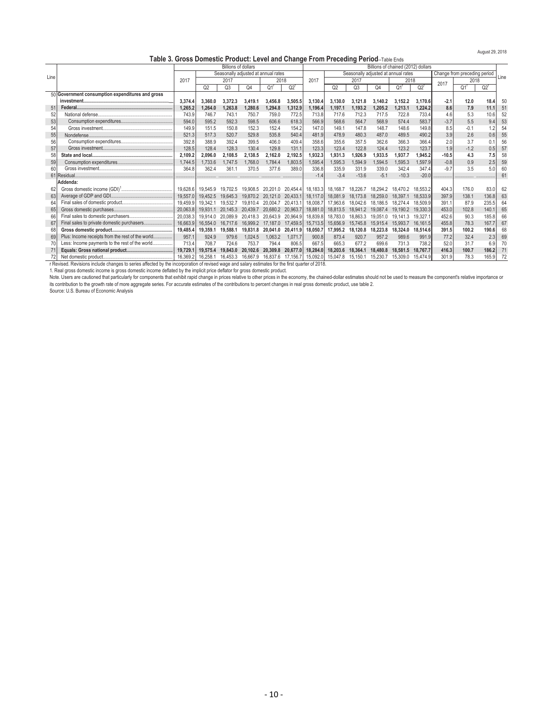August 29, 2018

#### **Table 3. Gross Domestic Product: Level and Change From Preceding Period**--Table Ends

|      |                                                                                                                                                                                                                                |          |          | <b>Billions of dollars</b>          |                            |                            |          |          |                   |                                     |          | Billions of chained (2012) dollars |          |         |                              |        |      |
|------|--------------------------------------------------------------------------------------------------------------------------------------------------------------------------------------------------------------------------------|----------|----------|-------------------------------------|----------------------------|----------------------------|----------|----------|-------------------|-------------------------------------|----------|------------------------------------|----------|---------|------------------------------|--------|------|
|      |                                                                                                                                                                                                                                |          |          | Seasonally adjusted at annual rates |                            |                            |          |          |                   | Seasonally adjusted at annual rates |          |                                    |          |         | Change from preceding period |        | Line |
| Line |                                                                                                                                                                                                                                | 2017     |          | 2017                                |                            | 2018                       |          | 2017     |                   | 2017                                |          | 2018                               |          | 2017    | 2018                         |        |      |
|      |                                                                                                                                                                                                                                |          | Q2       | Q <sub>3</sub>                      | Q <sub>4</sub>             | Q1                         | $O2^r$   |          | Q2                | Q3                                  | Q4       | O1 <sup>r</sup>                    | $O2^r$   |         | $O1$ <sup>'</sup>            | $O2^r$ |      |
|      | 50 Government consumption expenditures and gross                                                                                                                                                                               |          |          |                                     |                            |                            |          |          |                   |                                     |          |                                    |          |         |                              |        |      |
|      |                                                                                                                                                                                                                                | 3.374.4  | 3,360.0  | 3,372.3                             | 3,419.1                    | 3,456.8                    | 3,505.5  | 3,130.4  | 3,130.0           | 3,121.8                             | 3,140.2  | 3.152.2                            | 3,170.6  | $-2.1$  | 12.0                         | 18.4   | 50   |
| 51   |                                                                                                                                                                                                                                | 1,265.2  | 1.264.0  | 1,263.8                             | 1,280.6                    | 1,294.8                    | 1,312.9  | 1.196.4  | 1.197.1           | 1,193.2                             | 1,205.2  | 1,213.1                            | 1.224.2  | 8.6     | 7.9                          | 11.1   | 51   |
| 52   |                                                                                                                                                                                                                                | 743.9    | 746.7    | 743.1                               | 750.7                      | 759.0                      | 772.5    | 713.8    | 717.6             | 712.3                               | 717.5    | 722.8                              | 733.4    | 4.6     | 5.3                          | 10.6   | 52   |
| 53   |                                                                                                                                                                                                                                | 594.0    | 595.2    | 592.3                               | 598.5                      | 606.6                      | 618.3    | 566.9    | 568.6             | 564.7                               | 568.9    | 574.4                              | 583.7    | $-3.7$  | 5.5                          | 9.4    | 53   |
| 54   |                                                                                                                                                                                                                                | 149.9    | 151.5    | 150.8                               | 152.3                      | 152.4                      | 154.2    | 147.0    | 149.1             | 147.8                               | 148.7    | 148.6                              | 149.8    | 8.5     | $-0.1$                       | 1.2    | -54  |
| 55   |                                                                                                                                                                                                                                | 521.3    | 517.3    | 520.7                               | 529.8                      | 535.8                      | 540.4    | 481.9    | 478.9             | 480.3                               | 487.0    | 489.5                              | 490.2    | 3.9     | 2.6                          | 0.6    | 55   |
| 56   |                                                                                                                                                                                                                                | 392.8    | 388.9    | 392.4                               | 399.5                      | 406.0                      | 409.4    | 358.6    | 355.6             | 357.5                               | 362.6    | 366.3                              | 366.4    | 2.0     | 3.7                          | 0.1    | 56   |
| 57   |                                                                                                                                                                                                                                | 128.5    | 128.4    | 128.3                               | 130.4                      | 129.8                      | 131.1    | 123.3    | 123.4             | 122.8                               | 124.4    | 123.2                              | 123.7    | 1.9     | $-1.2$                       | 0.5    | 57   |
| 58   |                                                                                                                                                                                                                                | 2,109.2  | 2,096.0  | 2,108.5                             | 2,138.5                    | 2,162.0                    | 2,192.5  | 1,932.3  | 1.931.3           | 1,926.9                             | 1,933.5  | 1,937.7                            | 1.945.2  | $-10.5$ | 4.3                          | 7.5    | 58   |
| 59   |                                                                                                                                                                                                                                | 1,744.5  | 1,733.6  | 1,747.5                             | 1.768.0                    | 1.784.4                    | 1,803.5  | 1,595.4  | 1.595.3           | 1,594.9                             | 1,594.5  | 1,595.3                            | 1.597.9  | $-0.8$  | 0.9                          | 2.5    | 59   |
| 60   |                                                                                                                                                                                                                                | 364.8    | 362.4    | 361.1                               | 370.5                      | 377.6                      | 389.0    | 336.8    | 335.9             | 331.9                               | 339.0    | 342.4                              | 347.4    | $-97$   | 3.5                          | 5.0    | 60   |
|      |                                                                                                                                                                                                                                |          |          |                                     |                            |                            |          | $-1.4$   | $-3.4$            | $-13.6$                             | $-5.1$   | $-10.3$                            | $-20.0$  |         |                              |        | 61   |
|      | Addenda:                                                                                                                                                                                                                       |          |          |                                     |                            |                            |          |          |                   |                                     |          |                                    |          |         |                              |        |      |
| 62   |                                                                                                                                                                                                                                | 19.628.6 | 19.545.9 | 19.702.5                            |                            | 19,908.5 20,201.0 20,454.4 |          | 18.183.3 | 18.168.7          | 18.226.7                            | 18.294.2 | 18.470.2                           | 18.553.2 | 404.3   | 176.0                        | 83.0   | 62   |
| 63   |                                                                                                                                                                                                                                | 19,557.0 | 19.452.5 | 19.645.3                            | 19,870.2                   | 20.121.0                   | 20.433.1 | 18.117.0 | 18,081.9          | 18.173.8                            | 18.259.0 | 18.397.1                           | 18.533.9 | 397.9   | 138.1                        | 136.8  | 63   |
| 64   |                                                                                                                                                                                                                                | 19.459.9 | 19.342.1 | 19.532.7                            | 19.810.4                   | 20.004.7                   | 20.413.  | 18.008.7 | 17.963.6          | 18.042.6                            | 18.186.5 | 18.274.4                           | 18.509.9 | 391.1   | 87.9                         | 235.5  | 64   |
| 65   |                                                                                                                                                                                                                                | 20.063.8 | 19.931.1 | 20.145.3                            | 20.439.7                   | 20,680.2                   | 20,963.7 | 18,881.0 |                   | 18,813.5 18,941.2                   | 19,087.4 | 19,190.2                           | 19.330.3 | 453.0   | 102.8                        | 140.1  | 65   |
| 66   |                                                                                                                                                                                                                                | 20.038.3 | 19.914.0 | 20.089.9                            | 20.418.3                   | 20,643.9                   | 20.964.9 | 18.839.8 | 18.783.0          | 18.863.3                            | 19.051.0 | 19.141.3                           | 19.327.1 | 452.6   | 90.3                         | 185.8  | 66   |
| 67   |                                                                                                                                                                                                                                | 16,663.9 | 16.554.0 | 16.717.6                            | 16.999.2 17.187.0          |                            | 17.459.5 | 15.713.5 | 15.656.9          | 15.745.8                            | 15.915.4 | 15,993.7                           | 16.161.5 | 455.8   | 78.3                         | 167.7  | 67   |
| 68   |                                                                                                                                                                                                                                | 19.485.4 | 19.359.1 | 19.588.1                            | 19,831.8                   | 20.041.0                   | 20.411.9 | 18.050.7 | 17.995.2          | 18.120.8                            | 18.223.8 | 18.324.0                           | 18,514.6 | 391.5   | 100.2                        | 190.6  | 68   |
| 69   |                                                                                                                                                                                                                                | 957.1    | 924.9    | 979.6                               | 1.024.5                    | 1,063.2                    | 1.071.7  | 900.8    | 873.4             | 920.7                               | 957.2    | 989.6                              | 991.9    | 77.2    | 32.4                         | 2.3    | 69   |
| 70   | Less: Income payments to the rest of the world                                                                                                                                                                                 | 713.4    | 708.7    | 724.6                               | 753.7                      | 794.4                      | 806.5    | 667.5    | 665.3             | 677.2                               | 699.6    | 731.3                              | 738.2    | 52.0    | 31.7                         | 6.9    | 70   |
| 71   |                                                                                                                                                                                                                                | 19,729.1 |          | 19.575.4 19.843.0                   | 20,102.6 20,309.8          |                            | 20.677.0 | 18.284.0 |                   | 18.203.6 18.364.1                   | 18,480.8 | 18.581.5                           | 18.767.7 | 416.3   | 100.7                        | 186.2  | 71   |
| 72   |                                                                                                                                                                                                                                | 16.369.2 | 16.258.1 |                                     | 16.453.3 16.667.9 16.837.6 |                            | 17.156.7 | 15.092.0 | 15.047.8 15.150.1 |                                     | 15.230.7 | 15,309.0                           | 15.474.9 | 301.9   | 78.3                         | 165.9  | - 72 |
|      | r Revised. Revisions include changes to series affected by the incorporation of revised wage and salary estimates for the first quarter of 2018.                                                                               |          |          |                                     |                            |                            |          |          |                   |                                     |          |                                    |          |         |                              |        |      |
|      | 1. Real gross domestic income is gross domestic income deflated by the implicit price deflator for gross domestic product.                                                                                                     |          |          |                                     |                            |                            |          |          |                   |                                     |          |                                    |          |         |                              |        |      |
|      | Note. Users are cautioned that particularly for components that exhibit rapid change in prices relative to other prices in the economy, the chained-dollar estimates should not be used to measure the component's relative im |          |          |                                     |                            |                            |          |          |                   |                                     |          |                                    |          |         |                              |        |      |
|      | its contribution to the growth rate of more aggregate series. For accurate estimates of the contributions to percent changes in real gross domestic product, use table 2.                                                      |          |          |                                     |                            |                            |          |          |                   |                                     |          |                                    |          |         |                              |        |      |
|      | Source: U.S. Bureau of Economic Analysis                                                                                                                                                                                       |          |          |                                     |                            |                            |          |          |                   |                                     |          |                                    |          |         |                              |        |      |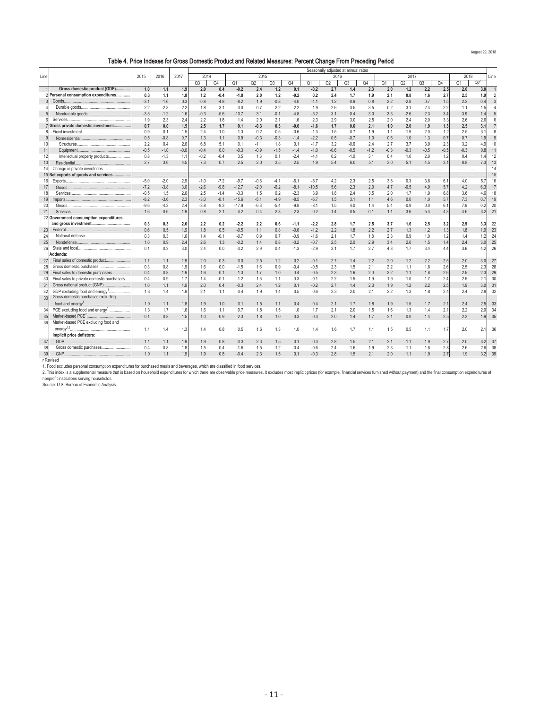#### Table 4. Price Indexes for Gross Domestic Product and Related Measures: Percent Change From Preceding Period

|      |                                            |        |        |        |        |        |                |        |        |                |         | Seasonally adjusted at annual rates |        |        |        |        |        |                |        |                 |                |
|------|--------------------------------------------|--------|--------|--------|--------|--------|----------------|--------|--------|----------------|---------|-------------------------------------|--------|--------|--------|--------|--------|----------------|--------|-----------------|----------------|
| Line |                                            | 2015   | 2016   | 2017   | 2014   |        |                | 2015   |        |                |         | 2016                                |        |        |        | 2017   |        |                | 2018   |                 | Line           |
|      |                                            |        |        |        | Q3     | Q4     | O <sub>1</sub> | Q2     | Q3     | O <sub>4</sub> | Q1      | Q2                                  | Q3     | Q4     | Q1     | Q2     | Q3     | Q <sub>4</sub> | Q1     | Q2 <sup>r</sup> |                |
|      | Gross domestic product (GDP)               | 1.0    | 1.1    | 1.9    | 2.0    | 0.4    | $-0.2$         | 2.4    | $1.2$  | 0.1            | $-0.2$  | 2.7                                 | 1.4    | 2.3    | 2.0    | 1.2    | 2.2    | 2.5            | 2.0    | 3.0             | $\overline{1}$ |
|      | Personal consumption expenditures          | 0.3    | 1.1    | 1.8    | 1.2    | $-0.4$ | $-1.8$         | 2.0    | 1.2    | $-0.2$         | 0.2     | 2.4                                 | 1.7    | 1.9    | 2.1    | 0.8    | 1.6    | 2.7            | 2.5    | 1.9             | $\mathcal{P}$  |
|      |                                            | $-3.1$ | $-1.6$ | 0.3    | $-0.8$ | $-4.8$ | $-8.2$         | 1.9    | $-0.8$ | $-4.0$         | $-4.1$  | 1.2                                 | $-0.9$ | 0.8    | 2.2    | $-2.8$ | 0.7    | 1.5            | 2.2    | 0.4             | $\overline{3}$ |
|      |                                            | $-2.2$ | $-2.3$ | $-2.2$ | $-1.8$ | $-3.1$ | $-3.0$         | $-0.7$ | $-2.2$ | $-2.2$         | $-1.9$  | $-2.6$                              | $-3.5$ | $-3.5$ | 0.2    | $-3.1$ | $-2.4$ | $-2.2$         | $-1.1$ | $-1.5$          |                |
|      |                                            | $-3.5$ | $-1.2$ | 1.6    | $-0.3$ | $-5.6$ | $-10.7$        | 3.1    | $-0.1$ | $-4.8$         | $-5.2$  | 3.1                                 | 0.4    | 3.0    | 3.3    | $-2.6$ | 2.3    | 3.4            | 3.9    | 1.4             |                |
|      |                                            | 1.9    | 2.3    | 2.4    | 2.2    | 1.8    | 1.4            | 2.0    | 2.1    | 1.6            | 2.3     | 2.9                                 | 3.0    | 2.5    | 2.0    | 2.4    | 2.0    | 3.3            | 2.6    | 2.6             |                |
|      | Gross private domestic investment          | 0.7    | 0.0    | 1.5    | 2.5    | 1.7    | 0.1            | $-0.3$ | 0.3    | $-0.6$         | $-1.6$  | 1.7                                 | 0.6    | 2.1    | 1.0    | 2.0    | 1.9    | 1.3            | 2.5    | 3.1             |                |
|      |                                            | 0.9    | 0.1    | 1.5    | 2.4    | 1.0    | 1.3            | 0.2    | 0.5    | $-0.6$         | $-1.3$  | 1.5                                 | 0.7    | 1.9    | 1.1    | 1.9    | 2.0    | 1.2            | 2.5    | 3.1             | 8              |
|      |                                            | 0.5    | $-0.8$ | 0.7    | 1.3    | 1.1    | 0.9            | $-0.3$ | $-0.3$ | $-1.4$         | $-2.2$  | 0.5                                 | $-0.7$ | 1.0    | 0.6    | 1.0    | 1.3    | 0.7            | 0.7    | 1.9             | 9              |
| 10   |                                            | 2.2    | 0.4    | 2.6    | 6.8    | 5.1    | 0.1            | $-1.1$ | 1.8    | 0.1            | $-1.7$  | 3.2                                 | $-0.6$ | 2.4    | 2.7    | 3.7    | 3.9    | 2.3            | 3.2    | 4.9             | 10             |
| 11   |                                            | $-0.5$ | $-1.0$ | $-0.6$ | $-0.4$ | 0.0    | $-0.3$         | $-0.9$ | $-1.5$ | $-1.4$         | $-1.0$  | $-0.6$                              | $-0.5$ | $-1.2$ | $-0.3$ | $-0.3$ | $-0.5$ | $-0.5$         | $-0.3$ | 0.8             | 11             |
| 12   | Intellectual property products             | 0.8    | $-1.3$ | 1.1    | $-0.2$ | $-0.4$ | 3.5            | 1.3    | 0.1    | $-2.4$         | $-4.1$  | 0.2                                 | $-1.0$ | 3.1    | 0.4    | 1.0    | 2.0    | 1.2            | 0.4    | 1.4             | 12             |
| 13   |                                            | 2.7    | 3.6    | 4.5    | 7.3    | 0.7    | 2.5            | 2.0    | 3.5    | 2.5            | 1.9     | 5.4                                 | 6.0    | 5.1    | 3.0    | 5.1    | 4.5    | 3.1            | 8.8    | 7.3             | 13             |
|      |                                            |        |        |        |        |        |                |        |        |                |         |                                     |        |        |        |        |        |                |        |                 | 14             |
|      | 15 Net exports of goods and services       |        |        |        |        |        |                |        |        |                |         |                                     |        |        |        |        |        |                |        |                 |                |
| 16   |                                            | $-5.0$ | $-2.0$ | 2.9    | $-1.0$ | $-7.2$ | $-9.7$         | $-0.8$ | $-4.1$ | $-6.1$         | $-5.7$  | 4.2                                 | 2.3    | 2.5    | 3.8    | 0.3    | 3.8    | 6.1            | 4.0    | 5.7             | 16             |
| 17   |                                            | $-7.2$ | $-3.8$ | 3.0    | $-2.6$ | $-9.8$ | $-12.7$        | $-2.0$ | $-6.2$ | $-8.1$         | $-10.5$ | 5.6                                 | 2.3    | 2.0    | 4.7    | $-0.5$ | 4.9    | 5.7            | 4.2    | 6.3             | 17             |
| 18   |                                            | $-0.5$ | 1.5    | 2.6    | 2.5    | $-1.4$ | $-3.3$         | 1.5    | 0.2    | $-2.3$         | 3.9     | 1.8                                 | 2.4    | 3.5    | 2.0    | 1.7    | 1.9    | 6.8            | 3.6    | 4.6             | 18             |
| 19   |                                            | $-8.2$ | $-3.6$ | 2.3    | $-3.0$ | $-8.1$ | $-15.6$        | $-5.1$ | $-4.9$ | $-8.5$         | $-6.7$  | 1.5                                 | 3.1    | 1.1    | 4.6    | 0.0    | 1.0    | 5.7            | 7.3    | 0.7             | 19             |
| 20   |                                            | $-9.6$ | $-4.2$ | 2.4    | $-3.8$ | $-9.3$ | $-17.9$        | $-6.3$ | $-5.4$ | $-9.8$         | $-8.1$  | 1.5                                 | 4.0    | 1.4    | 5.4    | $-0.9$ | 0.0    | 6.1            | 7.9    | 0.2             | 20             |
| 21   |                                            | $-1.6$ | $-0.6$ | 1.9    | 0.8    | $-2.1$ | $-4.2$         | 0.4    | $-2.3$ | $-2.3$         | $-0.2$  | 1.4                                 | $-0.5$ | $-0.1$ | 1.1    | 3.6    | 5.4    | 4.3            | 4.6    | 3.2             | 21             |
|      | 22 Government consumption expenditures     |        |        |        |        |        |                |        |        |                |         |                                     |        |        |        |        |        |                |        |                 |                |
|      |                                            | 0.3    | 0.3    | 2.6    | 2.2    | 0.2    | $-2.2$         | 2.2    | 0.6    | $-1.1$         | $-2.2$  | 2.8                                 | 1.7    | 2.5    | 3.7    | 1.6    | 2.5    | 3.2            | 2.9    | 3.3             | 22             |
| 23   | Federal                                    | 0.6    | 0.5    | 1.9    | 1.8    | 0.5    | $-0.5$         | 1.1    | 0.8    | $-0.6$         | $-1.2$  | 2.2                                 | 1.8    | 2.2    | 2.7    | 1.3    | 1.2    | 1.3            | 1.8    | 1.9             | 23             |
| 24   |                                            | 0.3    | 0.3    | 1.6    | 1.4    | $-0.1$ | $-0.7$         | 0.9    | 0.7    | $-0.9$         | $-1.6$  | 2.1                                 | 1.7    | 1.8    | 2.3    | 0.9    | 1.0    | 1.2            | 1.4    | 1.2             | 24             |
| 25   |                                            | 1.0    | 0.9    | 2.4    | 2.6    | 1.3    | $-0.2$         | 1.4    | 0.8    | $-0.2$         | $-0.7$  | 2.5                                 | 2.0    | 2.9    | 3.4    | 2.0    | 1.5    | 1.4            | 2.4    | 3.0             | 25             |
| 26   |                                            | 0.1    | 0.2    | 3.0    | 2.4    | 0.0    | $-3.2$         | 2.9    | 0.4    | $-1.3$         | $-2.9$  | 3.1                                 | 1.7    | 2.7    | 4.3    | 1.7    | 3.4    | 4.4            | 3.6    | 4.2             | 26             |
|      | Addenda:                                   |        |        |        |        |        |                |        |        |                |         |                                     |        |        |        |        |        |                |        |                 |                |
| 27   |                                            | 1.1    | 1.1    | 1.9    | 2.0    | 0.3    | 0.0            | 2.5    | 1.2    | 0.2            | $-0.1$  | 2.7                                 | 1.4    | 2.2    | 2.0    | 1.2    | 2.2    | 2.5            | 2.0    | 3.0             | 27             |
| 28   |                                            | 0.3    | 0.8    | 1.9    | 1.6    | 0.0    | $-1.5$         | 1.6    | 0.9    | $-0.4$         | $-0.5$  | 2.3                                 | 1.5    | 2.1    | 2.2    | 1.1    | 1.8    | 2.6            | 2.5    | 2.3             | 28             |
| 29   | Final sales to domestic purchasers         | 0.4    | 0.8    | 1.9    | 1.6    | $-0.1$ | $-1.3$         | 1.7    | 1.0    | $-0.4$         | $-0.5$  | 2.3                                 | 1.6    | 2.0    | 2.2    | 1.1    | 1.8    | 2.6            | 2.5    | 2.3             | 29             |
| 30   | Final sales to private domestic purchasers | 0.4    | 0.9    | 1.7    | 1.4    | $-0.1$ | $-1.2$         | 1.6    | 1.1    | $-0.3$         | $-0.1$  | 2.2                                 | 1.5    | 1.9    | 1.9    | 1.0    | 1.7    | 2.4            | 2.5    | 2.1             | 30             |
| 31   |                                            | 1.0    | 1.1    | 1.9    | 2.0    | 0.4    | $-0.3$         | 2.4    | 1.2    | 0.1            | $-0.2$  | 2.7                                 | 1.4    | 2.3    | 1.9    | 1.2    | 2.2    | 2.5            | 1.9    | 3.0             | 31             |
| 32   | GDP excluding food and energy <sup>1</sup> | 1.3    | 1.4    | 1.9    | 2.1    | 1.1    | 0.4            | 1.9    | 1.4    | 0.5            | 0.6     | 2.3                                 | 2.0    | 2.1    | 2.2    | 1.3    | 1.8    | 2.4            | 2.4    | 2.8             | 32             |
| 33   | Gross domestic purchases excluding         |        |        |        |        |        |                |        |        |                |         |                                     |        |        |        |        |        |                |        |                 |                |
|      |                                            | 1.0    | 1.1    | 1.8    | 1.9    | 1.0    | 0.1            | 1.5    | 1.1    | 0.4            | 0.4     | 2.1                                 | 1.7    | 1.8    | 1.9    | 1.5    | 1.7    | 2.1            | 2.4    | 2.5             | 33             |
| 34   | PCE excluding food and energy <sup>1</sup> | 1.3    | 1.7    | 1.6    | 1.6    | 1.1    | 0.7            | 1.8    | 1.5    | 1.0            | 1.7     | 2.1                                 | 2.0    | 1.5    | 1.6    | 1.3    | 1.4    | 2.1            | 2.2    | 2.0             | 34             |
| 35   |                                            | $-0.1$ | 0.8    | 1.5    | 1.0    | $-0.9$ | $-2.3$         | 1.8    | 1.0    | $-0.3$         | $-0.3$  | 2.0                                 | 1.4    | 1.7    | 2.1    | 0.0    | 1.4    | 2.5            | 2.3    | 1.9             | 35             |
| 36   | Market-based PCE excluding food and        |        |        |        |        |        |                |        |        |                |         |                                     |        |        |        |        |        |                |        |                 |                |
|      |                                            | 1.1    | 1.4    | 1.3    | 1.4    | 0.8    | 0.5            | 1.6    | 1.3    | 1.0            | 1.4     | 1.6                                 | 1.7    | 1.1    | 1.5    | 0.5    | 1.1    | 1.7            | 2.0    | 2.1             | 36             |
|      | Implicit price deflators:                  |        |        |        |        |        |                |        |        |                |         |                                     |        |        |        |        |        |                |        |                 |                |
| 37   | GDP.                                       | 1.1    | 1.1    | 1.9    | 1.9    | 0.8    | $-0.3$         | 2.3    | 1.5    | 0.1            | $-0.3$  | 2.8                                 | 1.5    | 2.1    | 2.1    | 1.1    | 1.9    | 2.7            | 2.0    | 3.2             | 37             |
| 38   | Gross domestic purchases                   | 0.4    | 0.8    | 1.8    | 1.5    | 0.4    | $-1.6$         | 1.5    | 1.2    | $-0.4$         | $-0.6$  | 2.4                                 | 1.6    | 1.9    | 2.3    | 1.1    | 1.6    | 2.8            | 2.6    | 2.6             | 38             |
| 39   | GNP.                                       | 1.0    | 1.1    | 1.9    | 1.9    | 0.8    | $-0.4$         | 2.3    | 1.5    | 0.1            | $-0.3$  | 2.8                                 | 1.5    | 2.1    | 2.0    | 1.1    | 1.9    | 2.7            | 1.9    | 3.2             | 39             |
|      |                                            |        |        |        |        |        |                |        |        |                |         |                                     |        |        |        |        |        |                |        |                 |                |

r Revised

1. Food excludes personal consumption expenditures for purchased meals and beverages, which are classified in food services.<br>2. This index is a supplemental measure that is based on household expenditures for which there a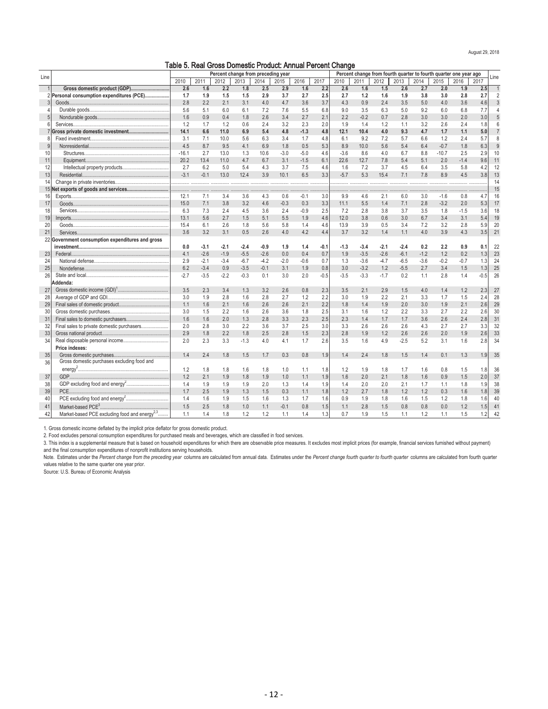#### Table 5. Real Gross Domestic Product: Annual Percent Change

|      |                                                           | Percent change from preceding year |        |        |        |        |        |        |        |        |        |        | Percent change from fourth quarter to fourth quarter one year ago |        |         |        |        |                |
|------|-----------------------------------------------------------|------------------------------------|--------|--------|--------|--------|--------|--------|--------|--------|--------|--------|-------------------------------------------------------------------|--------|---------|--------|--------|----------------|
| Line |                                                           | 2010                               | 2011   | 2012   | 2013   | 2014   | 2015   | 2016   | 2017   | 2010   | 2011   | 2012   | 2013                                                              | 2014   | 2015    | 2016   | 2017   | Line           |
|      | Gross domestic product (GDP)                              | 2.6                                | 1.6    | 2.2    | 1.8    | 2.5    | 2.9    | 1.6    | 2.2    | 2.6    | 1.6    | 1.5    | 2.6                                                               | 2.7    | 2.0     | 1.9    | 2.5    | $\overline{1}$ |
|      | Personal consumption expenditures (PCE)                   | 1.7                                | 1.9    | 1.5    | 1.5    | 2.9    | 3.7    | 2.7    | 2.5    | 2.7    | 1.2    | 1.6    | 1.9                                                               | 3.8    | 3.0     | 2.8    | 2.7    | $\overline{2}$ |
| 3    |                                                           | 2.8                                | 2.2    | 2.1    | 3.1    | 4.0    | 4.7    | 3.6    | 3.7    | 4.3    | 0.9    | 2.4    | 3.5                                                               | 5.0    | 4.0     | 3.6    | 4.6    | 3              |
|      |                                                           | 5.6                                | 5.1    | 6.0    | 6.1    | 7.2    | 7.6    | 5.5    | 6.8    | 9.0    | 3.5    | 6.3    | 5.0                                                               | 9.2    | 6.0     | 6.8    | 7.7    | $\overline{4}$ |
| 5    |                                                           | 1.6                                | 0.9    | 0.4    | 1.8    | 2.6    | 3.4    | 2.7    | 2.1    | 2.2    | $-0.2$ | 0.7    | 2.8                                                               | 3.0    | 3.0     | 2.0    | 3.0    | 5              |
| 6    |                                                           | 1.2                                | 1.7    | 1.2    | 0.6    | 2.4    | 3.2    | 2.3    | 2.0    | 1.9    | 1.4    | 1.2    | 1.1                                                               | 3.2    | 2.6     | 2.4    | 1.8    | 6              |
|      |                                                           | 14.1                               | 6.6    | 11.0   | 6.9    | 5.4    | 4.8    | $-1.3$ | 4.8    | 12.1   | 10.4   | 4.0    | 9.3                                                               | 4.7    | 1.7     | 1.1    | 5.0    |                |
| 8    |                                                           | 3.1                                | 7.1    | 10.0   | 5.6    | 6.3    | 3.4    | 1.7    | 4.8    | 6.1    | 9.2    | 7.2    | 5.7                                                               | 6.6    | 1.2     | 2.4    | 5.7    | 8              |
| 9    |                                                           | 4.5                                | 8.7    | 9.5    | 4.1    | 6.9    | 1.8    | 0.5    | 5.3    | 8.9    | 10.0   | 5.6    | 5.4                                                               | 6.4    | $-0.7$  | 1.8    | 6.3    | $\mathbf{Q}$   |
| 10   |                                                           | $-16.1$                            | 2.7    | 13.0   | 1.3    | 10.6   | $-3.0$ | $-5.0$ | 4.6    | $-3.6$ | 8.6    | 4.0    | 6.7                                                               | 8.8    | $-10.7$ | 2.5    | 2.9    | 10             |
| 11   |                                                           | 20.2                               | 13.4   | 11.0   | 4.7    | 6.7    | 3.1    | $-1.5$ | 6.1    | 22.6   | 12.7   | 7.8    | 5.4                                                               | 5.1    | 2.0     | $-1.4$ | 9.6    | 11             |
| 12   |                                                           | 2.7                                | 6.2    | 5.0    | 5.4    | 4.3    | 3.7    | 7.5    | 4.6    | 1.6    | 7.2    | 3.7    | 4.5                                                               | 6.4    | 3.5     | 5.8    | 4.2    | 12             |
| 13   |                                                           | $-3.1$                             | $-0.1$ | 13.0   | 12.4   | 3.9    | 10.1   | 6.5    | 3.3    | $-5.7$ | 5.3    | 15.4   | 7.1                                                               | 7.8    | 8.9     | 4.5    | 3.8    | 13             |
| 14   |                                                           |                                    |        |        |        |        |        |        |        |        |        |        |                                                                   |        |         |        |        | 14             |
|      |                                                           |                                    | .      | .      | .      |        |        |        |        |        |        |        |                                                                   |        |         |        |        | 15             |
| 16   |                                                           | 12.1                               | 7.1    | 3.4    | 3.6    | 4.3    | 0.6    | $-0.1$ | 3.0    | 9.9    | 4.6    | 2.1    | 6.0                                                               | 3.0    | $-1.6$  | 0.8    | 4.7    | 16             |
| 17   |                                                           | 15.0                               | 7.1    | 3.8    | 3.2    | 4.6    | $-0.3$ | 0.3    | 3.3    | 11.1   | 5.5    | 1.4    | 7.1                                                               | 2.8    | $-3.2$  | 2.0    | 5.3    | 17             |
| 18   |                                                           | 6.3                                | 7.3    | 2.4    | 4.5    | 3.6    | 2.4    | $-0.9$ | 2.5    | 7.2    | 2.8    | 3.8    | 3.7                                                               | 3.5    | 1.8     | $-1.5$ | 3.6    | 18             |
| 19   |                                                           | 13.1                               | 5.6    | 2.7    | 1.5    | 5.1    | 5.5    | 1.9    | 4.6    | 12.0   | 3.8    | 0.6    | 3.0                                                               | 6.7    | 3.4     | 3.1    | 5.4    | 19             |
| 20   |                                                           | 15.4                               | 6.1    | 2.6    | 1.8    | 5.6    | 5.8    | 1.4    | 4.6    | 13.9   | 3.9    | 0.5    | 3.4                                                               | 7.2    | 3.2     | 2.8    | 5.9    | 20             |
| 21   |                                                           | 3.6                                | 3.2    | 3.1    | 0.5    | 2.6    | 4.0    | 4.2    | 4.4    | 3.7    | 3.2    | 1.4    | 1.1                                                               | 4.0    | 3.9     | 4.3    | 3.5    | 21             |
|      | 22 Government consumption expenditures and gross          |                                    |        |        |        |        |        |        |        |        |        |        |                                                                   |        |         |        |        |                |
|      |                                                           | 0.0                                | $-3.1$ | $-2.1$ | $-2.4$ | $-0.9$ | 1.9    | 1.4    | $-0.1$ | $-1.3$ | $-3.4$ | $-2.1$ | $-2.4$                                                            | 0.2    | 2.2     | 0.9    | 0.1    | 22             |
| 23   |                                                           | 4.1                                | $-2.6$ | $-1.9$ | $-5.5$ | $-2.6$ | 0.0    | 0.4    | 0.7    | 1.9    | $-3.5$ | $-2.6$ | $-6.1$                                                            | $-1.2$ | 1.2     | 0.2    | 1.3    | 23             |
| 24   |                                                           | 2.9                                | $-2.1$ | $-3.4$ | $-6.7$ | $-4.2$ | $-2.0$ | $-0.6$ | 0.7    | 1.3    | $-3.6$ | $-4.7$ | $-6.5$                                                            | $-3.6$ | $-0.2$  | $-0.7$ | 1.3    | 24             |
| 25   |                                                           | 6.2                                | $-3.4$ | 0.9    | $-3.5$ | $-0.1$ | 3.1    | 1.9    | 0.8    | 3.0    | $-3.2$ | 1.2    | $-5.5$                                                            | 2.7    | 3.4     | 1.5    | 1.3    | 25             |
| 26   |                                                           | $-2.7$                             | $-3.5$ | $-2.2$ | $-0.3$ | 0.1    | 3.0    | 2.0    | $-0.5$ | $-3.5$ | $-3.3$ | $-1.7$ | 0.2                                                               | 1.1    | 2.8     | 1.4    | $-0.5$ | 26             |
|      | Addenda:                                                  |                                    |        |        |        |        |        |        |        |        |        |        |                                                                   |        |         |        |        |                |
| 27   |                                                           | 3.5                                | 2.3    | 3.4    | 1.3    | 3.2    | 2.6    | 0.8    | 2.3    | 3.5    | 2.1    | 2.9    | 1.5                                                               | 4.0    | 1.4     | 1.2    | 2.3    | 27             |
| 28   |                                                           | 3.0                                | 1.9    | 2.8    | 1.6    | 2.8    | 2.7    | 1.2    | 2.2    | 3.0    | 1.9    | 2.2    | 2.1                                                               | 3.3    | 1.7     | 1.5    | 2.4    | 28             |
| 29   |                                                           | 1.1                                | 1.6    | 2.1    | 1.6    | 2.6    | 2.6    | 2.1    | 2.2    | 1.8    | 1.4    | 1.9    | 2.0                                                               | 3.0    | 1.9     | 2.1    | 2.6    | 29             |
| 30   |                                                           | 3.0                                | 1.5    | 2.2    | 1.6    | 2.6    | 3.6    | 1.8    | 2.5    | 3.1    | 1.6    | 1.2    | 2.2                                                               | 3.3    | 2.7     | 2.2    | 2.6    | 30             |
| 31   |                                                           | 1.6                                | 1.6    | 2.0    | 1.3    | 2.8    | 3.3    | 2.3    | 2.5    | 2.3    | 1.4    | 1.7    | 1.7                                                               | 3.6    | 2.6     | 2.4    | 2.8    | 31             |
| 32   | Final sales to private domestic purchasers                | 2.0                                | 2.8    | 3.0    | 2.2    | 3.6    | 3.7    | 2.5    | 3.0    | 3.3    | 2.6    | 2.6    | 2.6                                                               | 4.3    | 2.7     | 2.7    | 3.3    | 32             |
| 33   |                                                           | 2.9                                | 1.8    | 2.2    | 1.8    | 2.5    | 2.8    | 1.5    | 2.3    | 2.8    | 1.9    | 1.2    | 2.6                                                               | 2.6    | 2.0     | 1.9    | 2.6    | 33             |
| 34   |                                                           | 2.0                                | 2.3    | 3.3    | $-1.3$ | 4.0    | 4.1    | 1.7    | 2.6    | 3.5    | 1.6    | 4.9    | $-2.5$                                                            | 5.2    | 3.1     | 1.6    | 2.8    | 34             |
|      | Price indexes:                                            |                                    |        |        |        |        |        |        |        |        |        |        |                                                                   |        |         |        |        |                |
| 35   |                                                           | 1.4                                | 2.4    | 1.8    | 1.5    | 1.7    | 0.3    | 0.8    | 1.9    | 1.4    | 2.4    | 1.8    | 1.5                                                               | 1.4    | 0.1     | 1.3    | 1.9    | 35             |
| 36   | Gross domestic purchases excluding food and               |                                    |        |        |        |        |        |        |        |        |        |        |                                                                   |        |         |        |        |                |
|      |                                                           | 1.2                                | 1.8    | 1.8    | 1.6    | 1.8    | 1.0    | 1.1    | 1.8    | 1.2    | 1.9    | 1.8    | 1.7                                                               | 1.6    | 0.8     | 1.5    | 1.8    | 36             |
| 37   |                                                           | 1.2                                | 2.1    | 1.9    | 1.8    | 1.9    | 1.0    | 1.1    | 1.9    | 1.6    | 2.0    | 2.1    | 1.8                                                               | 1.6    | 0.9     | 1.5    | 2.0    | 37             |
| 38   |                                                           | 1.4                                | 1.9    | 1.9    | 1.9    | 2.0    | 1.3    | 1.4    | 1.9    | 1.4    | 2.0    | 2.0    | 2.1                                                               | 1.7    | 1.1     | 1.8    | 1.9    | 38             |
| 39   |                                                           | 1.7                                | 2.5    | 1.9    | 1.3    | 1.5    | 0.3    | 1.1    | 1.8    | 1.2    | 2.7    | 1.8    | 1.2                                                               | 1.2    | 0.3     | 1.6    | 1.8    | 39             |
| 40   |                                                           | 1.4                                | 1.6    | 1.9    | 1.5    | 1.6    | 1.3    | 1.7    | 1.6    | 0.9    | 1.9    | 1.8    | 1.6                                                               | 1.5    | 1.2     | 1.8    | 1.6    | 40             |
| 41   |                                                           | 1.5                                | 2.5    | 1.8    | 1.0    | 1.1    | $-0.1$ | 0.8    | 1.5    | 1.1    | 2.8    | 1.5    | 0.8                                                               | 0.8    | 0.0     | 1.2    | 1.5    | 41             |
| 42   | Market-based PCE excluding food and energy <sup>2,3</sup> | 1.1                                | 1.4    | 1.8    | 1.2    | 1.2    | 1.1    | 1.4    | 1.3    | 0.7    | 1.9    | 1.5    | 1.1                                                               | 1.2    | 1.1     | 1.5    | 1.2    | 42             |

1. Gross domestic income deflated by the implicit price deflator for gross domestic product.

2. Food excludes personal consumption expenditures for purchased meals and beverages, which are classified in food services.

3. This index is a supplemental measure that is based on household expenditures for which there are observable price measures. It excludes most implicit prices (for example, financial services furnished without payment) and the final consumption expenditures of nonprofit institutions serving households.

Note. Estimates under the Percent change from the preceding year columns are calculated from annual data. Estimates under the Percent change fourth quarter to fourth quarter columns are calculated from touth quarter values relative to the same quarter one year prior.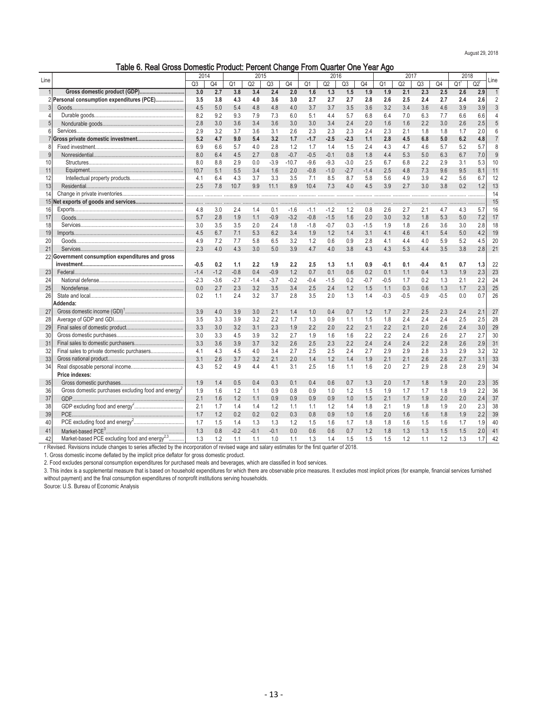#### Table 6, Real Gross Domestic Product: Percent Change From Quarter One Year Ago

|          |                                                           | 2014   |                |                | 2015   |                |         |                | 2016   |                |        |        | 2017           |        |        | 2018 |        |                |
|----------|-----------------------------------------------------------|--------|----------------|----------------|--------|----------------|---------|----------------|--------|----------------|--------|--------|----------------|--------|--------|------|--------|----------------|
| Line     |                                                           | Q3     | Q <sub>4</sub> | Q <sub>1</sub> | Q2     | Q <sub>3</sub> | Q4      | Q <sub>1</sub> | Q2     | Q <sub>3</sub> | Q4     | Q1     | Q <sub>2</sub> | Q3     | Q4     | Q1'  | $Q2^r$ | Line           |
|          | Gross domestic product (GDP)                              | 3.0    | 2.7            | 3.8            | 3.4    | 2.4            | 2.0     | 1.6            | 1.3    | 1.5            | 1.9    | 1.9    | 2.1            | 2.3    | 2.5    | 2.6  | 2.9    | $\mathbf{1}$   |
|          | Personal consumption expenditures (PCE)                   | 3.5    | 3.8            | 4.3            | 4.0    | 3.6            | 3.0     | 2.7            | 2.7    | 2.7            | 2.8    | 2.6    | 2.5            | 2.4    | 2.7    | 2.4  | 2.6    | $\overline{2}$ |
|          |                                                           | 4.5    | 5.0            | 5.4            | 4.8    | 4.8            | 4.0     | 3.7            | 3.7    | 3.5            | 3.6    | 3.2    | 3.4            | 3.6    | 4.6    | 3.9  | 3.9    | 3              |
| $\Delta$ |                                                           | 8.2    | 9.2            | 9.3            | 7.9    | 7.3            | 6.0     | 5.1            | 4.4    | 5.7            | 6.8    | 6.4    | 7.0            | 6.3    | 7.7    | 6.6  | 6.6    | $\overline{4}$ |
|          |                                                           | 2.8    | 3.0            | 3.6            | 3.4    | 3.6            | 3.0     | 3.0            | 3.4    | 2.4            | 2.0    | 1.6    | 1.6            | 2.2    | 3.0    | 2.6  | 2.5    | 5              |
| 6        |                                                           | 2.9    | 3.2            | 3.7            | 3.6    | 3.1            | 2.6     | 2.3            | 2.3    | 2.3            | 2.4    | 2.3    | 2.1            | 1.8    | 1.8    | 1.7  | 2.0    | 6              |
|          |                                                           | 5.2    | 4.7            | 9.0            | 5.4    | 3.2            | 1.7     | $-1.7$         | $-2.5$ | $-2.3$         | 1.1    | 2.8    | 4.5            | 6.8    | 5.0    | 6.2  | 4.8    | $\overline{7}$ |
| 8        |                                                           |        |                |                |        |                |         |                |        |                |        |        |                |        |        |      |        | 8              |
|          |                                                           | 6.9    | 6.6            | 5.7            | 4.0    | 2.8            | 1.2     | 1.7            | 1.4    | 1.5            | 2.4    | 4.3    | 4.7            | 4.6    | 5.7    | 5.2  | 5.7    |                |
| 9        |                                                           | 8.0    | 6.4            | 4.5            | 2.7    | 0.8            | $-0.7$  | $-0.5$         | $-0.1$ | 0.8            | 1.8    | 4.4    | 5.3            | 5.0    | 6.3    | 6.7  | 7.0    | 9              |
| 10       |                                                           | 8.0    | 8.8            | 2.9            | 0.0    | $-3.9$         | $-10.7$ | $-9.6$         | $-9.3$ | $-3.0$         | 2.5    | 6.7    | 6.8            | 2.2    | 2.9    | 3.1  | 5.3    | 10             |
| 11       |                                                           | 10.7   | 5.1            | 5.5            | 3.4    | 1.6            | 2.0     | $-0.8$         | $-1.0$ | $-2.7$         | $-1.4$ | 2.5    | 4.8            | 7.3    | 9.6    | 9.5  | 8.1    | 11             |
| 12       |                                                           | 4.1    | 6.4            | 4.3            | 3.7    | 3.3            | 3.5     | 7.1            | 8.5    | 8.7            | 5.8    | 5.6    | 4.9            | 3.9    | 4.2    | 5.6  | 6.7    | 12             |
| 13       |                                                           | 2.5    | 7.8            | 10.7           | 9.9    | 11.1           | 8.9     | 10.4           | 7.3    | 4.0            | 4.5    | 3.9    | 2.7            | 3.0    | 3.8    | 0.2  | 1.2    | 13             |
| 14       |                                                           |        |                |                |        |                |         |                |        |                |        |        |                |        |        |      |        | 14             |
| 15       |                                                           |        |                |                |        |                |         |                |        |                |        | .      | .              |        |        |      |        | 15             |
| 16       |                                                           | 4.8    | 3.0            | 2.4            | 1.4    | 0.1            | $-1.6$  | $-1.1$         | $-1.2$ | 1.2            | 0.8    | 2.6    | 2.7            | 2.1    | 4.7    | 4.3  | 5.7    | 16             |
| 17       |                                                           | 5.7    | 2.8            | 1.9            | 1.1    | $-0.9$         | $-3.2$  | $-0.8$         | $-1.5$ | 1.6            | 2.0    | 3.0    | 3.2            | 1.8    | 5.3    | 5.0  | 7.2    | 17             |
| 18       |                                                           | 3.0    | 3.5            | 3.5            | 2.0    | 2.4            | 1.8     | $-1.8$         | $-0.7$ | 0.3            | $-1.5$ | 1.9    | 1.8            | 2.6    | 3.6    | 3.0  | 2.8    | 18             |
| 19       |                                                           | 4.5    | 6.7            | 7.1            | 5.3    | 6.2            | 3.4     | 1.9            | 1.2    | 1.4            | 3.1    | 4.1    | 4.6            | 4.1    | 5.4    | 5.0  | 4.2    | 19             |
| 20       |                                                           | 4.9    | 7.2            | 7.7            | 5.8    | 6.5            | 3.2     | 1.2            | 0.6    | 0.9            | 2.8    | 4.1    | 4.4            | 4.0    | 5.9    | 5.2  | 4.5    | 20             |
| 21       |                                                           | 2.3    | 4.0            | 4.3            | 3.0    | 5.0            | 3.9     | 4.7            | 4.0    | 3.8            | 4.3    | 4.3    | 5.3            | 4.4    | 3.5    | 3.8  | 2.8    | 21             |
|          | 22 Government consumption expenditures and gross          |        |                |                |        |                |         |                |        |                |        |        |                |        |        |      |        |                |
|          |                                                           | $-0.5$ | 0.2            | 1.1            | 2.2    | 1.9            | 2.2     | 2.5            | 1.3    | 1.1            | 0.9    | $-0.1$ | 0.1            | $-0.4$ | 0.1    | 0.7  | 1.3    | 22             |
| 23       |                                                           | $-1.4$ | $-1.2$         | $-0.8$         | 0.4    | $-0.9$         | 1.2     | 0.7            | 0.1    | 0.6            | 0.2    | 0.1    | 1.1            | 0.4    | 1.3    | 1.9  | 2.3    | 23             |
| 24       |                                                           | $-2.3$ | $-3.6$         | $-2.7$         | $-1.4$ | $-3.7$         | $-0.2$  | $-0.4$         | $-1.5$ | 0.2            | $-0.7$ | $-0.5$ | 1.7            | 0.2    | 1.3    | 2.1  | 2.2    | 24             |
| 25       |                                                           | 0.0    | 2.7            | 2.3            | 3.2    | 3.5            | 3.4     | 2.5            | 2.4    | 1.2            | 1.5    | 1.1    | 0.3            | 0.6    | 1.3    | 1.7  | 2.3    | 25             |
| 26       |                                                           | 0.2    | 1.1            | 2.4            | 3.2    | 3.7            | 2.8     | 3.5            | 2.0    | 1.3            | 1.4    | $-0.3$ | $-0.5$         | $-0.9$ | $-0.5$ | 0.0  | 0.7    | 26             |
|          | Addenda:                                                  |        |                |                |        |                |         |                |        |                |        |        |                |        |        |      |        |                |
| 27       |                                                           | 3.9    | 4.0            | 3.9            | 3.0    | 2.1            | 1.4     | 1.0            | 0.4    | 0.7            | 1.2    | 1.7    | 2.7            | 2.5    | 2.3    | 2.4  | 2.1    | 27             |
| 28       |                                                           | 3.5    | 3.3            | 3.9            | 3.2    | 2.2            | 1.7     | 1.3            | 0.9    | 1.1            | 1.5    | 1.8    | 2.4            | 2.4    | 2.4    | 2.5  | 2.5    | 28             |
| 29       |                                                           | 3.3    | 3.0            | 3.2            | 3.1    | 2.3            | 1.9     | 2.2            | 2.0    | 2.2            | 2.1    | 2.2    | 2.1            | 2.0    | 2.6    | 2.4  | 3.0    | 29             |
| 30       |                                                           | 3.0    | 3.3            | 4.5            | 3.9    | 3.2            | 2.7     | 1.9            | 1.6    | 1.6            | 2.2    | 2.2    | 2.4            | 2.6    | 2.6    | 2.7  | 2.7    | 30             |
| 31       |                                                           | 3.3    | 3.6            | 3.9            | 3.7    | 3.2            | 2.6     | 2.5            | 2.3    | 2.2            | 2.4    | 2.4    | 2.4            | 2.2    | 2.8    | 2.6  | 2.9    | 31             |
| 32       |                                                           | 4.1    | 4.3            | 4.5            | 4.0    | 3.4            | 2.7     | 2.5            | 2.5    | 2.4            | 2.7    | 2.9    | 2.9            | 2.8    | 3.3    | 2.9  | 3.2    | 32             |
| 33       |                                                           | 3.1    | 2.6            | 3.7            | 3.2    | 2.1            | 2.0     | 1.4            | 1.2    | 1.4            | 1.9    | 2.1    | 2.1            | 2.6    | 2.6    | 2.7  | 3.1    | 33             |
| 34       |                                                           | 4.3    | 5.2            | 4.9            | 4.4    | 4.1            | 3.1     | 2.5            | 1.6    | 1.1            | 1.6    | 2.0    | 2.7            | 2.9    | 2.8    | 2.8  | 2.9    | 34             |
|          | Price indexes:                                            |        |                |                |        |                |         |                |        |                |        |        |                |        |        |      |        |                |
|          |                                                           | 1.9    |                |                |        |                |         |                |        |                |        |        |                |        |        |      |        |                |
| 35       |                                                           |        | 1.4            | 0.5            | 0.4    | 0.3            | 0.1     | 0.4            | 0.6    | 0.7            | 1.3    | 2.0    | 1.7            | 1.8    | 1.9    | 2.0  | 2.3    | 35             |
| 36       | Gross domestic purchases excluding food and energy        | 1.9    | 1.6            | 1.2            | 1.1    | 0.9            | 0.8     | 0.9            | 1.0    | 1.2            | 1.5    | 1.9    | 1.7            | 1.7    | 1.8    | 1.9  | 2.2    | 36             |
| 37       |                                                           | 2.1    | 1.6            | 1.2            | 1.1    | 0.9            | 0.9     | 0.9            | 0.9    | 1.0            | 1.5    | 2.1    | 1.7            | 1.9    | 2.0    | 2.0  | 2.4    | 37             |
| 38       |                                                           | 2.1    | 1.7            | 1.4            | 1.4    | 1.2            | 1.1     | 1.1            | 1.2    | 1.4            | 1.8    | 2.1    | 1.9            | 1.8    | 1.9    | 2.0  | 2.3    | 38             |
| 39       |                                                           | 1.7    | 1.2            | 0.2            | 0.2    | 0.2            | 0.3     | 0.8            | 0.9    | 1.0            | 1.6    | 2.0    | 1.6            | 1.6    | 1.8    | 1.9  | 2.2    | 39             |
| 40       |                                                           | 1.7    | 1.5            | 1.4            | 1.3    | 1.3            | 1.2     | 1.5            | 1.6    | 1.7            | 1.8    | 1.8    | 1.6            | 1.5    | 1.6    | 1.7  | 1.9    | 40             |
| 41       |                                                           | 1.3    | 0.8            | $-0.2$         | $-0.1$ | $-0.1$         | 0.0     | 0.6            | 0.6    | 0.7            | 1.2    | 1.8    | 1.3            | 1.3    | 1.5    | 1.5  | 2.0    | 41             |
| 42       | Market-based PCE excluding food and energy <sup>2,3</sup> | 1.3    | 1.2            | 1.1            | 1.1    | 1.0            | 1.1     | 1.3            | 1.4    | 1.5            | 1.5    | 1.5    | 1.2            | 1.1    | 1.2    | 1.3  | 1.7    | 42             |

r Revised. Revisions include changes to series affected by the incorporation of revised wage and salary estimates for the first quarter of 2018.

1. Gross domestic income deflated by the implicit price deflator for gross domestic product.

2. Food excludes personal consumption expenditures for purchased meals and beverages, which are classified in food services.

3. This index is a supplemental measure that is based on household expenditures for which there are observable price measures. It excludes most implicit prices (for example, financial services furnished without payment) and the final consumption expenditures of nonprofit institutions serving households.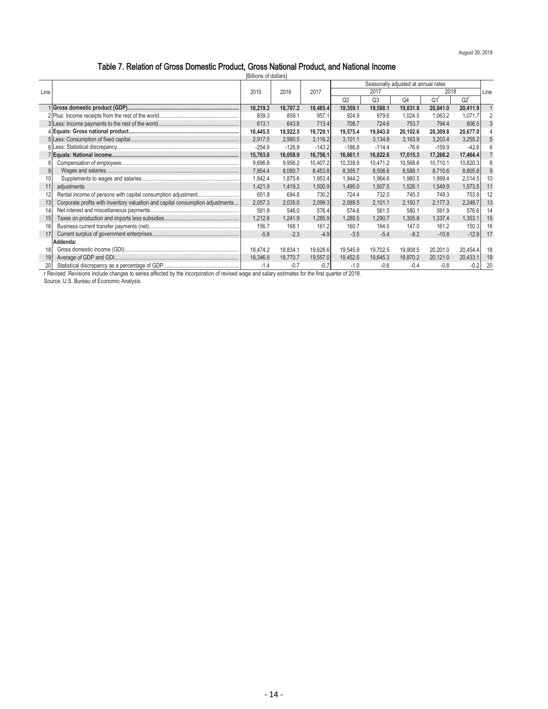# Table 7. Relation of Gross Domestic Product, Gross National Product, and National Income

|      |                                                                                | [Billions of dollars] |          |          |          |                |                                     |          |          |      |
|------|--------------------------------------------------------------------------------|-----------------------|----------|----------|----------|----------------|-------------------------------------|----------|----------|------|
|      |                                                                                |                       |          |          |          |                | Seasonally adjusted at annual rates |          |          |      |
| Line |                                                                                | 2015                  | 2016     | 2017     |          | 2017           |                                     | 2018     |          | Line |
|      |                                                                                |                       |          |          | Q2       | Q <sub>3</sub> | Q4                                  | Q1       | $Q2^r$   |      |
|      |                                                                                | 18,219.3              | 18,707.2 | 19,485.4 | 19,359.1 | 19,588.1       | 19,831.8                            | 20,041.0 | 20,411.9 |      |
|      |                                                                                | 839.3                 | 859.1    | 957.1    | 924.9    | 979.6          | 1,024.5                             | 1,063.2  | 1,071.7  |      |
|      |                                                                                | 613.1                 | 643.8    | 713.4    | 708.7    | 724.6          | 753.7                               | 794.4    | 806.5    |      |
|      |                                                                                | 18,445.5              | 18,922.5 | 19,729.1 | 19,575.4 | 19,843.0       | 20,102.6                            | 20,309.8 | 20,677.0 |      |
|      |                                                                                | 2,917.5               | 2,990.5  | 3,116.2  | 3,101.1  | 3,134.8        | 3,163.9                             | 3,203.4  | 3,255.2  |      |
|      |                                                                                | $-254.9$              | $-126.9$ | $-143.2$ | $-186.8$ | $-114.4$       | $-76.6$                             | $-159.9$ | $-42.6$  |      |
|      |                                                                                | 15,783.0              | 16,058.9 | 16,756.1 | 16,661.1 | 16,822.6       | 17,015.3                            | 17,266.2 | 17,464.4 |      |
|      |                                                                                | 9,696.8               | 9,956.2  | 10,407.2 | 10,339.9 | 10.471.2       | 10,568.6                            | 10.710.1 | 10,820.3 |      |
| 9    |                                                                                | 7,854.4               | 8,080.7  | 8,453.8  | 8,395.7  | 8,506.6        | 8,588.1                             | 8,710.6  | 8,805.8  |      |
| 10   |                                                                                | 1,842.4               | 1.875.6  | 1,953.4  | 1.944.2  | 1,964.6        | 1,980.5                             | 1,999.4  | 2,014.5  | 10   |
| 11   | adjustments                                                                    | 1,421.9               | 1.419.3  | 1,500.9  | 1.495.0  | 1,507.5        | 1,526.1                             | 1,549.9  | 1,573.5  | 11   |
| 12   |                                                                                | 651.8                 | 694.8    | 730.2    | 724.4    | 732.0          | 745.3                               | 749.3    | 753.9    | 12   |
| 13   | Corporate profits with inventory valuation and capital consumption adjustments | 2,057.3               | 2,035.0  | 2,099.3  | 2,089.5  | 2,101.1        | 2,150.7                             | 2,177.3  | 2,249.7  | 13   |
| 14   |                                                                                | 591.8                 | 546.0    | 576.4    | 574.6    | 561.5          | 580.1                               | 591.9    | 576.6    | 14   |
| 15   |                                                                                | 1,212.6               | 1,241.9  | 1,285.9  | 1,280.5  | 1,290.7        | 1,305.8                             | 1,337.4  | 1,353.1  | 15   |
| 16   |                                                                                | 156.7                 | 168.1    | 161.2    | 160.7    | 164.0          | 147.0                               | 161.2    | 150.3    | 16   |
| 17   |                                                                                | $-5.8$                | $-2.3$   | $-4.9$   | $-3.5$   | $-5.4$         | $-8.2$                              | $-10.8$  | $-12.9$  | 17   |
|      | Addenda:                                                                       |                       |          |          |          |                |                                     |          |          |      |
| 18   |                                                                                | 18,474.2              | 18,834.1 | 19,628.6 | 19,545.9 | 19,702.5       | 19,908.5                            | 20,201.0 | 20,454.4 | 18   |
| 19   |                                                                                | 18,346.8              | 18,770.7 | 19,557.0 | 19,452.5 | 19,645.3       | 19,870.2                            | 20,121.0 | 20,433.1 | 19   |
| 20   |                                                                                | $-1.4$                | $-0.7$   | $-0.7$   | $-1.0$   | $-0.6$         | $-0.4$                              | $-0.8$   | $-0.2$   | 20   |

r Revised. Revisions include changes to series affected by the incorporation of revised wage and salary estimates for the first quarter of 2018.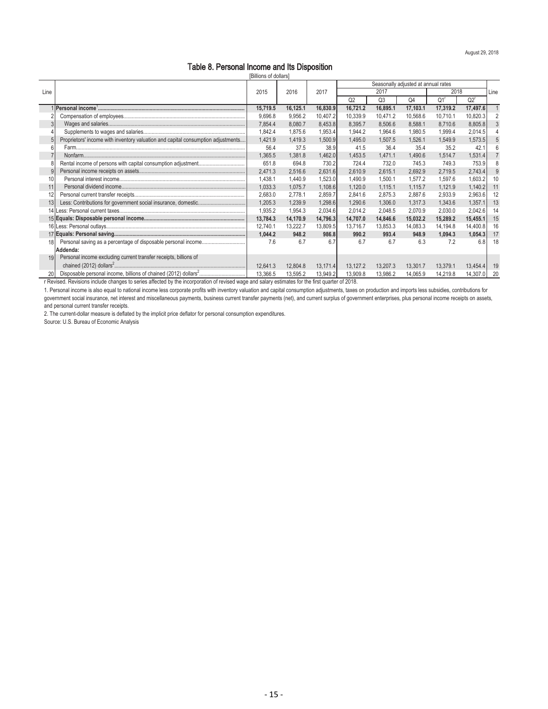# Table 8. Personal Income and Its Disposition

|      |                                                                                                                                                                                                                                      | [Billions of dollars] |          |          |          |                |                                     |                   |          |              |
|------|--------------------------------------------------------------------------------------------------------------------------------------------------------------------------------------------------------------------------------------|-----------------------|----------|----------|----------|----------------|-------------------------------------|-------------------|----------|--------------|
|      |                                                                                                                                                                                                                                      |                       |          |          |          |                | Seasonally adjusted at annual rates |                   |          |              |
| Line |                                                                                                                                                                                                                                      | 2015                  | 2016     | 2017     |          | 2017           |                                     | 2018              |          | Line         |
|      |                                                                                                                                                                                                                                      |                       |          |          | Q2       | Q <sub>3</sub> | Q <sub>4</sub>                      | $O1$ <sup>r</sup> | $Q2^r$   |              |
|      | Personal income <b>have a communicate and interventional contract and income and income and income and income and income and income and income and income and income and income and income and income and income and income and </b> | 15,719.5              | 16,125.1 | 16,830.9 | 16,721.2 | 16,895.1       | 17,103.1                            | 17,319.2          | 17,497.6 | $\mathbf{1}$ |
|      |                                                                                                                                                                                                                                      | 9,696.8               | 9,956.2  | 10,407.2 | 10,339.9 | 10,471.2       | 10,568.6                            | 10,710.1          | 10,820.3 |              |
| 3    |                                                                                                                                                                                                                                      | 7,854.4               | 8,080.7  | 8,453.8  | 8,395.7  | 8,506.6        | 8,588.1                             | 8.710.6           | 8,805.8  |              |
|      |                                                                                                                                                                                                                                      | 1,842.4               | 1.875.6  | 1,953.4  | 1,944.2  | 1,964.6        | 1.980.5                             | 1,999.4           | 2,014.5  |              |
|      | Proprietors' income with inventory valuation and capital consumption adjustments                                                                                                                                                     | 1,421.9               | 1,419.3  | 1,500.9  | 1,495.0  | 1,507.5        | 1.526.1                             | 1.549.9           | 1,573.5  | 5            |
| 6    |                                                                                                                                                                                                                                      | 56.4                  | 37.5     | 38.9     | 41.5     | 36.4           | 35.4                                | 35.2              | 42.7     |              |
|      |                                                                                                                                                                                                                                      | 1,365.5               | 1,381.8  | 1,462.0  | 1,453.5  | 1,471.1        | 1,490.6                             | 1,514.7           | 1,531.4  |              |
|      |                                                                                                                                                                                                                                      | 651.8                 | 694.8    | 730.2    | 724.4    | 732.0          | 745.3                               | 749.3             | 753.9    | $\mathsf{R}$ |
|      |                                                                                                                                                                                                                                      | 2,471.3               | 2,516.6  | 2,631.6  | 2,610.9  | 2,615.1        | 2,692.9                             | 2,719.5           | 2,743.4  | 9            |
| 10   |                                                                                                                                                                                                                                      | 1,438.1               | 1,440.9  | 1,523.0  | 1.490.9  | 1,500.1        | 1.577.2                             | 1,597.6           | 1,603.2  | 10           |
| 11   |                                                                                                                                                                                                                                      | 1,033.3               | 1,075.7  | 1,108.6  | 1,120.0  | 1,115.1        | 1,115.7                             | 1,121.9           | 1,140.2  | 11           |
| 12   |                                                                                                                                                                                                                                      | 2,683.0               | 2,778.1  | 2,859.7  | 2,841.6  | 2.875.3        | 2.887.6                             | 2,933.9           | 2,963.6  | 12           |
| 13   |                                                                                                                                                                                                                                      | 1,205.3               | 1.239.9  | 1,298.6  | 1,290.6  | 1,306.0        | 1.317.3                             | 1,343.6           | 1,357.1  | 13           |
| 14   |                                                                                                                                                                                                                                      | 1,935.2               | 1.954.3  | 2,034.6  | 2.014.2  | 2,048.5        | 2.070.9                             | 2.030.0           | 2,042.6  | 14           |
|      |                                                                                                                                                                                                                                      | 13,784.3              | 14,170.9 | 14,796.3 | 14,707.0 | 14,846.6       | 15,032.2                            | 15,289.2          | 15,455.1 | 15           |
| 16   |                                                                                                                                                                                                                                      | 12,740.1              | 13,222.7 | 13,809.5 | 13,716.7 | 13,853.3       | 14,083.3                            | 14,194.8          | 14,400.8 | 16           |
|      |                                                                                                                                                                                                                                      | 1,044.2               | 948.2    | 986.8    | 990.2    | 993.4          | 948.9                               | 1,094.3           | 1,054.3  | 17           |
| 18   |                                                                                                                                                                                                                                      | 7.6                   | 6.7      | 6.7      | 6.7      | 6.7            | 6.3                                 | 7.2               | 6.8      | 18           |
|      | Addenda:                                                                                                                                                                                                                             |                       |          |          |          |                |                                     |                   |          |              |
| 19   | Personal income excluding current transfer receipts, billions of                                                                                                                                                                     |                       |          |          |          |                |                                     |                   |          |              |
|      |                                                                                                                                                                                                                                      | 12,641.3              | 12,804.8 | 13,171.4 | 13,127.2 | 13,207.3       | 13,301.7                            | 13,379.1          | 13,454.4 | 19           |
|      |                                                                                                                                                                                                                                      | 13,366.5              | 13,595.2 | 13,949.2 | 13,909.8 | 13,986.2       | 14,065.9                            | 14.219.8          | 14,307.0 | 20           |

r Revised. Revisions include changes to series affected by the incorporation of revised wage and salary estimates for the first quarter of 2018.

1. Personal income is also equal to national income less corporate profits with inventory valuation and capital consumption adjustments, taxes on production and imports less subsidies, contributions for government social insurance, net interest and miscellaneous payments, business current transfer payments (net), and current surplus of government enterprises, plus personal income receipts on assets, and personal current transfer receipts.

2. The current-dollar measure is deflated by the implicit price deflator for personal consumption expenditures.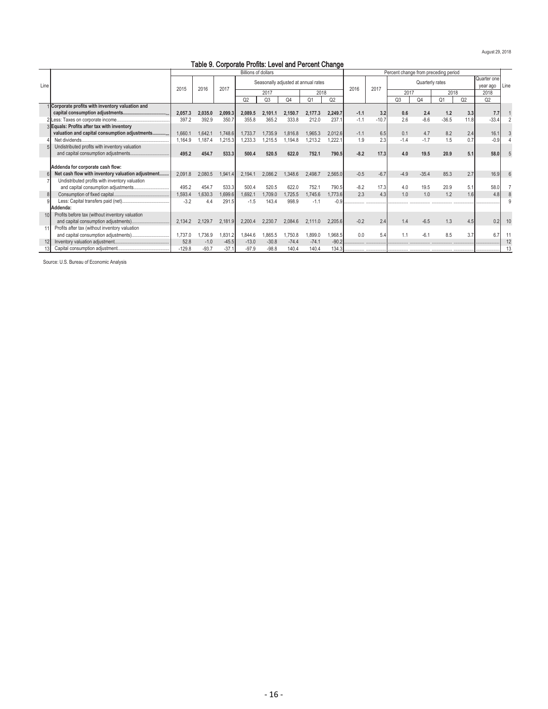August 29, 2018

#### Table 9. Corporate Profits: Level and Percent Change

|      |                                                   |                 | <b>Billions of dollars</b> |                    |                  |                   |                   |                                     |                    | Percent change from preceding period |         |        |                         |                |      |                |    |  |  |  |  |  |  |
|------|---------------------------------------------------|-----------------|----------------------------|--------------------|------------------|-------------------|-------------------|-------------------------------------|--------------------|--------------------------------------|---------|--------|-------------------------|----------------|------|----------------|----|--|--|--|--|--|--|
| Line |                                                   | 2015            |                            |                    |                  |                   |                   | Seasonally adjusted at annual rates |                    |                                      |         |        | Quarter one<br>year ago | Line           |      |                |    |  |  |  |  |  |  |
|      |                                                   |                 | 2016                       | 2017               | 2017<br>2018     |                   |                   |                                     |                    | 2016                                 | 2017    | 2017   |                         | 2018           |      | 2018           |    |  |  |  |  |  |  |
|      |                                                   |                 |                            |                    | Q2               | Q3                | Q <sub>4</sub>    | O <sub>1</sub>                      | Q2                 |                                      |         | Q3     | Q4                      | O <sub>1</sub> | O2   | O <sub>2</sub> |    |  |  |  |  |  |  |
|      | Corporate profits with inventory valuation and    |                 |                            |                    |                  |                   |                   |                                     |                    |                                      |         |        |                         |                |      |                |    |  |  |  |  |  |  |
|      |                                                   | 2.057.3         | 2.035.0                    | 2.099.3            | 2.089.5          | 2.101.7           | 2.150.7           | 2.177.3                             | 2.249.7            | $-1.1$                               | 3.2     | 0.6    | 2.4                     | 1.2            | 3.3  | 7.7            |    |  |  |  |  |  |  |
|      |                                                   | 397.2           | 392.9                      | 350.7              | 355.8            | 365.2             | 333.8             | 212.0                               | 237.1              | $-1.1$                               | $-10.7$ | 2.6    | $-8.6$                  | $-36.5$        | 11.8 | $-33.4$        |    |  |  |  |  |  |  |
|      | 3 Equals: Profits after tax with inventory        |                 |                            |                    |                  |                   |                   |                                     |                    |                                      |         |        |                         |                |      |                |    |  |  |  |  |  |  |
|      | valuation and capital consumption adjustments     | 1,660.1         | 1,642.1                    | 1.748.6            | 1.733.7          | 1,735.9           | 1,816.8           | .965.3                              | 2.012.6            | $-1.1$                               | 6.5     | 0.1    | 4.7                     | 8.2            | 2.4  | 16.1           |    |  |  |  |  |  |  |
|      |                                                   | 1.164.9         | 1,187.4                    | .215.3             | 1.233.3          | 1,215.5           | 1.194.8           | .213.2                              | .222.1             | 1.9                                  | 2.3     | $-1.4$ | $-1.7$                  | 1.5            | 0.7  | $-0.9$         |    |  |  |  |  |  |  |
|      | Undistributed profits with inventory valuation    |                 |                            |                    |                  |                   |                   |                                     |                    |                                      |         |        |                         |                |      |                |    |  |  |  |  |  |  |
|      |                                                   | 495.2           | 454.7                      | 533.3              | 500.4            | 520.5             | 622.0             | 752.1                               | 790.5              | $-8.2$                               | 17.3    | 4.0    | 19.5                    | 20.9           | 5.1  | 58.0           |    |  |  |  |  |  |  |
|      | Addenda for corporate cash flow:                  |                 |                            |                    |                  |                   |                   |                                     |                    |                                      |         |        |                         |                |      |                |    |  |  |  |  |  |  |
|      | Net cash flow with inventory valuation adjustment | 2.091.8         | 2,080.5                    | 1,941.4            | 2,194.1          | 2.086.2           | 1.348.6           | 2.498.7                             | 2,565.0            | $-0.5$                               | $-6.7$  | $-4.9$ | $-35.4$                 | 85.3           | 2.7  | 16.9           |    |  |  |  |  |  |  |
|      | Undistributed profits with inventory valuation    |                 |                            |                    |                  |                   |                   |                                     |                    |                                      |         |        |                         |                |      |                |    |  |  |  |  |  |  |
|      |                                                   | 495.2           | 454.7                      | 533.3              | 500.4            | 520.5             | 622.0             | 752.1                               | 790.5              | $-8.2$                               | 17.3    | 4.0    | 19.5                    | 20.9           | 5.1  | 58.0           |    |  |  |  |  |  |  |
|      |                                                   | 1,593.4         | 1.630.3                    | 1,699.6            | 1.692.1          | 1.709.0           | 1,725.5           | 1,745.6                             | 1,773.6            | 2.3                                  | 4.3     | 1.0    | 1.0                     | 1.2            | 1.6  | 4.8            |    |  |  |  |  |  |  |
|      |                                                   | $-3.2$          | 4.4                        | 291.5              | $-1.5$           | 143.4             | 998.9             | $-1.1$                              | $-0.9$             |                                      |         |        |                         |                |      |                |    |  |  |  |  |  |  |
|      | Addenda:                                          |                 |                            |                    |                  |                   |                   |                                     |                    |                                      |         |        |                         |                |      |                |    |  |  |  |  |  |  |
|      | Profits before tax (without inventory valuation   |                 |                            |                    |                  |                   |                   |                                     |                    |                                      |         |        |                         |                |      |                |    |  |  |  |  |  |  |
|      | Profits after tax (without inventory valuation    | 2.134.2         | 2.129.7                    | 2,181.9            | 2,200.4          | 2,230.7           | 2.084.6           | 2.111.0                             | 2,205.6            | $-0.2$                               | 2.4     | 1.4    | $-6.5$                  | 1.3            | 4.5  | 0.2            | 10 |  |  |  |  |  |  |
|      |                                                   |                 |                            |                    |                  |                   |                   |                                     |                    | 0.0                                  | 5.4     |        |                         | 8.5            | 3.7  | 6.7            |    |  |  |  |  |  |  |
|      |                                                   | 1.737.0<br>52.8 | .736.9<br>$-1.0$           | 1,831.2<br>$-45.5$ | 844.6<br>$-13.0$ | .865.5<br>$-30.8$ | .750.8<br>$-74.4$ | .899.0<br>$-74.1$                   | 1,968.5<br>$-90.2$ |                                      |         |        |                         |                |      |                |    |  |  |  |  |  |  |
|      |                                                   |                 |                            | $-37.1$            |                  |                   |                   |                                     |                    |                                      |         |        |                         |                |      |                |    |  |  |  |  |  |  |
|      |                                                   | $-129.8$        | $-93.7$                    |                    | $-97.9$          | $-98.8$           | 140.4             | 140.4                               | 134.3              |                                      |         |        |                         |                |      |                |    |  |  |  |  |  |  |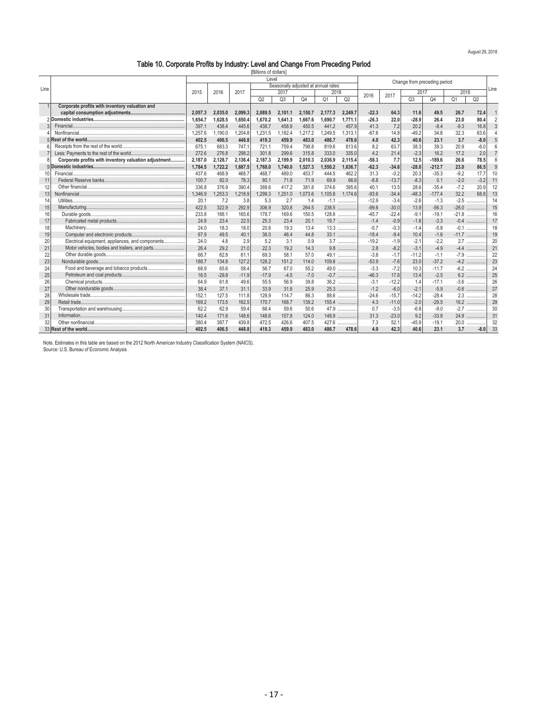# Table 10. Corporate Profits by Industry: Level and Change From Preceding Period

|      |                                                       |         |         |         | [Billions of dollars] |         |         |                                     |                |         |         |         |                |                |         |                |
|------|-------------------------------------------------------|---------|---------|---------|-----------------------|---------|---------|-------------------------------------|----------------|---------|---------|---------|----------------|----------------|---------|----------------|
|      |                                                       |         |         |         | Level                 |         |         | Change from preceding period        |                |         |         |         |                |                |         |                |
| Line |                                                       |         |         |         |                       |         |         | Seasonally adjusted at annual rates |                |         |         |         |                |                |         | Line           |
|      |                                                       | 2015    | 2016    | 2017    |                       | 2017    |         | 2018                                |                | 2016    | 2017    | 2017    |                | 2018           |         |                |
|      |                                                       |         |         |         | Q <sub>2</sub>        | Q3      | Q4      | Q <sub>1</sub>                      | Q <sub>2</sub> |         |         | Q3      | Q <sub>4</sub> | Q <sub>1</sub> | Q2      |                |
|      | Corporate profits with inventory valuation and        |         |         |         |                       |         |         |                                     |                |         |         |         |                |                |         |                |
|      |                                                       | 2.057.3 | 2,035.0 | 2,099.3 | 2.089.5               | 2,101.1 | 2,150.7 | 2,177.3                             | 2.249.7        | $-22.3$ | 64.3    | 11.6    | 49.5           | 26.7           | 72.4    |                |
|      |                                                       | 1,654.7 | 1,628.5 | 1,650.4 | 1.670.2               | 1,641.3 | 1,667.6 | 1,690.7                             | 1,771.1        | $-26.3$ | 22.0    | $-28.9$ | 26.4           | 23.0           | 80.4    | $\overline{2}$ |
|      |                                                       | 397.1   | 438.4   | 445.6   | 438.7                 | 458.9   | 450.5   | 441.2                               | 457.9          | 41.3    | 7.2     | 20.2    | $-8.4$         | $-9.3$         | 16.8    | $\overline{3}$ |
|      |                                                       | 1,257.6 | 1,190.0 | 1,204.8 | 1.231.5               | 1,182.4 | 1,217.2 | 1,249.5                             | 1,313.1        | $-67.6$ | 14.8    | $-49.2$ | 34.8           | 32.3           | 63.6    |                |
|      |                                                       | 402.5   | 406.5   | 448.8   | 419.3                 | 459.9   | 483.0   | 486.7                               | 478.6          | 4.0     | 42.3    | 40.6    | 23.1           | 3.7            | $-8.0$  |                |
|      |                                                       | 675.1   | 683.3   | 747.1   | 721.1                 | 759.4   | 798.8   | 819.6                               | 813.6          | 8.2     | 63.7    | 38.3    | 39.3           | 20.9           | $-6.0$  |                |
|      |                                                       | 272.6   | 276.8   | 298.2   | 301.8                 | 299.6   | 315.8   | 333.0                               | 335.0          | 4.2     | 21.4    | $-2.3$  | 16.2           | 17.2           | 2.0     |                |
|      | Corporate profits with inventory valuation adjustment | 2.187.0 | 2.128.7 | 2.136.4 | 2.187.3               | 2.199.9 | 2.010.3 | 2.036.9                             | 2.115.4        | $-58.3$ | 7.7     | 12.5    | $-189.6$       | 26.6           | 78.5    |                |
|      |                                                       | 1,784.5 | 1,722.2 | 1,687.5 | 1.768.0               | 1,740.0 | 1,527.3 | 1,550.2                             | 1,636.7        | $-62.3$ | $-34.6$ | $-28.0$ | $-212.7$       | 23.0           | 86.5    | 9              |
| 10   |                                                       | 437.6   | 468.9   | 468.7   | 468.7                 | 489.0   | 453.7   | 444.5                               | 462.2          | 31.3    | $-0.2$  | 20.3    | $-35.3$        | $-9.2$         | 17.7    | 10             |
| 11   |                                                       | 100.7   | 92.0    | 78.3    | 80.1                  | 71.8    | 71.9    | 69.9                                | 66.6           | $-8.8$  | $-13.7$ | $-8.3$  | 0.1            | $-2.0$         | $-3.2$  | 11             |
| 12   |                                                       | 336.8   | 376.9   | 390.4   | 388.6                 | 417.2   | 381.8   | 374.6                               | 395.6          | 40.1    | 13.5    | 28.6    | $-35.4$        | $-7.2$         | 20.9    | 12             |
| 13   |                                                       | 1.346.9 | 1,253.3 | 1,218.9 | 1.299.3               | 1.251.0 | 1.073.6 | 1.105.8                             | 1.174.6        | $-93.6$ | $-34.4$ | $-48.3$ | $-177.4$       | 32.2           | 68.8    | 13             |
| 14   |                                                       | 20.1    | 7.2     | 3.8     | 5.3                   | 2.7     | 1.4     | $-1.1$                              |                | $-12.9$ | $-3.4$  | $-2.6$  | $-1.3$         | $-2.5$         |         | 14             |
| 15   |                                                       | 422.5   | 322.9   | 292.9   | 306.9                 | 320.8   | 264.5   | 238.5                               |                | $-99.6$ | $-30.0$ | 13.9    | $-56.3$        | $-26.0$        |         | 15             |
| 16   |                                                       | 233.8   | 188.1   | 165.6   | 178.7                 | 169.6   | 150.5   | 128.8                               | .              | $-45.7$ | $-22.4$ | $-9.1$  | $-19.1$        | $-21.8$        |         | 16             |
| 17   |                                                       | 24.8    | 23.4    | 22.5    | 25.3                  | 23.4    | 20.1    |                                     | 19.7           | $-1.4$  | $-0.9$  | $-1.8$  | $-3.3$         |                | $-0.4$  | 17             |
| 18   |                                                       | 24.0    | 18.3    | 18.0    | 20.6                  | 19.3    | 13.4    | 13.3                                | .              | $-5.7$  | $-0.3$  | $-1.4$  | $-5.8$         | $-0.1$         | .       | 18             |
| 19   |                                                       | 67.9    | 49.5    | 40.1    | 36.0                  | 46.4    | 44.8    | 33.1                                |                | $-18.4$ | $-9.4$  | 10.4    | $-1.6$         |                | $-11.7$ | 19             |
| 20   | Electrical equipment, appliances, and components      | 24.0    | 4.8     | 2.9     | 5.2                   | 3.1     | 0.9     | 3.7                                 |                | $-19.2$ | $-1.9$  | $-2.1$  | $-2.2$         | 2.7            |         | 20             |
| 21   | Motor vehicles, bodies and trailers, and parts        | 26.4    | 29.2    | 21.0    | 22.3                  | 19.2    | 14.3    | 9.8                                 |                | 2.8     | $-8.2$  | $-3.1$  | $-4.9$         |                |         | 21             |
| 22   |                                                       | 66.7    | 62.8    | 61.1    | 69.3                  | 58.1    | 57.0    | 49.1                                |                | $-3.8$  | $-1.7$  | $-11.2$ | $-1.1$         |                | $-7.9$  | 22             |
| 23   |                                                       | 188.7   | 134.8   | 127.2   | 128.2                 | 151.2   | 114.0   | 109.8                               |                | $-53.9$ | $-7.6$  | 23.0    | $-37.2$        |                | $-4.2$  | 23             |
| 24   |                                                       | 68.9    | 65.6    | 58.4    | 56.7                  | 67.0    | 55.2    | 49.0                                |                | $-3.3$  | $-7.2$  | 10.3    | $-11.7$        |                | $-6.2$  | 24             |
| 25   |                                                       | 16.5    | $-29.8$ | $-11.9$ | $-17.9$               | $-4.5$  | $-7.0$  |                                     | $-0.7$         | $-46.3$ | 17.8    | 13.4    | $-2.5$         |                | 6.2     | 25             |
| 26   |                                                       | 64.9    | 61.8    | 49.6    | 55.5                  | 56.9    | 39.8    | 36.2                                |                | $-3.1$  | $-12.2$ | 1.4     | $-17.1$        | $-3.6$         |         | 26             |
| 27   |                                                       | 38.4    | 37.1    | 31.1    | 33.9                  | 31.8    | 25.9    | 25.3                                |                | $-1.2$  | $-6.0$  | $-2.1$  | $-5.9$         | $-0.6$         | .       | 27             |
| 28   |                                                       | 152.1   | 127.5   | 111.8   | 128.9                 | 114.7   | 86.3    | 88.6                                |                | $-24.6$ | $-15.7$ | $-14.2$ | $-28.4$        | 2.3            |         | 28             |
| 29   |                                                       | 169.2   | 173.5   | 162.5   | 170.7                 | 168.7   | 139.2   |                                     | 155.4          | 4.3     | $-11.0$ | $-2.0$  | $-29.5$        |                | 16.2    | 29             |
| 30   |                                                       | 62.2    | 62.9    | 59.4    | 66.4                  | 59.6    | 50.6    | 47.9                                |                | 0.7     | $-3.5$  | $-6.8$  | $-9.0$         | $-2.7$         | .       | 30             |
| 31   |                                                       | 140.4   | 171.6   | 148.6   | 148.6                 | 157.8   | 124.0   | 148.9                               |                | 31.3    | $-23.0$ | 9.2     | $-33.8$        | 24.9           |         | 31             |
| 32   |                                                       | 380.4   | 387.7   | 439.8   | 472.5                 | 426.6   | 407.5   | 427.6                               | .              | 7.3     | 52.1    | $-45.9$ | $-19.1$        | 20.0           |         | 32             |
|      |                                                       | 402.5   | 406.5   | 448.8   | 419.3                 | 459.9   | 483.0   | 486.7                               | 478.6          | 4.0     | 42.3    | 40.6    | 23.1           | 3.7            | $-8.0$  | 33             |

Note. Estimates in this table are based on the 2012 North American Industry Classification System (NAICS).<br>Source: U.S. Bureau of Economic Analysis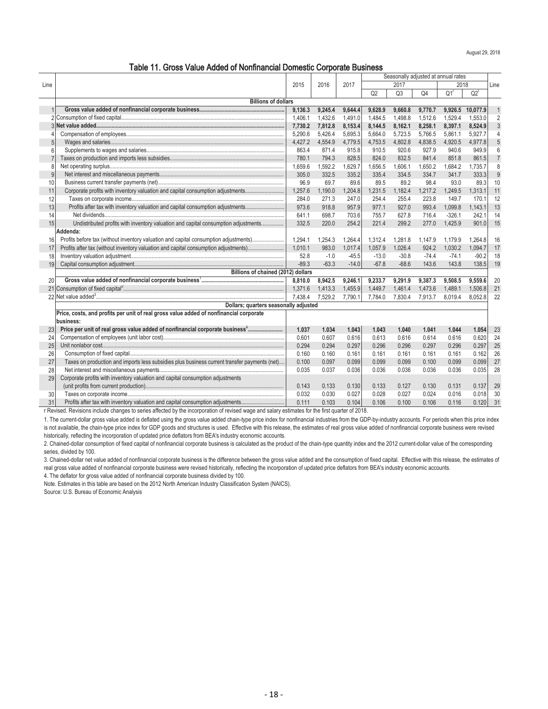### Table 11 Gross Value Added of Nonfinancial Domestic Corporate Business

|                |                                                                                              |         |                |                |                |                | Seasonally adjusted at annual rates |                   |                |                |
|----------------|----------------------------------------------------------------------------------------------|---------|----------------|----------------|----------------|----------------|-------------------------------------|-------------------|----------------|----------------|
| Line           |                                                                                              | 2015    | 2016           | 2017           |                | 2017           |                                     | 2018              |                | Line           |
|                |                                                                                              |         |                |                | Q2             | Q <sub>3</sub> | Q <sub>4</sub>                      | $Q1$ <sup>r</sup> | $Q2^r$         |                |
|                | <b>Billions of dollars</b>                                                                   |         |                |                |                |                |                                     |                   |                |                |
| $\mathbf{1}$   |                                                                                              | 9,136.3 | 9,245.4        | 9.644.4        | 9.628.9        | 9,660.8        | 9,770.7                             | 9,926.5           | 10,077.9       | $\mathbf{1}$   |
|                |                                                                                              | 1.406.1 | 1.432.6        | 1.491.0        | 1.484.5        | 1.498.8        | 1.512.6                             | 1.529.4           | 1,553.0        | $\overline{2}$ |
|                |                                                                                              | 7,730.2 | 7,812.8        | 8,153.4        | 8,144.5        | 8,162.1        | 8,258.1                             | 8,397.1           | 8,524.9        | 3              |
|                |                                                                                              | 5.290.6 | 5.426.4        | 5,695.3        | 5.664.0        | 5.723.5        | 5.766.5                             | 5.861.1           | 5,927.7        | $\overline{4}$ |
| 5              |                                                                                              | 4.427.2 | 4.554.9        | 4.779.5        | 4.753.5        | 4.802.8        | 4.838.5                             | 4.920.5           | 4.977.8        | 5              |
| 6              |                                                                                              | 863.4   | 871.4          | 915.8          | 910.5          | 920.6          | 927.9                               | 940.6             | 949.9          | 6              |
|                |                                                                                              | 780.1   | 794.3          | 828.5          | 824.0          | 832.5          | 841.4                               | 851.8             | 861.5          | $\overline{7}$ |
|                |                                                                                              | 1,659.6 | 1,592.2        | 1,629.7        | 1.656.5        | 1.606.1        | 1,650.2                             | 1,684.2           | 1,735.7        | 8              |
| $\overline{9}$ |                                                                                              | 305.0   | 332.5          | 335.2          | 335.4          | 334.5          | 334.7                               | 341.7             | 333.3          | 9              |
| 10             |                                                                                              | 96.9    | 69.7           | 89.6           | 89.5           | 89.2           | 98.4                                | 93.0              | 89.3           | 10             |
| 11             | Corporate profits with inventory valuation and capital consumption adjustments               | 1,257.6 | 1,190.0        | 1,204.8        | 1,231.5        | 1,182.4        | 1,217.2                             | 1,249.5           | 1,313.1        | 11             |
| 12             |                                                                                              | 284.0   | 271.3          | 247.0          | 254.4          | 255.4          | 223.8                               | 149.7             | 170.1          | 12             |
| 13             | Profits after tax with inventory valuation and capital consumption adjustments               | 973.6   | 918.8          | 957.9          | 977.1          | 927.0          | 993.4                               | 1.099.8           | 1.143.1        | 13             |
| 14             |                                                                                              | 641.1   | 698.7          | 703.6          | 755.7          | 627.8          | 716.4                               | $-326.1$          | 242.1          | 14             |
| 15             | Undistributed profits with inventory valuation and capital consumption adjustments           | 332.5   | 220.0          | 254.2          | 221.4          | 299.2          | 277.0                               | 1.425.9           | 901.0          | 15             |
|                | Addenda:                                                                                     |         |                |                |                |                |                                     |                   |                |                |
| 16             | Profits before tax (without inventory valuation and capital consumption adjustments)         | 1.294.1 | 1.254.3        | 1.264.4        | 1.312.4        | 1.281.8        | 1.147.9                             | 1.179.9           | 1.264.8        | 16             |
| 17             | Profits after tax (without inventory valuation and capital consumption adjustments)          | 1,010.1 | 983.0          | 1,017.4        | 1.057.9        | 1.026.4        | 924.2                               | 1,030.2           | 1,094.7        | 17             |
| 18             |                                                                                              | 52.8    | $-1.0$         | $-45.5$        | $-13.0$        | $-30.8$        | $-74.4$                             | $-74.1$           | $-90.2$        | 18             |
| 19             |                                                                                              | $-89.3$ | $-63.3$        | $-14.0$        | $-67.8$        | $-68.6$        | 143.6                               | 143.8             | 138.5          | 19             |
|                | Billions of chained (2012) dollars                                                           |         |                |                |                |                |                                     |                   |                |                |
| 20             |                                                                                              | 8.810.0 | 8.942.5        | 9.246.1        | 9.233.7        | 9.291.9        | 9.387.3                             | 9.508.5           | 9.559.6        | 20             |
|                |                                                                                              | 1.371.6 | 1,413.3        | 1,455.9        | 1,449.7        | 1,461.4        | 1,473.6                             | 1,489.1           | 1,506.8        | 21             |
| 22             |                                                                                              | 7.438.4 | 7.529.2        | 7.790.1        | 7.784.0        | 7.830.4        | 7.913.7                             | 8.019.4           | 8,052.8        | 22             |
|                | Dollars; quarters seasonally adjusted                                                        |         |                |                |                |                |                                     |                   |                |                |
|                | Price, costs, and profits per unit of real gross value added of nonfinancial corporate       |         |                |                |                |                |                                     |                   |                |                |
|                | business:                                                                                    |         |                |                |                |                |                                     |                   |                |                |
| 23             |                                                                                              | 1.037   | 1.034          | 1.043          | 1.043          | 1.040          | 1.041                               | 1.044             | 1.054          | 23             |
| 24             |                                                                                              | 0.601   | 0.607          | 0.616          | 0.613          | 0.616          | 0.614                               | 0.616             | 0.620          | 24             |
| 25             |                                                                                              | 0.294   | 0.294          | 0.297          | 0.296          | 0.296          | 0.297                               | 0.296             | 0.297          | 25             |
| 26             |                                                                                              | 0.160   | 0.160          | 0.161          | 0.161          | 0.161          | 0.161                               | 0.161             | 0.162          | 26             |
| 27             | Taxes on production and imports less subsidies plus business current transfer payments (net) | 0.100   | 0.097          | 0.099          | 0.099          | 0.099          | 0.100                               | 0.099             | 0.099          | 27             |
| 28             |                                                                                              | 0.035   | 0.037          | 0.036          | 0.036          | 0.036          | 0.036                               | 0.036             | 0.035          | 28             |
| 29             | Corporate profits with inventory valuation and capital consumption adjustments               |         |                |                |                |                |                                     |                   |                |                |
|                |                                                                                              | 0.143   |                |                |                |                |                                     |                   |                | 29             |
|                |                                                                                              | 0.032   | 0.133<br>0.030 | 0.130<br>0.027 | 0.133<br>0.028 | 0.127<br>0.027 | 0.130<br>0.024                      | 0.131<br>0.016    | 0.137<br>0.018 | 30             |
| 30<br>31       |                                                                                              |         |                |                |                |                |                                     |                   |                |                |
|                | Profits after tax with inventory valuation and capital consumption adjustments               | 0.111   | 0.103          | 0.104          | 0.106          | 0.100          | 0.106                               | 0.116             | 0.120          | 31             |

r Revised. Revisions include changes to series affected by the incorporation of revised wage and salary estimates for the first quarter of 2018.

1. The current-dollar gross value added is deflated using the gross value added chain-type price index for nonfinancial industries from the GDP-by-industry accounts. For periods when this price index is not available, the chain-type price index for GDP goods and structures is used. Effective with this release, the estimates of real gross value added of nonfinancial corporate business were revised historically, reflecting the incorporation of updated price deflators from BEA's industry economic accounts.

2. Chained-dollar consumption of fixed capital of nonfinancial corporate business is calculated as the product of the chain-type quantity index and the 2012 current-dollar value of the corresponding series, divided by 100.

3. Chained-dollar net value added of nonfinancial corporate business is the difference between the gross value added and the consumption of fixed capital. Effective with this release, the estimates of real gross value added of nonfinancial corporate business were revised historically, reflecting the incorporation of updated price deflators from BEA's industry economic accounts.

4. The deflator for gross value added of nonfinancial corporate business divided by 100.

Note. Estimates in this table are based on the 2012 North American Industry Classification System (NAICS).